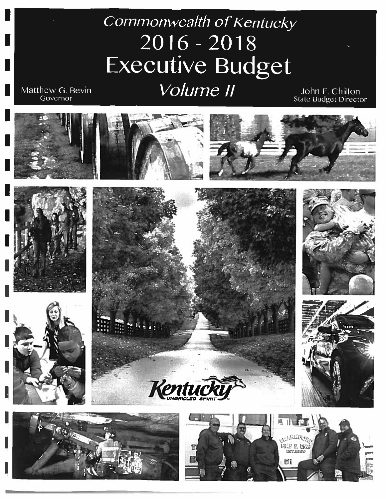# Commonwealth of Kentucky  $2016 - 2018$ Executive Budget Volume II

Matthew G. Bevin Governor













John E. Chilton<br>State Budget Director





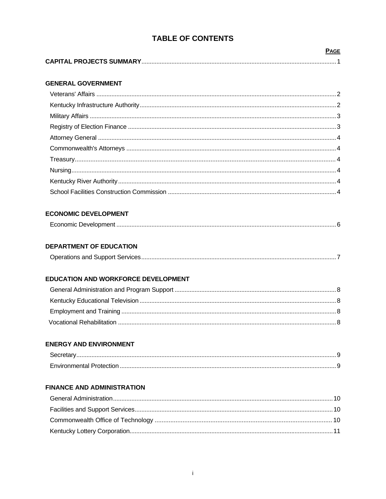# **TABLE OF CONTENTS**

# **GENERAL GOVERNMENT**

# **ECONOMIC DEVELOPMENT**

# **DEPARTMENT OF EDUCATION**

# EDUCATION AND WORKFORCE DEVELOPMENT

# **ENERGY AND ENVIRONMENT**

# **FINANCE AND ADMINISTRATION**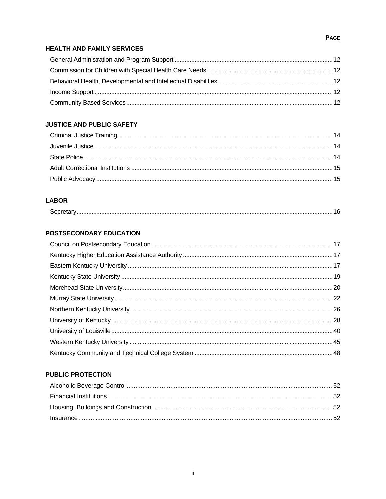# **HEALTH AND FAMILY SERVICES**

# **JUSTICE AND PUBLIC SAFETY**

# **LABOR**

|--|

# **POSTSECONDARY EDUCATION**

# **PUBLIC PROTECTION**

# **PAGE**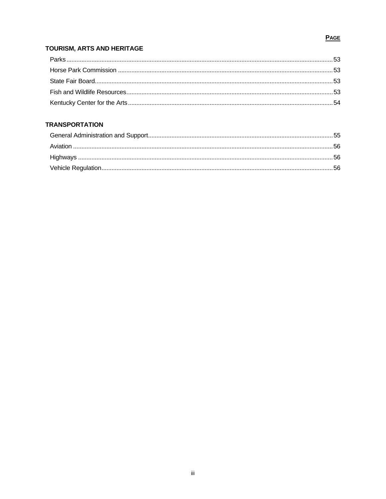# **PAGE**

# TOURISM, ARTS AND HERITAGE

# **TRANSPORTATION**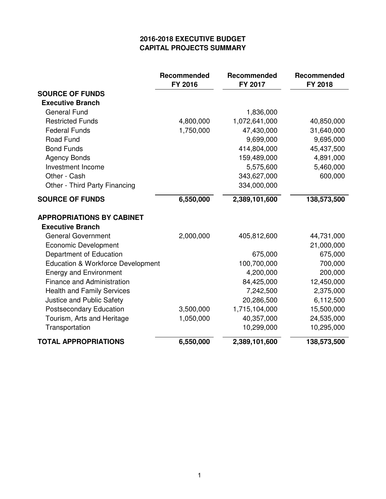# **2016-2018 EXECUTIVE BUDGET CAPITAL PROJECTS SUMMARY**

|                                   | Recommended<br>FY 2016 | Recommended<br>FY 2017 | Recommended<br>FY 2018 |
|-----------------------------------|------------------------|------------------------|------------------------|
| <b>SOURCE OF FUNDS</b>            |                        |                        |                        |
| <b>Executive Branch</b>           |                        |                        |                        |
| <b>General Fund</b>               |                        | 1,836,000              |                        |
| <b>Restricted Funds</b>           | 4,800,000              | 1,072,641,000          | 40,850,000             |
| <b>Federal Funds</b>              | 1,750,000              | 47,430,000             | 31,640,000             |
| <b>Road Fund</b>                  |                        | 9,699,000              | 9,695,000              |
| <b>Bond Funds</b>                 |                        | 414,804,000            | 45,437,500             |
| <b>Agency Bonds</b>               |                        | 159,489,000            | 4,891,000              |
| Investment Income                 |                        | 5,575,600              | 5,460,000              |
| Other - Cash                      |                        | 343,627,000            | 600,000                |
| Other - Third Party Financing     |                        | 334,000,000            |                        |
| <b>SOURCE OF FUNDS</b>            | 6,550,000              | 2,389,101,600          | 138,573,500            |
| <b>APPROPRIATIONS BY CABINET</b>  |                        |                        |                        |
| <b>Executive Branch</b>           |                        |                        |                        |
| <b>General Government</b>         | 2,000,000              | 405,812,600            | 44,731,000             |
| <b>Economic Development</b>       |                        |                        | 21,000,000             |
| Department of Education           |                        | 675,000                | 675,000                |
| Education & Workforce Development |                        | 100,700,000            | 700,000                |
| <b>Energy and Environment</b>     |                        | 4,200,000              | 200,000                |
| Finance and Administration        |                        | 84,425,000             | 12,450,000             |
| <b>Health and Family Services</b> |                        | 7,242,500              | 2,375,000              |
| Justice and Public Safety         |                        | 20,286,500             | 6,112,500              |
| <b>Postsecondary Education</b>    | 3,500,000              | 1,715,104,000          | 15,500,000             |
| Tourism, Arts and Heritage        | 1,050,000              | 40,357,000             | 24,535,000             |
| Transportation                    |                        | 10,299,000             | 10,295,000             |
| <b>TOTAL APPROPRIATIONS</b>       | 6,550,000              | 2,389,101,600          | 138,573,500            |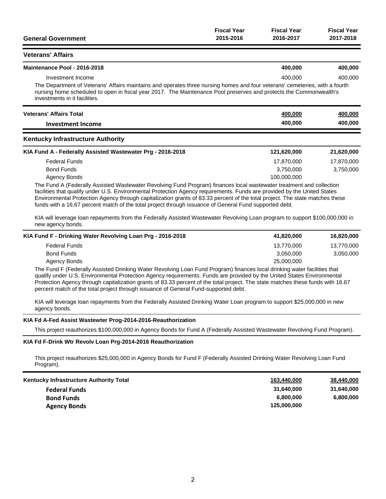|                           | <b>Fiscal Year</b> | <b>Fiscal Year</b> | <b>Fiscal Year</b> |
|---------------------------|--------------------|--------------------|--------------------|
| <b>General Government</b> | 2015-2016          | 2016-2017          | 2017-2018          |

#### **Veterans' Affairs**

| Maintenance Pool - 2016-2018 |  |  | 400.000 | 400.000 |
|------------------------------|--|--|---------|---------|
| Investment Income            |  |  | 400,000 | 400.000 |
| .<br>.<br>_____              |  |  |         |         |

The Department of Veterans' Affairs maintains and operates three nursing homes and four veterans' cemeteries, with a fourth nursing home scheduled to open in fiscal year 2017. The Maintenance Pool preserves and protects the Commonwealth's investments in it facilities.

| <b>Veterans' Affairs Total</b> | 400,000 | 400.000 |
|--------------------------------|---------|---------|
| Investment Income              | 400.000 | 400.000 |
|                                |         |         |

### **Kentucky Infrastructure Authority**

| KIA Fund A - Federally Assisted Wastewater Prg - 2016-2018 | 121.620.000 | 21,620,000 |
|------------------------------------------------------------|-------------|------------|
| Federal Funds                                              | 17.870.000  | 17.870.000 |
| <b>Bond Funds</b>                                          | 3.750.000   | 3.750.000  |
| Agency Bonds                                               | 100.000.000 |            |

The Fund A (Federally Assisted Wastewater Revolving Fund Program) finances local wastewater treatment and collection facilities that qualify under U.S. Environmental Protection Agency requirements. Funds are provided by the United States Environmental Protection Agency through capitalization grants of 83.33 percent of the total project. The state matches these funds with a 16.67 percent match of the total project through issuance of General Fund supported debt.

KIA will leverage loan repayments from the Federally Assisted Wastewater Revolving Loan program to support \$100,000,000 in new agency bonds.

| KIA Fund F - Drinking Water Revolving Loan Prg - 2016-2018 | 41.820.000 | 16.820.000 |
|------------------------------------------------------------|------------|------------|
| <b>Federal Funds</b>                                       | 13.770.000 | 13,770,000 |
| <b>Bond Funds</b>                                          | 3.050.000  | 3,050,000  |
| Agency Bonds                                               | 25,000,000 |            |

The Fund F (Federally Assisted Drinking Water Revolving Loan Fund Program) finances local drinking water facilities that qualify under U.S. Environmental Protection Agency requirements. Funds are provided by the United States Environmental Protection Agency through capitalization grants of 83.33 percent of the total project. The state matches these funds with 16.67 percent match of the total project through issuance of General Fund-supported debt.

KIA will leverage loan repayments from the Federally Assisted Drinking Water Loan program to support \$25,000,000 in new agency bonds.

#### **KIA Fd A-Fed Assist Wastewter Prog-2014-2016-Reauthorization**

This project reauthorizes \$100,000,000 in Agency Bonds for Fund A (Federally Assisted Wastewater Revolving Fund Program).

### **KIA Fd F-Drink Wtr Revolv Loan Prg-2014-2016 Reauthorization**

This project reauthorizes \$25,000,000 in Agency Bonds for Fund F (Federally Assisted Drinking Water Revolving Loan Fund Program).

| <b>Kentucky Infrastructure Authority Total</b> | 163,440,000 | 38,440,000 |
|------------------------------------------------|-------------|------------|
| <b>Federal Funds</b>                           | 31.640.000  | 31.640.000 |
| <b>Bond Funds</b>                              | 6.800.000   | 6,800,000  |
| <b>Agency Bonds</b>                            | 125.000.000 |            |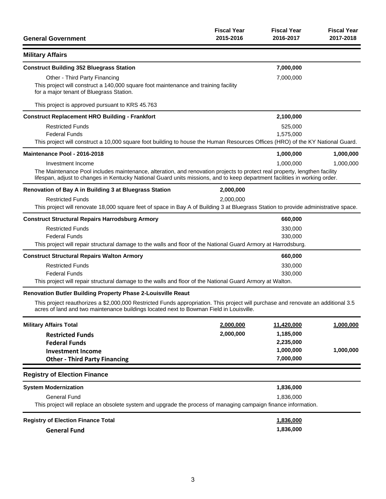| <b>General Government</b>                                                                                                                                                                                                                                | <b>Fiscal Year</b><br>2015-2016 | <b>Fiscal Year</b><br>2016-2017 | <b>Fiscal Year</b><br>2017-2018 |
|----------------------------------------------------------------------------------------------------------------------------------------------------------------------------------------------------------------------------------------------------------|---------------------------------|---------------------------------|---------------------------------|
| <b>Military Affairs</b>                                                                                                                                                                                                                                  |                                 |                                 |                                 |
| <b>Construct Building 352 Bluegrass Station</b>                                                                                                                                                                                                          |                                 | 7,000,000                       |                                 |
| Other - Third Party Financing                                                                                                                                                                                                                            |                                 | 7,000,000                       |                                 |
| This project will construct a 140,000 square foot maintenance and training facility<br>for a major tenant of Bluegrass Station.                                                                                                                          |                                 |                                 |                                 |
| This project is approved pursuant to KRS 45.763                                                                                                                                                                                                          |                                 |                                 |                                 |
| <b>Construct Replacement HRO Building - Frankfort</b>                                                                                                                                                                                                    |                                 | 2,100,000                       |                                 |
| <b>Restricted Funds</b>                                                                                                                                                                                                                                  |                                 | 525,000                         |                                 |
| <b>Federal Funds</b>                                                                                                                                                                                                                                     |                                 | 1,575,000                       |                                 |
| This project will construct a 10,000 square foot building to house the Human Resources Offices (HRO) of the KY National Guard.                                                                                                                           |                                 |                                 |                                 |
| Maintenance Pool - 2016-2018                                                                                                                                                                                                                             |                                 | 1,000,000                       | 1,000,000                       |
| Investment Income                                                                                                                                                                                                                                        |                                 | 1,000,000                       | 1,000,000                       |
| The Maintenance Pool includes maintenance, alteration, and renovation projects to protect real property, lengthen facility<br>lifespan, adjust to changes in Kentucky National Guard units missions, and to keep department facilities in working order. |                                 |                                 |                                 |
| Renovation of Bay A in Building 3 at Bluegrass Station                                                                                                                                                                                                   | 2,000,000                       |                                 |                                 |
| <b>Restricted Funds</b>                                                                                                                                                                                                                                  | 2,000,000                       |                                 |                                 |
| This project will renovate 18,000 square feet of space in Bay A of Building 3 at Bluegrass Station to provide administrative space.                                                                                                                      |                                 |                                 |                                 |
| <b>Construct Structural Repairs Harrodsburg Armory</b>                                                                                                                                                                                                   |                                 | 660,000                         |                                 |
| <b>Restricted Funds</b>                                                                                                                                                                                                                                  |                                 | 330,000                         |                                 |
| <b>Federal Funds</b>                                                                                                                                                                                                                                     |                                 | 330,000                         |                                 |
| This project will repair structural damage to the walls and floor of the National Guard Armory at Harrodsburg.                                                                                                                                           |                                 |                                 |                                 |
| <b>Construct Structural Repairs Walton Armory</b>                                                                                                                                                                                                        |                                 | 660,000                         |                                 |
| <b>Restricted Funds</b>                                                                                                                                                                                                                                  |                                 | 330,000                         |                                 |
| <b>Federal Funds</b>                                                                                                                                                                                                                                     |                                 | 330,000                         |                                 |
| This project will repair structural damage to the walls and floor of the National Guard Armory at Walton.                                                                                                                                                |                                 |                                 |                                 |
| Renovation Butler Building Property Phase 2-Louisville Reaut                                                                                                                                                                                             |                                 |                                 |                                 |
| This project reauthorizes a \$2,000,000 Restricted Funds appropriation. This project will purchase and renovate an additional 3.5<br>acres of land and two maintenance buildings located next to Bowman Field in Louisville.                             |                                 |                                 |                                 |
| <b>Military Affairs Total</b>                                                                                                                                                                                                                            | 2,000,000                       | 11,420,000                      | 1,000,000                       |
| <b>Restricted Funds</b>                                                                                                                                                                                                                                  | 2,000,000                       | 1,185,000                       |                                 |
| <b>Federal Funds</b>                                                                                                                                                                                                                                     |                                 | 2,235,000                       |                                 |
| <b>Investment Income</b>                                                                                                                                                                                                                                 |                                 | 1,000,000                       | 1,000,000                       |
| <b>Other - Third Party Financing</b>                                                                                                                                                                                                                     |                                 | 7,000,000                       |                                 |
| <b>Registry of Election Finance</b>                                                                                                                                                                                                                      |                                 |                                 |                                 |
| <b>System Modernization</b>                                                                                                                                                                                                                              |                                 | 1,836,000                       |                                 |
| <b>General Fund</b>                                                                                                                                                                                                                                      |                                 | 1,836,000                       |                                 |
| This project will replace an obsolete system and upgrade the process of managing campaign finance information.                                                                                                                                           |                                 |                                 |                                 |
| <b>Registry of Election Finance Total</b>                                                                                                                                                                                                                |                                 | 1,836,000                       |                                 |
| <b>General Fund</b>                                                                                                                                                                                                                                      |                                 | 1,836,000                       |                                 |
|                                                                                                                                                                                                                                                          |                                 |                                 |                                 |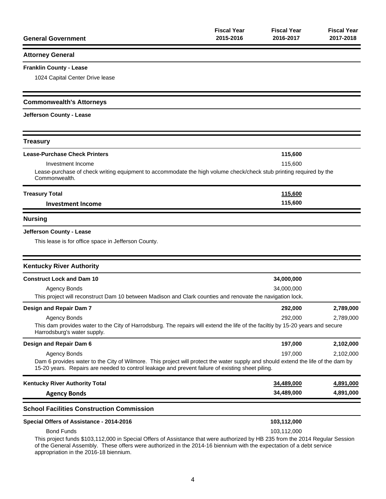| <b>General Government</b>                                                                                                                                                                                                                                                                       | <b>Fiscal Year</b><br>2015-2016 | <b>Fiscal Year</b><br>2016-2017 | <b>Fiscal Year</b><br>2017-2018 |
|-------------------------------------------------------------------------------------------------------------------------------------------------------------------------------------------------------------------------------------------------------------------------------------------------|---------------------------------|---------------------------------|---------------------------------|
| <b>Attorney General</b>                                                                                                                                                                                                                                                                         |                                 |                                 |                                 |
| <b>Franklin County - Lease</b>                                                                                                                                                                                                                                                                  |                                 |                                 |                                 |
| 1024 Capital Center Drive lease                                                                                                                                                                                                                                                                 |                                 |                                 |                                 |
| <b>Commonwealth's Attorneys</b>                                                                                                                                                                                                                                                                 |                                 |                                 |                                 |
| Jefferson County - Lease                                                                                                                                                                                                                                                                        |                                 |                                 |                                 |
| <b>Treasury</b>                                                                                                                                                                                                                                                                                 |                                 |                                 |                                 |
| <b>Lease-Purchase Check Printers</b>                                                                                                                                                                                                                                                            |                                 | 115,600                         |                                 |
| Investment Income<br>Lease-purchase of check writing equipment to accommodate the high volume check/check stub printing required by the<br>Commonwealth.                                                                                                                                        |                                 | 115,600                         |                                 |
| <b>Treasury Total</b>                                                                                                                                                                                                                                                                           |                                 | 115,600                         |                                 |
| <b>Investment Income</b>                                                                                                                                                                                                                                                                        |                                 | 115,600                         |                                 |
| <b>Nursing</b>                                                                                                                                                                                                                                                                                  |                                 |                                 |                                 |
| Jefferson County - Lease<br>This lease is for office space in Jefferson County.                                                                                                                                                                                                                 |                                 |                                 |                                 |
| <b>Kentucky River Authority</b>                                                                                                                                                                                                                                                                 |                                 |                                 |                                 |
| <b>Construct Lock and Dam 10</b>                                                                                                                                                                                                                                                                |                                 | 34,000,000                      |                                 |
| <b>Agency Bonds</b><br>This project will reconstruct Dam 10 between Madison and Clark counties and renovate the navigation lock.                                                                                                                                                                |                                 | 34,000,000                      |                                 |
| Design and Repair Dam 7                                                                                                                                                                                                                                                                         |                                 | 292,000                         | 2,789,000                       |
| <b>Agency Bonds</b><br>This dam provides water to the City of Harrodsburg. The repairs will extend the life of the faciltiy by 15-20 years and secure<br>Harrodsburg's water supply.                                                                                                            |                                 | 292.000                         | 2,789,000                       |
| Design and Repair Dam 6                                                                                                                                                                                                                                                                         |                                 | 197,000                         | 2,102,000                       |
| <b>Agency Bonds</b><br>Dam 6 provides water to the City of Wilmore. This project will protect the water supply and should extend the life of the dam by<br>15-20 years. Repairs are needed to control leakage and prevent failure of existing sheet piling.                                     |                                 | 197,000                         | 2,102,000                       |
| <b>Kentucky River Authority Total</b>                                                                                                                                                                                                                                                           |                                 | 34,489,000                      | 4,891,000                       |
| <b>Agency Bonds</b>                                                                                                                                                                                                                                                                             |                                 | 34,489,000                      | 4,891,000                       |
| <b>School Facilities Construction Commission</b>                                                                                                                                                                                                                                                |                                 |                                 |                                 |
| Special Offers of Assistance - 2014-2016                                                                                                                                                                                                                                                        |                                 | 103,112,000                     |                                 |
| <b>Bond Funds</b>                                                                                                                                                                                                                                                                               |                                 | 103,112,000                     |                                 |
| This project funds \$103,112,000 in Special Offers of Assistance that were authorized by HB 235 from the 2014 Regular Session<br>of the General Assembly. These offers were authorized in the 2014-16 biennium with the expectation of a debt service<br>appropriation in the 2016-18 biennium. |                                 |                                 |                                 |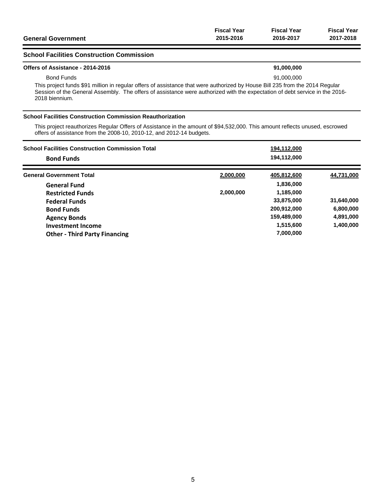|                           | <b>Fiscal Year</b> | Fiscal Year | <b>Fiscal Year</b> |
|---------------------------|--------------------|-------------|--------------------|
| <b>General Government</b> | 2015-2016          | 2016-2017   | 2017-2018          |
|                           |                    |             |                    |

### **School Facilities Construction Commission**

#### **Offers of Assistance - 2014-2016 91,000,000**

Bond Funds 91,000,000

This project funds \$91 million in regular offers of assistance that were authorized by House Bill 235 from the 2014 Regular Session of the General Assembly. The offers of assistance were authorized with the expectation of debt service in the 2016- 2018 biennium.

#### **School Facilities Construction Commission Reauthorization**

This project reauthorizes Regular Offers of Assistance in the amount of \$94,532,000. This amount reflects unused, escrowed offers of assistance from the 2008-10, 2010-12, and 2012-14 budgets.

| <b>School Facilities Construction Commission Total</b><br><b>Bond Funds</b> |           | 194,112,000<br>194,112,000 |            |
|-----------------------------------------------------------------------------|-----------|----------------------------|------------|
|                                                                             |           |                            |            |
| <b>General Government Total</b>                                             | 2,000,000 | 405,812,600                | 44,731,000 |
| <b>General Fund</b>                                                         |           | 1,836,000                  |            |
| <b>Restricted Funds</b>                                                     | 2,000,000 | 1,185,000                  |            |
| <b>Federal Funds</b>                                                        |           | 33,875,000                 | 31,640,000 |
| <b>Bond Funds</b>                                                           |           | 200,912,000                | 6,800,000  |
| <b>Agency Bonds</b>                                                         |           | 159,489,000                | 4,891,000  |
| Investment Income                                                           |           | 1,515,600                  | 1,400,000  |
| <b>Other - Third Party Financing</b>                                        |           | 7,000,000                  |            |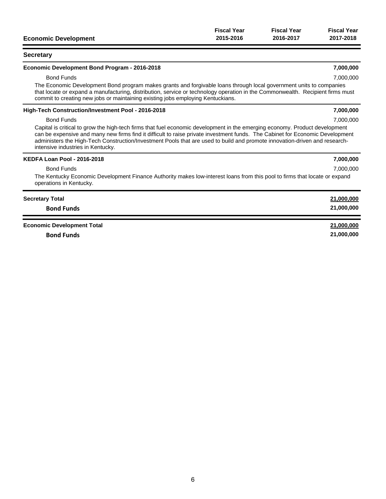|                             | <b>Fiscal Year</b> | <b>Fiscal Year</b> | <b>Fiscal Year</b> |
|-----------------------------|--------------------|--------------------|--------------------|
| <b>Economic Development</b> | 2015-2016          | 2016-2017          | 2017-2018          |

### **Secretary**

#### **Economic Development Bond Program - 2016-2018 7,000,000**

#### Bond Funds 7,000,000

The Economic Development Bond program makes grants and forgivable loans through local government units to companies that locate or expand a manufacturing, distribution, service or technology operation in the Commonwealth. Recipient firms must commit to creating new jobs or maintaining existing jobs employing Kentuckians.

#### **High-Tech Construction/Investment Pool - 2016-2018 7,000,000**

#### Bond Funds 7,000,000

Capital is critical to grow the high-tech firms that fuel economic development in the emerging economy. Product development can be expensive and many new firms find it difficult to raise private investment funds. The Cabinet for Economic Development administers the High-Tech Construction/Investment Pools that are used to build and promote innovation-driven and researchintensive industries in Kentucky.

| <b>KEDFA Loan Pool - 2016-2018</b>                                                                                                                    | 7,000,000  |
|-------------------------------------------------------------------------------------------------------------------------------------------------------|------------|
| <b>Bond Funds</b>                                                                                                                                     | 7.000.000  |
| The Kentucky Economic Development Finance Authority makes low-interest loans from this pool to firms that locate or expand<br>operations in Kentucky. |            |
| <b>Secretary Total</b>                                                                                                                                | 21,000,000 |
| <b>Bond Funds</b>                                                                                                                                     | 21,000,000 |
|                                                                                                                                                       |            |

6

# **Economic Development Total 21,000,000**

**Bond Funds 21,000,000**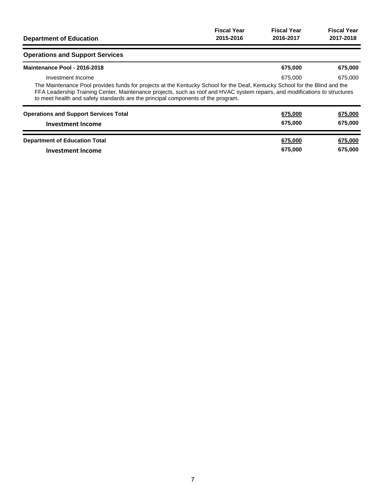| <b>Department of Education</b>                                                                                                                                                                                                                                                                                                                                      | <b>Fiscal Year</b> | <b>Fiscal Year</b> | <b>Fiscal Year</b> |
|---------------------------------------------------------------------------------------------------------------------------------------------------------------------------------------------------------------------------------------------------------------------------------------------------------------------------------------------------------------------|--------------------|--------------------|--------------------|
|                                                                                                                                                                                                                                                                                                                                                                     | 2015-2016          | 2016-2017          | 2017-2018          |
| <b>Operations and Support Services</b>                                                                                                                                                                                                                                                                                                                              |                    |                    |                    |
| Maintenance Pool - 2016-2018                                                                                                                                                                                                                                                                                                                                        |                    | 675,000            | 675,000            |
| Investment Income<br>The Maintenance Pool provides funds for projects at the Kentucky School for the Deaf, Kentucky School for the Blind and the<br>FFA Leadership Training Center. Maintenance projects, such as roof and HVAC system repairs, and modifications to structures<br>to meet health and safety standards are the principal components of the program. |                    | 675,000            | 675,000            |
| <b>Operations and Support Services Total</b>                                                                                                                                                                                                                                                                                                                        |                    | 675,000            | 675,000            |
| <b>Investment Income</b>                                                                                                                                                                                                                                                                                                                                            |                    | 675,000            | 675,000            |
| <b>Department of Education Total</b>                                                                                                                                                                                                                                                                                                                                |                    | 675,000            | 675,000            |
| Investment Income                                                                                                                                                                                                                                                                                                                                                   |                    | 675,000            | 675,000            |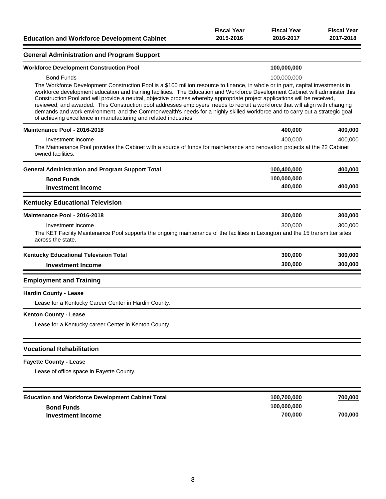**General Administration and Program Support**

### **Workforce Development Construction Pool 100,000,000** Bond Funds 100,000,000 The Workforce Development Construction Pool is a \$100 million resource to finance, in whole or in part, capital investments in workforce development education and training facilities. The Education and Workforce Development Cabinet will administer this Construction Pool and will provide a neutral, objective process whereby appropriate project applications will be received, reviewed, and awarded. This Construction pool addresses employers' needs to recruit a workforce that will align with changing demands and work environment, and the Commonwealth's needs for a highly skilled workforce and to carry out a strategic goal

| of achieving excellence in manufacturing and related industries.                                                                                    |             |         |
|-----------------------------------------------------------------------------------------------------------------------------------------------------|-------------|---------|
| Maintenance Pool - 2016-2018                                                                                                                        | 400,000     | 400,000 |
| Investment Income                                                                                                                                   | 400.000     | 400.000 |
| The Maintenance Pool provides the Cabinet with a source of funds for maintenance and renovation projects at the 22 Cabinet<br>owned facilities.     |             |         |
| <b>General Administration and Program Support Total</b>                                                                                             | 100,400,000 | 400,000 |
| <b>Bond Funds</b>                                                                                                                                   | 100,000,000 |         |
| <b>Investment Income</b>                                                                                                                            | 400,000     | 400,000 |
| <b>Kentucky Educational Television</b>                                                                                                              |             |         |
| Maintenance Pool - 2016-2018                                                                                                                        | 300,000     | 300,000 |
| Investment Income                                                                                                                                   | 300,000     | 300.000 |
| The KET Facility Maintenance Pool supports the ongoing maintenance of the facilities in Lexington and the 15 transmitter sites<br>across the state. |             |         |
| <b>Kentucky Educational Television Total</b>                                                                                                        | 300,000     | 300,000 |
| <b>Investment Income</b>                                                                                                                            | 300,000     | 300,000 |
| <b>Employment and Training</b>                                                                                                                      |             |         |
| <b>Hardin County - Lease</b>                                                                                                                        |             |         |
| Lease for a Kentucky Career Center in Hardin County.                                                                                                |             |         |

#### **Kenton County - Lease**

Lease for a Kentucky career Center in Kenton County.

#### **Vocational Rehabilitation**

#### **Fayette County - Lease**

Lease of office space in Fayette County.

| <b>Education and Workforce Development Cabinet Total</b> | 100,700,000 | 700,000 |
|----------------------------------------------------------|-------------|---------|
| <b>Bond Funds</b>                                        | 100.000.000 |         |
| <b>Investment Income</b>                                 | 700.000     | 700.000 |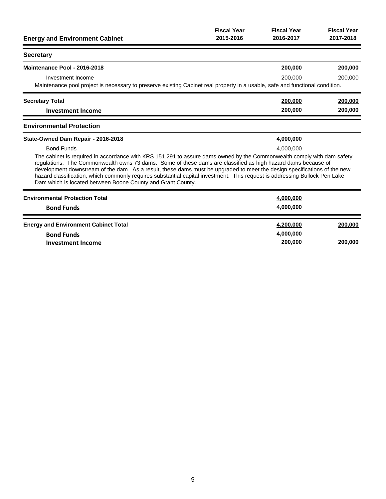| <b>Energy and Environment Cabinet</b>                                                                                                                                                                                                                                                                                                                                                                                                                                                                                                                           | <b>Fiscal Year</b><br>2015-2016 | <b>Fiscal Year</b><br>2016-2017 | <b>Fiscal Year</b><br>2017-2018 |
|-----------------------------------------------------------------------------------------------------------------------------------------------------------------------------------------------------------------------------------------------------------------------------------------------------------------------------------------------------------------------------------------------------------------------------------------------------------------------------------------------------------------------------------------------------------------|---------------------------------|---------------------------------|---------------------------------|
| <b>Secretary</b>                                                                                                                                                                                                                                                                                                                                                                                                                                                                                                                                                |                                 |                                 |                                 |
| Maintenance Pool - 2016-2018                                                                                                                                                                                                                                                                                                                                                                                                                                                                                                                                    |                                 | 200,000                         | 200,000                         |
| Investment Income                                                                                                                                                                                                                                                                                                                                                                                                                                                                                                                                               |                                 | 200,000                         | 200,000                         |
| Maintenance pool project is necessary to preserve existing Cabinet real property in a usable, safe and functional condition.                                                                                                                                                                                                                                                                                                                                                                                                                                    |                                 |                                 |                                 |
| <b>Secretary Total</b>                                                                                                                                                                                                                                                                                                                                                                                                                                                                                                                                          |                                 | 200,000                         | 200,000                         |
| <b>Investment Income</b>                                                                                                                                                                                                                                                                                                                                                                                                                                                                                                                                        |                                 | 200,000                         | 200,000                         |
| <b>Environmental Protection</b>                                                                                                                                                                                                                                                                                                                                                                                                                                                                                                                                 |                                 |                                 |                                 |
| State-Owned Dam Repair - 2016-2018                                                                                                                                                                                                                                                                                                                                                                                                                                                                                                                              |                                 | 4,000,000                       |                                 |
| <b>Bond Funds</b>                                                                                                                                                                                                                                                                                                                                                                                                                                                                                                                                               |                                 | 4.000.000                       |                                 |
| The cabinet is required in accordance with KRS 151.291 to assure dams owned by the Commonwealth comply with dam safety<br>regulations. The Commonwealth owns 73 dams. Some of these dams are classified as high hazard dams because of<br>development downstream of the dam. As a result, these dams must be upgraded to meet the design specifications of the new<br>hazard classification, which commonly requires substantial capital investment. This request is addressing Bullock Pen Lake<br>Dam which is located between Boone County and Grant County. |                                 |                                 |                                 |
| <b>Environmental Protection Total</b>                                                                                                                                                                                                                                                                                                                                                                                                                                                                                                                           |                                 | 4,000,000                       |                                 |
| <b>Bond Funds</b>                                                                                                                                                                                                                                                                                                                                                                                                                                                                                                                                               |                                 | 4,000,000                       |                                 |
| <b>Energy and Environment Cabinet Total</b>                                                                                                                                                                                                                                                                                                                                                                                                                                                                                                                     |                                 | 4,200,000                       | 200,000                         |
| <b>Bond Funds</b>                                                                                                                                                                                                                                                                                                                                                                                                                                                                                                                                               |                                 | 4,000,000                       |                                 |
| <b>Investment Income</b>                                                                                                                                                                                                                                                                                                                                                                                                                                                                                                                                        |                                 | 200,000                         | 200,000                         |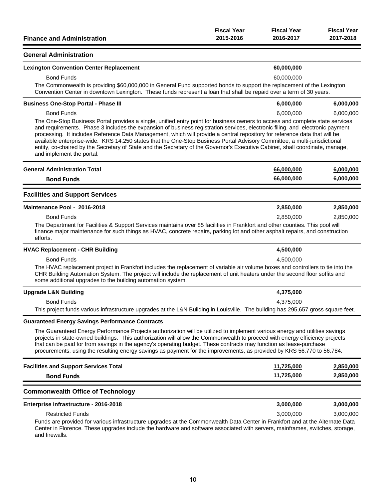|                                   | <b>Fiscal Year</b> | <b>Fiscal Year</b> | <b>Fiscal Year</b> |
|-----------------------------------|--------------------|--------------------|--------------------|
| <b>Finance and Administration</b> | 2015-2016          | 2016-2017          | 2017-2018          |
|                                   |                    |                    |                    |
| <b>General Administration</b>     |                    |                    |                    |

**Lexington Convention Center Replacement 60,000,000**

| <b>Bond Funds</b>                                                                                                                                                                                                                                                                                                                                                                                                                                                                                                                                                                                                                                                                       | 60,000,000 |           |
|-----------------------------------------------------------------------------------------------------------------------------------------------------------------------------------------------------------------------------------------------------------------------------------------------------------------------------------------------------------------------------------------------------------------------------------------------------------------------------------------------------------------------------------------------------------------------------------------------------------------------------------------------------------------------------------------|------------|-----------|
| The Commonwealth is providing \$60,000,000 in General Fund supported bonds to support the replacement of the Lexington<br>Convention Center in downtown Lexington. These funds represent a loan that shall be repaid over a term of 30 years.                                                                                                                                                                                                                                                                                                                                                                                                                                           |            |           |
| <b>Business One-Stop Portal - Phase III</b>                                                                                                                                                                                                                                                                                                                                                                                                                                                                                                                                                                                                                                             | 6,000,000  | 6,000,000 |
| <b>Bond Funds</b>                                                                                                                                                                                                                                                                                                                                                                                                                                                                                                                                                                                                                                                                       | 6,000,000  | 6,000,000 |
| The One-Stop Business Portal provides a single, unified entry point for business owners to access and complete state services<br>and requirements. Phase 3 includes the expansion of business registration services, electronic filing, and electronic payment<br>processing. It includes Reference Data Management, which will provide a central repository for reference data that will be<br>available enterprise-wide. KRS 14.250 states that the One-Stop Business Portal Advisory Committee, a multi-jurisdictional<br>entity, co-chaired by the Secretary of State and the Secretary of the Governor's Executive Cabinet, shall coordinate, manage,<br>and implement the portal. |            |           |
| <b>General Administration Total</b>                                                                                                                                                                                                                                                                                                                                                                                                                                                                                                                                                                                                                                                     | 66,000,000 | 6,000,000 |
| <b>Bond Funds</b>                                                                                                                                                                                                                                                                                                                                                                                                                                                                                                                                                                                                                                                                       | 66,000,000 | 6,000,000 |
| <b>Facilities and Support Services</b>                                                                                                                                                                                                                                                                                                                                                                                                                                                                                                                                                                                                                                                  |            |           |
| Maintenance Pool - 2016-2018                                                                                                                                                                                                                                                                                                                                                                                                                                                                                                                                                                                                                                                            | 2,850,000  | 2,850,000 |
| <b>Bond Funds</b>                                                                                                                                                                                                                                                                                                                                                                                                                                                                                                                                                                                                                                                                       | 2,850,000  | 2,850,000 |
| The Department for Facilities & Support Services maintains over 85 facilities in Frankfort and other counties. This pool will<br>finance major maintenance for such things as HVAC, concrete repairs, parking lot and other asphalt repairs, and construction<br>efforts.                                                                                                                                                                                                                                                                                                                                                                                                               |            |           |
| <b>HVAC Replacement - CHR Building</b>                                                                                                                                                                                                                                                                                                                                                                                                                                                                                                                                                                                                                                                  | 4,500,000  |           |
| <b>Bond Funds</b>                                                                                                                                                                                                                                                                                                                                                                                                                                                                                                                                                                                                                                                                       | 4,500,000  |           |
| The HVAC replacement project in Frankfort includes the replacement of variable air volume boxes and controllers to tie into the<br>CHR Building Automation System. The project will include the replacement of unit heaters under the second floor soffits and<br>some additional upgrades to the building automation system.                                                                                                                                                                                                                                                                                                                                                           |            |           |
| <b>Upgrade L&amp;N Building</b>                                                                                                                                                                                                                                                                                                                                                                                                                                                                                                                                                                                                                                                         | 4,375,000  |           |
| <b>Bond Funds</b>                                                                                                                                                                                                                                                                                                                                                                                                                                                                                                                                                                                                                                                                       | 4,375,000  |           |
| This project funds various infrastructure upgrades at the L&N Building in Louisville. The building has 295,657 gross square feet.                                                                                                                                                                                                                                                                                                                                                                                                                                                                                                                                                       |            |           |
| <b>Guaranteed Energy Savings Performance Contracts</b>                                                                                                                                                                                                                                                                                                                                                                                                                                                                                                                                                                                                                                  |            |           |

The Guaranteed Energy Performance Projects authorization will be utilized to implement various energy and utilities savings projects in state-owned buildings. This authorization will allow the Commonwealth to proceed with energy efficiency projects that can be paid for from savings in the agency's operating budget. These contracts may function as lease-purchase procurements, using the resulting energy savings as payment for the improvements, as provided by KRS 56.770 to 56.784.

| <b>Facilities and Support Services Total</b> | 11.725.000 | 2.850.000 |
|----------------------------------------------|------------|-----------|
| <b>Bond Funds</b>                            | 11.725.000 | 2,850,000 |
|                                              |            |           |

# **Commonwealth Office of Technology**

| Enterprise Infrastructure - 2016-2018                                                                                         | 3.000.000 | 3.000.000 |
|-------------------------------------------------------------------------------------------------------------------------------|-----------|-----------|
| <b>Restricted Funds</b>                                                                                                       | 3.000.000 | 3.000.000 |
| Funds are provided for various infrastructure upgrades at the Commonwealth Data Center in Frankfort and at the Alternate Data |           |           |

Center in Florence. These upgrades include the hardware and software associated with servers, mainframes, switches, storage, and firewalls.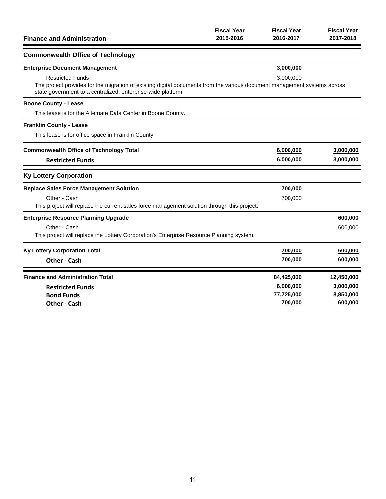| <b>Finance and Administration</b>                                                                                                                                                                                   | <b>Fiscal Year</b><br>2015-2016 | <b>Fiscal Year</b><br>2016-2017 | <b>Fiscal Year</b><br>2017-2018 |
|---------------------------------------------------------------------------------------------------------------------------------------------------------------------------------------------------------------------|---------------------------------|---------------------------------|---------------------------------|
| <b>Commonwealth Office of Technology</b>                                                                                                                                                                            |                                 |                                 |                                 |
| <b>Enterprise Document Management</b>                                                                                                                                                                               |                                 | 3,000,000                       |                                 |
| <b>Restricted Funds</b><br>The project provides for the migration of existing digital documents from the various document management systems across<br>state government to a centralized, enterprise-wide platform. |                                 | 3,000,000                       |                                 |
| <b>Boone County - Lease</b>                                                                                                                                                                                         |                                 |                                 |                                 |
| This lease is for the Alternate Data Center in Boone County.                                                                                                                                                        |                                 |                                 |                                 |
| <b>Franklin County - Lease</b>                                                                                                                                                                                      |                                 |                                 |                                 |
| This lease is for office space in Franklin County.                                                                                                                                                                  |                                 |                                 |                                 |
| <b>Commonwealth Office of Technology Total</b>                                                                                                                                                                      |                                 | 6,000,000                       | 3,000,000                       |
| <b>Restricted Funds</b>                                                                                                                                                                                             |                                 | 6,000,000                       | 3,000,000                       |
| <b>Ky Lottery Corporation</b>                                                                                                                                                                                       |                                 |                                 |                                 |
| <b>Replace Sales Force Management Solution</b>                                                                                                                                                                      |                                 | 700,000                         |                                 |
| Other - Cash<br>This project will replace the current sales force management solution through this project.                                                                                                         |                                 | 700,000                         |                                 |
| <b>Enterprise Resource Planning Upgrade</b>                                                                                                                                                                         |                                 |                                 | 600,000                         |
| Other - Cash                                                                                                                                                                                                        |                                 |                                 | 600,000                         |
| This project will replace the Lottery Corporation's Enterprise Resource Planning system.                                                                                                                            |                                 |                                 |                                 |
| <b>Ky Lottery Corporation Total</b>                                                                                                                                                                                 |                                 | 700,000                         | 600,000                         |
| <b>Other - Cash</b>                                                                                                                                                                                                 |                                 | 700,000                         | 600,000                         |
| <b>Finance and Administration Total</b>                                                                                                                                                                             |                                 | 84,425,000                      | 12,450,000                      |
| <b>Restricted Funds</b>                                                                                                                                                                                             |                                 | 6,000,000                       | 3,000,000                       |
| <b>Bond Funds</b>                                                                                                                                                                                                   |                                 | 77,725,000                      | 8,850,000                       |
| <b>Other - Cash</b>                                                                                                                                                                                                 |                                 | 700,000                         | 600,000                         |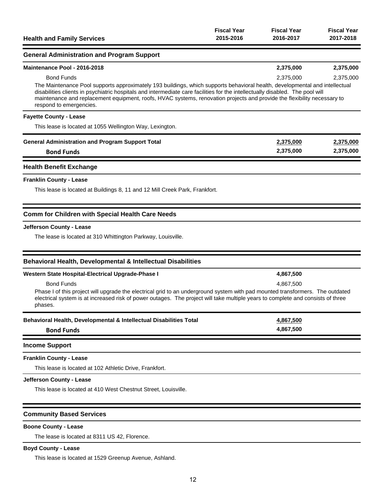| <b>Health and Family Services</b>                                                                                                                                                                                                                                                                                                                                                                                                        | <b>Fiscal Year</b><br>2015-2016 | <b>Fiscal Year</b><br>2016-2017 | <b>Fiscal Year</b><br>2017-2018 |
|------------------------------------------------------------------------------------------------------------------------------------------------------------------------------------------------------------------------------------------------------------------------------------------------------------------------------------------------------------------------------------------------------------------------------------------|---------------------------------|---------------------------------|---------------------------------|
| <b>General Administration and Program Support</b>                                                                                                                                                                                                                                                                                                                                                                                        |                                 |                                 |                                 |
| Maintenance Pool - 2016-2018                                                                                                                                                                                                                                                                                                                                                                                                             |                                 | 2,375,000                       | 2,375,000                       |
| <b>Bond Funds</b><br>The Maintenance Pool supports approximately 193 buildings, which supports behavioral health, developmental and intellectual<br>disabilities clients in psychiatric hospitals and intermediate care facilities for the intellectually disabled. The pool will<br>maintenance and replacement equipment, roofs, HVAC systems, renovation projects and provide the flexibility necessary to<br>respond to emergencies. |                                 | 2,375,000                       | 2,375,000                       |
| <b>Fayette County - Lease</b>                                                                                                                                                                                                                                                                                                                                                                                                            |                                 |                                 |                                 |
| This lease is located at 1055 Wellington Way, Lexington.                                                                                                                                                                                                                                                                                                                                                                                 |                                 |                                 |                                 |
| <b>General Administration and Program Support Total</b>                                                                                                                                                                                                                                                                                                                                                                                  |                                 | 2,375,000                       | 2,375,000                       |
| <b>Bond Funds</b>                                                                                                                                                                                                                                                                                                                                                                                                                        |                                 | 2,375,000                       | 2,375,000                       |
| <b>Health Benefit Exchange</b>                                                                                                                                                                                                                                                                                                                                                                                                           |                                 |                                 |                                 |
| <b>Franklin County - Lease</b>                                                                                                                                                                                                                                                                                                                                                                                                           |                                 |                                 |                                 |
| This lease is located at Buildings 8, 11 and 12 Mill Creek Park, Frankfort.                                                                                                                                                                                                                                                                                                                                                              |                                 |                                 |                                 |
| Comm for Children with Special Health Care Needs                                                                                                                                                                                                                                                                                                                                                                                         |                                 |                                 |                                 |
| Jefferson County - Lease                                                                                                                                                                                                                                                                                                                                                                                                                 |                                 |                                 |                                 |
| The lease is located at 310 Whittington Parkway, Louisville.                                                                                                                                                                                                                                                                                                                                                                             |                                 |                                 |                                 |
| Behavioral Health, Developmental & Intellectual Disabilities                                                                                                                                                                                                                                                                                                                                                                             |                                 |                                 |                                 |
| Western State Hospital-Electrical Upgrade-Phase I                                                                                                                                                                                                                                                                                                                                                                                        |                                 | 4,867,500                       |                                 |
| <b>Bond Funds</b>                                                                                                                                                                                                                                                                                                                                                                                                                        |                                 | 4,867,500                       |                                 |
| Phase I of this project will upgrade the electrical grid to an underground system with pad mounted transformers. The outdated<br>electrical system is at increased risk of power outages. The project will take multiple years to complete and consists of three<br>phases.                                                                                                                                                              |                                 |                                 |                                 |
| Behavioral Health, Developmental & Intellectual Disabilities Total                                                                                                                                                                                                                                                                                                                                                                       |                                 | 4,867,500                       |                                 |
| <b>Bond Funds</b>                                                                                                                                                                                                                                                                                                                                                                                                                        |                                 | 4,867,500                       |                                 |
| <b>Income Support</b>                                                                                                                                                                                                                                                                                                                                                                                                                    |                                 |                                 |                                 |
| <b>Franklin County - Lease</b>                                                                                                                                                                                                                                                                                                                                                                                                           |                                 |                                 |                                 |
| This lease is located at 102 Athletic Drive, Frankfort.                                                                                                                                                                                                                                                                                                                                                                                  |                                 |                                 |                                 |
| Jefferson County - Lease                                                                                                                                                                                                                                                                                                                                                                                                                 |                                 |                                 |                                 |
| This lease is located at 410 West Chestnut Street, Louisville.                                                                                                                                                                                                                                                                                                                                                                           |                                 |                                 |                                 |
| <b>Community Based Services</b>                                                                                                                                                                                                                                                                                                                                                                                                          |                                 |                                 |                                 |

# **Boone County - Lease**

The lease is located at 8311 US 42, Florence.

# **Boyd County - Lease**

This lease is located at 1529 Greenup Avenue, Ashland.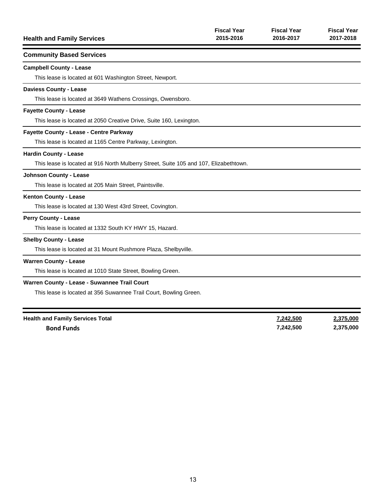| <b>Health and Family Services</b>                                                     | <b>Fiscal Year</b><br>2015-2016 | <b>Fiscal Year</b><br>2016-2017 | <b>Fiscal Year</b><br>2017-2018 |
|---------------------------------------------------------------------------------------|---------------------------------|---------------------------------|---------------------------------|
| <b>Community Based Services</b>                                                       |                                 |                                 |                                 |
| <b>Campbell County - Lease</b>                                                        |                                 |                                 |                                 |
| This lease is located at 601 Washington Street, Newport.                              |                                 |                                 |                                 |
| <b>Daviess County - Lease</b>                                                         |                                 |                                 |                                 |
| This lease is located at 3649 Wathens Crossings, Owensboro.                           |                                 |                                 |                                 |
| <b>Fayette County - Lease</b>                                                         |                                 |                                 |                                 |
| This lease is located at 2050 Creative Drive, Suite 160, Lexington.                   |                                 |                                 |                                 |
| Fayette County - Lease - Centre Parkway                                               |                                 |                                 |                                 |
| This lease is located at 1165 Centre Parkway, Lexington.                              |                                 |                                 |                                 |
| <b>Hardin County - Lease</b>                                                          |                                 |                                 |                                 |
| This lease is located at 916 North Mulberry Street, Suite 105 and 107, Elizabethtown. |                                 |                                 |                                 |
| <b>Johnson County - Lease</b>                                                         |                                 |                                 |                                 |
| This lease is located at 205 Main Street, Paintsville.                                |                                 |                                 |                                 |
| <b>Kenton County - Lease</b>                                                          |                                 |                                 |                                 |
| This lease is located at 130 West 43rd Street, Covington.                             |                                 |                                 |                                 |
| <b>Perry County - Lease</b>                                                           |                                 |                                 |                                 |
| This lease is located at 1332 South KY HWY 15, Hazard.                                |                                 |                                 |                                 |
| <b>Shelby County - Lease</b>                                                          |                                 |                                 |                                 |
| This lease is located at 31 Mount Rushmore Plaza, Shelbyville.                        |                                 |                                 |                                 |
| <b>Warren County - Lease</b>                                                          |                                 |                                 |                                 |
| This lease is located at 1010 State Street, Bowling Green.                            |                                 |                                 |                                 |
| Warren County - Lease - Suwannee Trail Court                                          |                                 |                                 |                                 |
| This lease is located at 356 Suwannee Trail Court, Bowling Green.                     |                                 |                                 |                                 |
| <b>Health and Family Services Total</b>                                               |                                 | 7,242,500                       | 2,375,000                       |

**Bond Funds 7,242,500 2,375,000**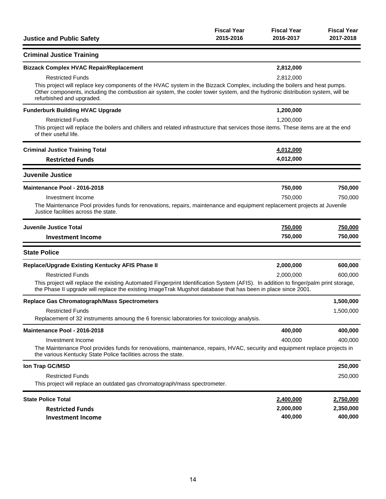| <b>Justice and Public Safety</b>                                                                                                                                                                                                                                                        | <b>Fiscal Year</b><br>2015-2016 | <b>Fiscal Year</b><br>2016-2017 | <b>Fiscal Year</b><br>2017-2018 |
|-----------------------------------------------------------------------------------------------------------------------------------------------------------------------------------------------------------------------------------------------------------------------------------------|---------------------------------|---------------------------------|---------------------------------|
| <b>Criminal Justice Training</b>                                                                                                                                                                                                                                                        |                                 |                                 |                                 |
| <b>Bizzack Complex HVAC Repair/Replacement</b>                                                                                                                                                                                                                                          |                                 | 2,812,000                       |                                 |
| <b>Restricted Funds</b>                                                                                                                                                                                                                                                                 |                                 | 2,812,000                       |                                 |
| This project will replace key components of the HVAC system in the Bizzack Complex, including the boilers and heat pumps.<br>Other components, including the combustion air system, the cooler tower system, and the hydronic distribution system, will be<br>refurbished and upgraded. |                                 |                                 |                                 |
| <b>Funderburk Building HVAC Upgrade</b>                                                                                                                                                                                                                                                 |                                 | 1,200,000                       |                                 |
| <b>Restricted Funds</b>                                                                                                                                                                                                                                                                 |                                 | 1,200,000                       |                                 |
| This project will replace the boilers and chillers and related infrastructure that services those items. These items are at the end<br>of their useful life.                                                                                                                            |                                 |                                 |                                 |
| <b>Criminal Justice Training Total</b>                                                                                                                                                                                                                                                  |                                 | 4,012,000                       |                                 |
| <b>Restricted Funds</b>                                                                                                                                                                                                                                                                 |                                 | 4,012,000                       |                                 |
| <b>Juvenile Justice</b>                                                                                                                                                                                                                                                                 |                                 |                                 |                                 |
| Maintenance Pool - 2016-2018                                                                                                                                                                                                                                                            |                                 | 750,000                         | 750,000                         |
| Investment Income                                                                                                                                                                                                                                                                       |                                 | 750,000                         | 750,000                         |
| The Maintenance Pool provides funds for renovations, repairs, maintenance and equipment replacement projects at Juvenile<br>Justice facilities across the state.                                                                                                                        |                                 |                                 |                                 |
| <b>Juvenile Justice Total</b>                                                                                                                                                                                                                                                           |                                 | 750,000                         | 750,000                         |
| <b>Investment Income</b>                                                                                                                                                                                                                                                                |                                 | 750,000                         | 750,000                         |
| <b>State Police</b>                                                                                                                                                                                                                                                                     |                                 |                                 |                                 |
| Replace/Upgrade Existing Kentucky AFIS Phase II                                                                                                                                                                                                                                         |                                 | 2,000,000                       | 600,000                         |
| <b>Restricted Funds</b>                                                                                                                                                                                                                                                                 |                                 | 2,000,000                       | 600.000                         |
| This project will replace the existing Automated Fingerprint Identification System (AFIS). In addition to finger/palm print storage,<br>the Phase II upgrade will replace the existing ImageTrak Mugshot database that has been in place since 2001.                                    |                                 |                                 |                                 |
| <b>Replace Gas Chromatograph/Mass Spectrometers</b>                                                                                                                                                                                                                                     |                                 |                                 | 1,500,000                       |
| <b>Restricted Funds</b>                                                                                                                                                                                                                                                                 |                                 |                                 | 1,500,000                       |
| Replacement of 32 instruments amoung the 6 forensic laboratories for toxicology analysis.                                                                                                                                                                                               |                                 |                                 |                                 |
| Maintenance Pool - 2016-2018                                                                                                                                                                                                                                                            |                                 | 400,000                         | 400,000                         |
| Investment Income<br>The Maintenance Pool provides funds for renovations, maintenance, repairs, HVAC, security and equipment replace projects in<br>the various Kentucky State Police facilities across the state.                                                                      |                                 | 400,000                         | 400,000                         |
| Ion Trap GC/MSD                                                                                                                                                                                                                                                                         |                                 |                                 | 250,000                         |
| <b>Restricted Funds</b>                                                                                                                                                                                                                                                                 |                                 |                                 | 250,000                         |
| This project will replace an outdated gas chromatograph/mass spectrometer.                                                                                                                                                                                                              |                                 |                                 |                                 |
| <b>State Police Total</b>                                                                                                                                                                                                                                                               |                                 | 2,400,000                       | 2,750,000                       |
| <b>Restricted Funds</b>                                                                                                                                                                                                                                                                 |                                 | 2,000,000                       | 2,350,000                       |
| <b>Investment Income</b>                                                                                                                                                                                                                                                                |                                 | 400,000                         | 400,000                         |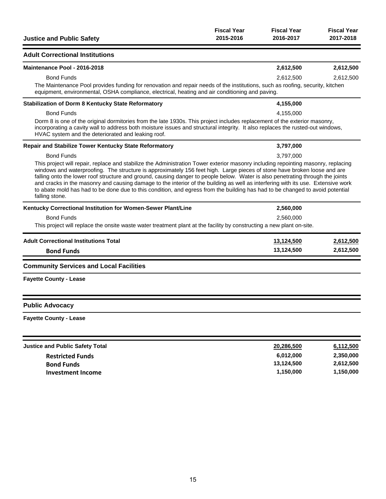| <b>Justice and Public Safety</b>                                                                                                                                                                                                                                                                                                                                                                                                                                                                                                                                                                                                                                                                            | <b>Fiscal Year</b><br>2015-2016 | <b>Fiscal Year</b><br>2016-2017 | <b>Fiscal Year</b><br>2017-2018 |
|-------------------------------------------------------------------------------------------------------------------------------------------------------------------------------------------------------------------------------------------------------------------------------------------------------------------------------------------------------------------------------------------------------------------------------------------------------------------------------------------------------------------------------------------------------------------------------------------------------------------------------------------------------------------------------------------------------------|---------------------------------|---------------------------------|---------------------------------|
| <b>Adult Correctional Institutions</b>                                                                                                                                                                                                                                                                                                                                                                                                                                                                                                                                                                                                                                                                      |                                 |                                 |                                 |
| Maintenance Pool - 2016-2018                                                                                                                                                                                                                                                                                                                                                                                                                                                                                                                                                                                                                                                                                |                                 | 2,612,500                       | 2,612,500                       |
| <b>Bond Funds</b><br>The Maintenance Pool provides funding for renovation and repair needs of the institutions, such as roofing, security, kitchen<br>equipment, environmental, OSHA compliance, electrical, heating and air conditioning and paving.                                                                                                                                                                                                                                                                                                                                                                                                                                                       |                                 | 2,612,500                       | 2,612,500                       |
| <b>Stabilization of Dorm 8 Kentucky State Reformatory</b>                                                                                                                                                                                                                                                                                                                                                                                                                                                                                                                                                                                                                                                   |                                 | 4,155,000                       |                                 |
| <b>Bond Funds</b><br>Dorm 8 is one of the original dormitories from the late 1930s. This project includes replacement of the exterior masonry,<br>incorporating a cavity wall to address both moisture issues and structural integrity. It also replaces the rusted-out windows,                                                                                                                                                                                                                                                                                                                                                                                                                            |                                 | 4,155,000                       |                                 |
| HVAC system and the deteriorated and leaking roof.                                                                                                                                                                                                                                                                                                                                                                                                                                                                                                                                                                                                                                                          |                                 |                                 |                                 |
| Repair and Stabilize Tower Kentucky State Reformatory                                                                                                                                                                                                                                                                                                                                                                                                                                                                                                                                                                                                                                                       |                                 | 3,797,000                       |                                 |
| <b>Bond Funds</b><br>This project will repair, replace and stabilize the Administration Tower exterior masonry including repointing masonry, replacing<br>windows and waterproofing. The structure is approximately 156 feet high. Large pieces of stone have broken loose and are<br>falling onto the lower roof structure and ground, causing danger to people below. Water is also penetrating through the joints<br>and cracks in the masonry and causing damage to the interior of the building as well as interfering with its use. Extensive work<br>to abate mold has had to be done due to this condition, and egress from the building has had to be changed to avoid potential<br>falling stone. |                                 | 3.797.000                       |                                 |
| Kentucky Correctional Institution for Women-Sewer Plant/Line                                                                                                                                                                                                                                                                                                                                                                                                                                                                                                                                                                                                                                                |                                 | 2,560,000                       |                                 |
| <b>Bond Funds</b><br>This project will replace the onsite waste water treatment plant at the facility by constructing a new plant on-site.                                                                                                                                                                                                                                                                                                                                                                                                                                                                                                                                                                  |                                 | 2,560,000                       |                                 |
| <b>Adult Correctional Institutions Total</b><br><b>Bond Funds</b>                                                                                                                                                                                                                                                                                                                                                                                                                                                                                                                                                                                                                                           |                                 | 13,124,500<br>13,124,500        | 2,612,500<br>2,612,500          |
| <b>Community Services and Local Facilities</b>                                                                                                                                                                                                                                                                                                                                                                                                                                                                                                                                                                                                                                                              |                                 |                                 |                                 |
| <b>Fayette County - Lease</b>                                                                                                                                                                                                                                                                                                                                                                                                                                                                                                                                                                                                                                                                               |                                 |                                 |                                 |
| <b>Public Advocacy</b>                                                                                                                                                                                                                                                                                                                                                                                                                                                                                                                                                                                                                                                                                      |                                 |                                 |                                 |
| <b>Fayette County - Lease</b>                                                                                                                                                                                                                                                                                                                                                                                                                                                                                                                                                                                                                                                                               |                                 |                                 |                                 |
| <b>Justice and Public Safety Total</b>                                                                                                                                                                                                                                                                                                                                                                                                                                                                                                                                                                                                                                                                      |                                 | 20,286,500                      | 6,112,500                       |
| <b>Restricted Funds</b>                                                                                                                                                                                                                                                                                                                                                                                                                                                                                                                                                                                                                                                                                     |                                 | 6,012,000                       | 2,350,000                       |

| <b>Restricted Funds</b> |
|-------------------------|
| <b>Bond Funds</b>       |
| Investment Income       |

**Bond Funds 13,124,500 2,612,500 Investment Income 1,150,000 1,150,000**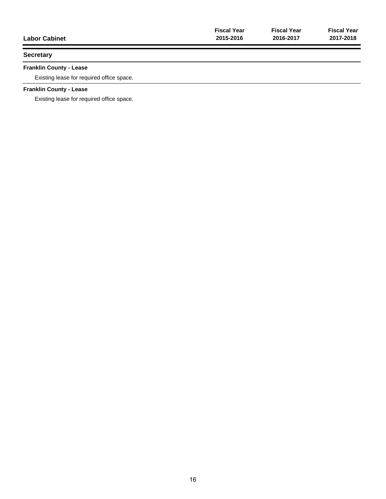| <b>Labor Cabinet</b> | <b>Fiscal Year</b> | <b>Fiscal Year</b> | <b>Fiscal Year</b> |
|----------------------|--------------------|--------------------|--------------------|
|                      | 2015-2016          | 2016-2017          | 2017-2018          |
| <b>Secretary</b>     |                    |                    |                    |

# **Franklin County - Lease**

Existing lease for required office space.

# **Franklin County - Lease**

Existing lease for required office space.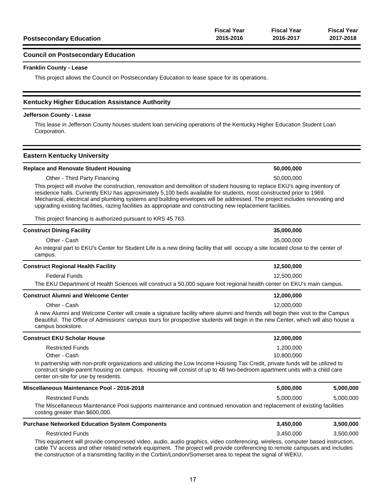| <b>Postsecondary Education</b> | 2015-2016          | 2016-2017          | 2017-2018          |
|--------------------------------|--------------------|--------------------|--------------------|
|                                | <b>Fiscal Year</b> | <b>Fiscal Year</b> | <b>Fiscal Year</b> |

#### **Council on Postsecondary Education**

#### **Franklin County - Lease**

This project allows the Council on Postsecondary Education to lease space for its operations.

#### **Kentucky Higher Education Assistance Authority**

#### **Jefferson County - Lease**

This lease in Jefferson County houses student loan servicing operations of the Kentucky Higher Education Student Loan Corporation.

#### **Eastern Kentucky University**

#### **Replace and Renovate Student Housing 50,000,000**

Other - Third Party Financing 50,000,000

This project will involve the construction, renovation and demolition of student housing to replace EKU's aging inventory of residence halls. Currently EKU has approximately 5,100 beds available for students, most constructed prior to 1969. Mechanical, electrical and plumbing systems and building envelopes will be addressed. The project includes renovating and upgrading existing facilities, razing facilities as appropriate and constructing new replacement facilities.

This project financing is authorized pursuant to KRS 45.763.

| <b>Construct Dining Facility</b>                                                                                                                                                                                                                                                                        | 35,000,000                                                                                                                                      |           |  |
|---------------------------------------------------------------------------------------------------------------------------------------------------------------------------------------------------------------------------------------------------------------------------------------------------------|-------------------------------------------------------------------------------------------------------------------------------------------------|-----------|--|
| Other - Cash<br>campus.                                                                                                                                                                                                                                                                                 | 35.000.000<br>An integral part to EKU's Center for Student Life is a new dining facility that will occupy a site located close to the center of |           |  |
| <b>Construct Regional Health Facility</b>                                                                                                                                                                                                                                                               | 12,500,000                                                                                                                                      |           |  |
| <b>Federal Funds</b><br>The EKU Department of Health Sciences will construct a 50,000 square foot regional health center on EKU's main campus.                                                                                                                                                          | 12,500,000                                                                                                                                      |           |  |
| <b>Construct Alumni and Welcome Center</b>                                                                                                                                                                                                                                                              | 12,000,000                                                                                                                                      |           |  |
| Other - Cash<br>A new Alumni and Welcome Center will create a signature facility where alumni and friends will begin their visit to the Campus<br>Beautiful. The Office of Admissions' campus tours for prospective students will begin in the new Center, which will also house a<br>campus bookstore. | 12,000,000                                                                                                                                      |           |  |
| <b>Construct EKU Scholar House</b>                                                                                                                                                                                                                                                                      | 12,000,000                                                                                                                                      |           |  |
| <b>Restricted Funds</b><br>Other - Cash                                                                                                                                                                                                                                                                 | 1,200,000<br>10.800.000                                                                                                                         |           |  |
| In partnership with non-profit organizations and utilizing the Low Income Housing Tax Credit, private funds will be utilized to<br>construct single-parent housing on campus. Housing will consist of up to 48 two-bedroom apartment units with a child care<br>center on-site for use by residents.    |                                                                                                                                                 |           |  |
| Miscellaneous Maintenance Pool - 2016-2018                                                                                                                                                                                                                                                              | 5,000,000                                                                                                                                       | 5,000,000 |  |
| <b>Restricted Funds</b><br>The Miscellaneous Maintenance Pool supports maintenance and continued renovation and replacement of existing facilities<br>costing greater than \$600,000.                                                                                                                   | 5,000,000                                                                                                                                       | 5,000,000 |  |
| <b>Purchase Networked Education System Components</b>                                                                                                                                                                                                                                                   | 3,450,000                                                                                                                                       | 3,500,000 |  |
| <b>Restricted Funds</b><br>This equipment will provide compressed video, audio, audio graphics, video conferencing, wireless, computer based instruction,                                                                                                                                               | 3,450,000                                                                                                                                       | 3,500,000 |  |

This equipment will provide compressed video, audio, audio graphics, video conferencing, wireless, computer based instruction, cable TV access and other related network equipment. The project will provide conferencing to remote campuses and includes the construction of a transmitting facility in the Corbin/London/Somerset area to repeat the signal of WEKU.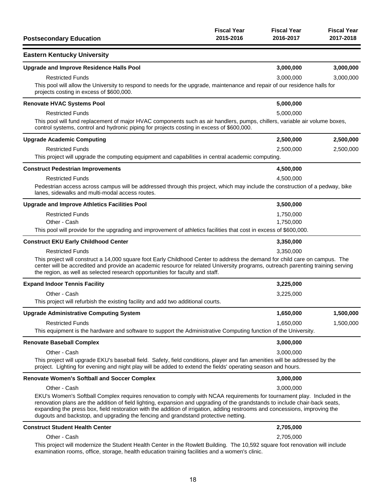| <b>Postsecondary Education</b>                                                                                                                                                                                                                                                                                                                                                                                                                                                                | <b>Fiscal Year</b><br>2015-2016 | <b>Fiscal Year</b><br>2016-2017 | <b>Fiscal Year</b><br>2017-2018 |
|-----------------------------------------------------------------------------------------------------------------------------------------------------------------------------------------------------------------------------------------------------------------------------------------------------------------------------------------------------------------------------------------------------------------------------------------------------------------------------------------------|---------------------------------|---------------------------------|---------------------------------|
| <b>Eastern Kentucky University</b>                                                                                                                                                                                                                                                                                                                                                                                                                                                            |                                 |                                 |                                 |
| <b>Upgrade and Improve Residence Halls Pool</b>                                                                                                                                                                                                                                                                                                                                                                                                                                               |                                 | 3,000,000                       | 3,000,000                       |
| <b>Restricted Funds</b><br>This pool will allow the University to respond to needs for the upgrade, maintenance and repair of our residence halls for<br>projects costing in excess of \$600,000.                                                                                                                                                                                                                                                                                             |                                 | 3,000,000                       | 3,000,000                       |
| <b>Renovate HVAC Systems Pool</b>                                                                                                                                                                                                                                                                                                                                                                                                                                                             |                                 | 5,000,000                       |                                 |
| <b>Restricted Funds</b><br>This pool will fund replacement of major HVAC components such as air handlers, pumps, chillers, variable air volume boxes,<br>control systems, control and hydronic piping for projects costing in excess of \$600,000.                                                                                                                                                                                                                                            |                                 | 5,000,000                       |                                 |
| <b>Upgrade Academic Computing</b>                                                                                                                                                                                                                                                                                                                                                                                                                                                             |                                 | 2,500,000                       | 2,500,000                       |
| <b>Restricted Funds</b><br>This project will upgrade the computing equipment and capabilities in central academic computing.                                                                                                                                                                                                                                                                                                                                                                  |                                 | 2,500,000                       | 2,500,000                       |
| <b>Construct Pedestrian Improvements</b>                                                                                                                                                                                                                                                                                                                                                                                                                                                      |                                 | 4,500,000                       |                                 |
| <b>Restricted Funds</b><br>Pedestrian access across campus will be addressed through this project, which may include the construction of a pedway, bike<br>lanes, sidewalks and multi-modal access routes.                                                                                                                                                                                                                                                                                    |                                 | 4,500,000                       |                                 |
| <b>Upgrade and Improve Athletics Facilities Pool</b>                                                                                                                                                                                                                                                                                                                                                                                                                                          |                                 | 3,500,000                       |                                 |
| <b>Restricted Funds</b><br>Other - Cash<br>This pool will provide for the upgrading and improvement of athletics facilities that cost in excess of \$600,000.                                                                                                                                                                                                                                                                                                                                 |                                 | 1,750,000<br>1,750,000          |                                 |
| <b>Construct EKU Early Childhood Center</b>                                                                                                                                                                                                                                                                                                                                                                                                                                                   |                                 | 3,350,000                       |                                 |
| <b>Restricted Funds</b><br>This project will construct a 14,000 square foot Early Childhood Center to address the demand for child care on campus. The<br>center will be accredited and provide an academic resource for related University programs, outreach parenting training serving<br>the region, as well as selected research opportunities for faculty and staff.                                                                                                                    |                                 | 3,350,000                       |                                 |
| <b>Expand Indoor Tennis Facility</b>                                                                                                                                                                                                                                                                                                                                                                                                                                                          |                                 | 3,225,000                       |                                 |
| Other - Cash<br>This project will refurbish the existing facility and add two additional courts.                                                                                                                                                                                                                                                                                                                                                                                              |                                 | 3,225,000                       |                                 |
| <b>Upgrade Administrative Computing System</b>                                                                                                                                                                                                                                                                                                                                                                                                                                                |                                 | 1,650,000                       | 1,500,000                       |
| <b>Restricted Funds</b><br>This equipment is the hardware and software to support the Administrative Computing function of the University.                                                                                                                                                                                                                                                                                                                                                    |                                 | 1,650,000                       | 1,500,000                       |
| <b>Renovate Baseball Complex</b>                                                                                                                                                                                                                                                                                                                                                                                                                                                              |                                 | 3,000,000                       |                                 |
| Other - Cash<br>This project will upgrade EKU's baseball field. Safety, field conditions, player and fan amenities will be addressed by the<br>project. Lighting for evening and night play will be added to extend the fields' operating season and hours.                                                                                                                                                                                                                                   |                                 | 3,000,000                       |                                 |
| <b>Renovate Women's Softball and Soccer Complex</b>                                                                                                                                                                                                                                                                                                                                                                                                                                           |                                 | 3,000,000                       |                                 |
| Other - Cash<br>EKU's Women's Softball Complex requires renovation to comply with NCAA requirements for tournament play. Included in the<br>renovation plans are the addition of field lighting, expansion and upgrading of the grandstands to include chair-back seats,<br>expanding the press box, field restoration with the addition of irrigation, adding restrooms and concessions, improving the<br>dugouts and backstop, and upgrading the fencing and grandstand protective netting. |                                 | 3,000,000                       |                                 |
| <b>Construct Student Health Center</b>                                                                                                                                                                                                                                                                                                                                                                                                                                                        |                                 | 2,705,000                       |                                 |
| Other - Cash<br>This project will modernize the Student Health Center in the Rowlett Building. The 10,592 square foot renovation will include<br>examination rooms, office, storage, health education training facilities and a women's clinic.                                                                                                                                                                                                                                               |                                 | 2,705,000                       |                                 |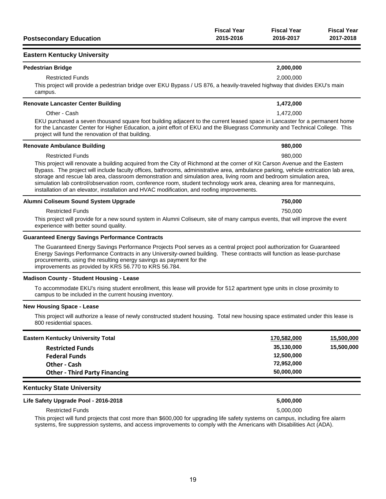| <b>Postsecondary Education</b>                                                                                                                                                                                                                                                                                                                                                                                                                                                                                                                                                                                 | <b>Fiscal Year</b><br>2015-2016 | <b>Fiscal Year</b><br>2016-2017 | <b>Fiscal Year</b><br>2017-2018 |  |
|----------------------------------------------------------------------------------------------------------------------------------------------------------------------------------------------------------------------------------------------------------------------------------------------------------------------------------------------------------------------------------------------------------------------------------------------------------------------------------------------------------------------------------------------------------------------------------------------------------------|---------------------------------|---------------------------------|---------------------------------|--|
| <b>Eastern Kentucky University</b>                                                                                                                                                                                                                                                                                                                                                                                                                                                                                                                                                                             |                                 |                                 |                                 |  |
| <b>Pedestrian Bridge</b>                                                                                                                                                                                                                                                                                                                                                                                                                                                                                                                                                                                       |                                 | 2,000,000                       |                                 |  |
| <b>Restricted Funds</b>                                                                                                                                                                                                                                                                                                                                                                                                                                                                                                                                                                                        |                                 | 2,000,000                       |                                 |  |
| This project will provide a pedestrian bridge over EKU Bypass / US 876, a heavily-traveled highway that divides EKU's main<br>campus.                                                                                                                                                                                                                                                                                                                                                                                                                                                                          |                                 |                                 |                                 |  |
| <b>Renovate Lancaster Center Building</b>                                                                                                                                                                                                                                                                                                                                                                                                                                                                                                                                                                      |                                 | 1,472,000                       |                                 |  |
| Other - Cash                                                                                                                                                                                                                                                                                                                                                                                                                                                                                                                                                                                                   |                                 | 1,472,000                       |                                 |  |
| EKU purchased a seven thousand square foot building adjacent to the current leased space in Lancaster for a permanent home<br>for the Lancaster Center for Higher Education, a joint effort of EKU and the Bluegrass Community and Technical College. This<br>project will fund the renovation of that building.                                                                                                                                                                                                                                                                                               |                                 |                                 |                                 |  |
| <b>Renovate Ambulance Building</b>                                                                                                                                                                                                                                                                                                                                                                                                                                                                                                                                                                             |                                 | 980,000                         |                                 |  |
| <b>Restricted Funds</b>                                                                                                                                                                                                                                                                                                                                                                                                                                                                                                                                                                                        |                                 | 980,000                         |                                 |  |
| This project will renovate a building acquired from the City of Richmond at the corner of Kit Carson Avenue and the Eastern<br>Bypass. The project will include faculty offices, bathrooms, administrative area, ambulance parking, vehicle extrication lab area,<br>storage and rescue lab area, classroom demonstration and simulation area, living room and bedroom simulation area,<br>simulation lab control/observation room, conference room, student technology work area, cleaning area for mannequins,<br>installation of an elevator, installation and HVAC modification, and roofing improvements. |                                 |                                 |                                 |  |
| Alumni Coliseum Sound System Upgrade                                                                                                                                                                                                                                                                                                                                                                                                                                                                                                                                                                           |                                 | 750,000                         |                                 |  |
| <b>Restricted Funds</b>                                                                                                                                                                                                                                                                                                                                                                                                                                                                                                                                                                                        |                                 | 750,000                         |                                 |  |
| This project will provide for a new sound system in Alumni Coliseum, site of many campus events, that will improve the event<br>experience with better sound quality.                                                                                                                                                                                                                                                                                                                                                                                                                                          |                                 |                                 |                                 |  |
| <b>Guaranteed Energy Savings Performance Contracts</b>                                                                                                                                                                                                                                                                                                                                                                                                                                                                                                                                                         |                                 |                                 |                                 |  |
| The Guaranteed Energy Savings Performance Projects Pool serves as a central project pool authorization for Guaranteed<br>Energy Savings Performance Contracts in any University-owned building. These contracts will function as lease-purchase<br>procurements, using the resulting energy savings as payment for the<br>improvements as provided by KRS 56.770 to KRS 56.784.                                                                                                                                                                                                                                |                                 |                                 |                                 |  |
| <b>Madison County - Student Housing - Lease</b>                                                                                                                                                                                                                                                                                                                                                                                                                                                                                                                                                                |                                 |                                 |                                 |  |
| To accommodate EKU's rising student enrollment, this lease will provide for 512 apartment type units in close proximity to<br>campus to be included in the current housing inventory.                                                                                                                                                                                                                                                                                                                                                                                                                          |                                 |                                 |                                 |  |
| <b>New Housing Space - Lease</b>                                                                                                                                                                                                                                                                                                                                                                                                                                                                                                                                                                               |                                 |                                 |                                 |  |
| This project will authorize a lease of newly constructed student housing. Total new housing space estimated under this lease is<br>800 residential spaces.                                                                                                                                                                                                                                                                                                                                                                                                                                                     |                                 |                                 |                                 |  |
| <b>Eastern Kentucky University Total</b>                                                                                                                                                                                                                                                                                                                                                                                                                                                                                                                                                                       |                                 | 170,582,000                     | 15,500,000                      |  |
| <b>Restricted Funds</b>                                                                                                                                                                                                                                                                                                                                                                                                                                                                                                                                                                                        |                                 | 35,130,000                      | 15,500,000                      |  |
| <b>Federal Funds</b>                                                                                                                                                                                                                                                                                                                                                                                                                                                                                                                                                                                           |                                 | 12,500,000                      |                                 |  |
| Other - Cash                                                                                                                                                                                                                                                                                                                                                                                                                                                                                                                                                                                                   |                                 | 72,952,000                      |                                 |  |
| <b>Other - Third Party Financing</b>                                                                                                                                                                                                                                                                                                                                                                                                                                                                                                                                                                           |                                 | 50,000,000                      |                                 |  |

### **Life Safety Upgrade Pool - 2016-2018 5,000,000**

Restricted Funds 5,000,000 and 5,000,000 and 5,000,000 and 5,000,000 and 5,000,000 and 5,000,000 and 5,000,000

This project will fund projects that cost more than \$600,000 for upgrading life safety systems on campus, including fire alarm systems, fire suppression systems, and access improvements to comply with the Americans with Disabilities Act (ADA).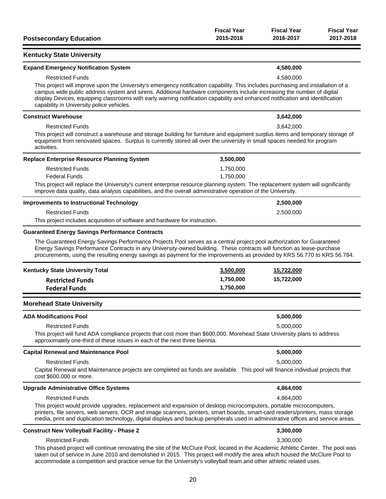| <b>Postsecondary Education</b>                                                                                                                                                                                                                                                                                                                                                                                                                                      | <b>Fiscal Year</b><br>2015-2016 | <b>Fiscal Year</b><br>2016-2017 | <b>Fiscal Year</b><br>2017-2018 |
|---------------------------------------------------------------------------------------------------------------------------------------------------------------------------------------------------------------------------------------------------------------------------------------------------------------------------------------------------------------------------------------------------------------------------------------------------------------------|---------------------------------|---------------------------------|---------------------------------|
| <b>Kentucky State University</b>                                                                                                                                                                                                                                                                                                                                                                                                                                    |                                 |                                 |                                 |
| <b>Expand Emergency Notification System</b>                                                                                                                                                                                                                                                                                                                                                                                                                         |                                 | 4,580,000                       |                                 |
| <b>Restricted Funds</b><br>This project will improve upon the University's emergency notification capability. This includes purchasing and installation of a<br>campus wide public address system and sirens. Additional hardware components include increasing the number of digital<br>display Devices, equipping classrooms with early warning notification capability and enhanced notification and identification<br>capability in University police vehicles. |                                 | 4,580,000                       |                                 |
| <b>Construct Warehouse</b>                                                                                                                                                                                                                                                                                                                                                                                                                                          |                                 | 3,642,000                       |                                 |
| <b>Restricted Funds</b><br>This project will construct a warehouse and storage building for furniture and equipment surplus items and temporary storage of<br>equipment from renovated spaces. Surplus is currently stored all over the university in small spaces needed for program<br>activities.                                                                                                                                                                |                                 | 3,642,000                       |                                 |
| Replace Enterprise Resource Planning System                                                                                                                                                                                                                                                                                                                                                                                                                         | 3,500,000                       |                                 |                                 |
| <b>Restricted Funds</b>                                                                                                                                                                                                                                                                                                                                                                                                                                             | 1,750,000                       |                                 |                                 |
| <b>Federal Funds</b><br>This project will replace the University's current enterprise resource planning system. The replacement system will significantly<br>improve data quality, data analysis capabilities, and the overall administrative operation of the University.                                                                                                                                                                                          | 1,750,000                       |                                 |                                 |
| <b>Improvements to Instructional Technology</b>                                                                                                                                                                                                                                                                                                                                                                                                                     |                                 | 2,500,000                       |                                 |
| <b>Restricted Funds</b>                                                                                                                                                                                                                                                                                                                                                                                                                                             |                                 | 2,500,000                       |                                 |
| This project includes acquisition of software and hardware for instruction.                                                                                                                                                                                                                                                                                                                                                                                         |                                 |                                 |                                 |
| Energy Savings Performance Contracts in any University-owned building. These contracts will function as lease-purchase<br>procurements, using the resulting energy savings as payment for the improvements as provided by KRS 56.770 to KRS 56.784.<br>Kentucky State University Total                                                                                                                                                                              | 3,500,000                       | 15,722,000                      |                                 |
| <b>Restricted Funds</b>                                                                                                                                                                                                                                                                                                                                                                                                                                             | 1,750,000                       | 15,722,000                      |                                 |
| <b>Federal Funds</b>                                                                                                                                                                                                                                                                                                                                                                                                                                                | 1,750,000                       |                                 |                                 |
| <b>Morehead State University</b>                                                                                                                                                                                                                                                                                                                                                                                                                                    |                                 |                                 |                                 |
| <b>ADA Modifications Pool</b>                                                                                                                                                                                                                                                                                                                                                                                                                                       |                                 | 5,000,000                       |                                 |
| <b>Restricted Funds</b><br>This project will fund ADA compliance projects that cost more than \$600,000. Morehead State University plans to address<br>approximately one-third of these issues in each of the next three biennia.                                                                                                                                                                                                                                   |                                 | 5,000,000                       |                                 |
| <b>Capital Renewal and Maintenance Pool</b>                                                                                                                                                                                                                                                                                                                                                                                                                         |                                 | 5,000,000                       |                                 |
| <b>Restricted Funds</b>                                                                                                                                                                                                                                                                                                                                                                                                                                             |                                 | 5,000,000                       |                                 |
| Capital Renewal and Maintenance projects are completed as funds are available. This pool will finance individual projects that<br>cost \$600,000 or more.                                                                                                                                                                                                                                                                                                           |                                 |                                 |                                 |
| <b>Upgrade Administrative Office Systems</b>                                                                                                                                                                                                                                                                                                                                                                                                                        |                                 | 4,864,000                       |                                 |
| <b>Restricted Funds</b>                                                                                                                                                                                                                                                                                                                                                                                                                                             |                                 | 4,864,000                       |                                 |
| This project would provide upgrades, replacement and expansion of desktop microcomputers, portable microcomputers,<br>printers, file servers, web servers, OCR and image scanners, printers, smart boards, smart-card readers/printers, mass storage<br>media, print and duplication technology, digital displays and backup peripherals used in administrative offices and service areas.                                                                          |                                 |                                 |                                 |
| <b>Construct New Volleyball Facility - Phase 2</b>                                                                                                                                                                                                                                                                                                                                                                                                                  |                                 | 3,300,000                       |                                 |
| <b>Restricted Funds</b>                                                                                                                                                                                                                                                                                                                                                                                                                                             |                                 | 3,300,000                       |                                 |
| This phased project will continue renovating the site of the McClure Pool, located in the Academic Athletic Center. The pool was<br>taken out of service in June 2010 and demolished in 2015. This project will modify the area which housed the McClure Pool to<br>accommodate a competition and practice venue for the University's volleyball team and other athletic related uses.                                                                              |                                 |                                 |                                 |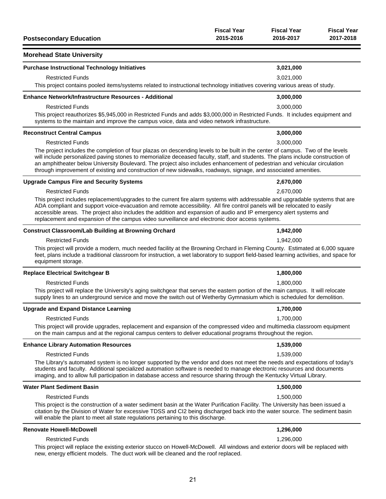| <b>Postsecondary Education</b>                                                                                                                                                                                                                                                                                                                                                                                                                                                                                                               | <b>Fiscal Year</b><br>2015-2016 | <b>Fiscal Year</b><br>2016-2017 | <b>Fiscal Year</b><br>2017-2018 |
|----------------------------------------------------------------------------------------------------------------------------------------------------------------------------------------------------------------------------------------------------------------------------------------------------------------------------------------------------------------------------------------------------------------------------------------------------------------------------------------------------------------------------------------------|---------------------------------|---------------------------------|---------------------------------|
| <b>Morehead State University</b>                                                                                                                                                                                                                                                                                                                                                                                                                                                                                                             |                                 |                                 |                                 |
| <b>Purchase Instructional Technology Initiatives</b>                                                                                                                                                                                                                                                                                                                                                                                                                                                                                         |                                 | 3,021,000                       |                                 |
| <b>Restricted Funds</b><br>This project contains pooled items/systems related to instructional technology initiatives covering various areas of study.                                                                                                                                                                                                                                                                                                                                                                                       |                                 | 3,021,000                       |                                 |
| <b>Enhance Network/Infrastructure Resources - Additional</b>                                                                                                                                                                                                                                                                                                                                                                                                                                                                                 |                                 | 3,000,000                       |                                 |
| <b>Restricted Funds</b><br>This project reauthorizes \$5,945,000 in Restricted Funds and adds \$3,000,000 in Restricted Funds. It includes equipment and<br>systems to the maintain and improve the campus voice, data and video network infrastructure.                                                                                                                                                                                                                                                                                     |                                 | 3,000,000                       |                                 |
| <b>Reconstruct Central Campus</b>                                                                                                                                                                                                                                                                                                                                                                                                                                                                                                            |                                 | 3,000,000                       |                                 |
| <b>Restricted Funds</b><br>The project includes the completion of four plazas on descending levels to be built in the center of campus. Two of the levels<br>will include personalized paving stones to memorialize deceased faculty, staff, and students. The plans include construction of<br>an amphitheater below University Boulevard. The project also includes enhancement of pedestrian and vehicular circulation<br>through improvement of existing and construction of new sidewalks, roadways, signage, and associated amenities. |                                 | 3,000,000                       |                                 |
| <b>Upgrade Campus Fire and Security Systems</b>                                                                                                                                                                                                                                                                                                                                                                                                                                                                                              |                                 | 2,670,000                       |                                 |
| <b>Restricted Funds</b><br>This project includes replacement/upgrades to the current fire alarm systems with addressable and upgradable systems that are<br>ADA compliant and support voice-evacuation and remote accessibility. All fire control panels will be relocated to easily<br>accessible areas. The project also includes the addition and expansion of audio and IP emergency alert systems and                                                                                                                                   |                                 | 2,670,000                       |                                 |
| replacement and expansion of the campus video surveillance and electronic door access systems.                                                                                                                                                                                                                                                                                                                                                                                                                                               |                                 |                                 |                                 |
| <b>Construct Classroom/Lab Building at Browning Orchard</b>                                                                                                                                                                                                                                                                                                                                                                                                                                                                                  |                                 | 1,942,000                       |                                 |
| <b>Restricted Funds</b><br>This project will provide a modern, much needed facility at the Browning Orchard in Fleming County. Estimated at 6,000 square<br>feet, plans include a traditional classroom for instruction, a wet laboratory to support field-based learning activities, and space for<br>equipment storage.                                                                                                                                                                                                                    |                                 | 1,942,000                       |                                 |
| <b>Replace Electrical Switchgear B</b>                                                                                                                                                                                                                                                                                                                                                                                                                                                                                                       |                                 | 1,800,000                       |                                 |
| <b>Restricted Funds</b>                                                                                                                                                                                                                                                                                                                                                                                                                                                                                                                      |                                 | 1,800,000                       |                                 |
| This project will replace the University's aging switchgear that serves the eastern portion of the main campus. It will relocate<br>supply lines to an underground service and move the switch out of Wetherby Gymnasium which is scheduled for demolition.                                                                                                                                                                                                                                                                                  |                                 |                                 |                                 |
| <b>Upgrade and Expand Distance Learning</b>                                                                                                                                                                                                                                                                                                                                                                                                                                                                                                  |                                 | 1,700,000                       |                                 |
| <b>Restricted Funds</b>                                                                                                                                                                                                                                                                                                                                                                                                                                                                                                                      |                                 | 1,700,000                       |                                 |
| This project will provide upgrades, replacement and expansion of the compressed video and multimedia classroom equipment<br>on the main campus and at the regional campus centers to deliver educational programs throughout the region.                                                                                                                                                                                                                                                                                                     |                                 |                                 |                                 |
| <b>Enhance Library Automation Resources</b>                                                                                                                                                                                                                                                                                                                                                                                                                                                                                                  |                                 | 1,539,000                       |                                 |
| <b>Restricted Funds</b>                                                                                                                                                                                                                                                                                                                                                                                                                                                                                                                      |                                 | 1,539,000                       |                                 |
| The Library's automated system is no longer supported by the vendor and does not meet the needs and expectations of today's<br>students and faculty. Additional specialized automation software is needed to manage electronic resources and documents<br>imaging, and to allow full participation in database access and resource sharing through the Kentucky Virtual Library.                                                                                                                                                             |                                 |                                 |                                 |
| <b>Water Plant Sediment Basin</b>                                                                                                                                                                                                                                                                                                                                                                                                                                                                                                            |                                 | 1,500,000                       |                                 |
| <b>Restricted Funds</b>                                                                                                                                                                                                                                                                                                                                                                                                                                                                                                                      |                                 | 1,500,000                       |                                 |
| This project is the construction of a water sediment basin at the Water Purification Facility. The University has been issued a<br>citation by the Division of Water for excessive TDSS and Cl2 being discharged back into the water source. The sediment basin<br>will enable the plant to meet all state regulations pertaining to this discharge.                                                                                                                                                                                         |                                 |                                 |                                 |
| <b>Renovate Howell-McDowell</b>                                                                                                                                                                                                                                                                                                                                                                                                                                                                                                              |                                 | 1,296,000                       |                                 |
| <b>Restricted Funds</b><br>This project will replace the existing exterior stucco on Howell-McDowell. All windows and exterior doors will be replaced with<br>new, energy efficient models. The duct work will be cleaned and the roof replaced.                                                                                                                                                                                                                                                                                             |                                 | 1,296,000                       |                                 |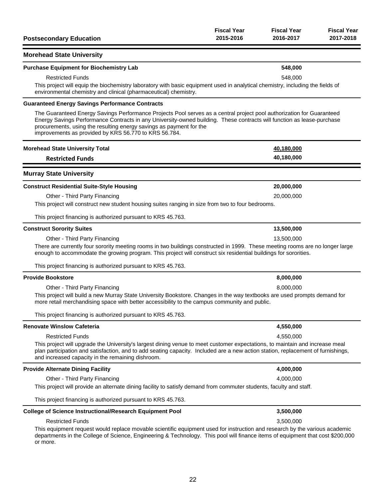| <b>Postsecondary Education</b>                                                                                                                                                                                                                                                                                                                                                  | <b>Fiscal Year</b><br>2015-2016 | <b>Fiscal Year</b><br>2016-2017 | <b>Fiscal Year</b><br>2017-2018 |
|---------------------------------------------------------------------------------------------------------------------------------------------------------------------------------------------------------------------------------------------------------------------------------------------------------------------------------------------------------------------------------|---------------------------------|---------------------------------|---------------------------------|
| <b>Morehead State University</b>                                                                                                                                                                                                                                                                                                                                                |                                 |                                 |                                 |
| <b>Purchase Equipment for Biochemistry Lab</b>                                                                                                                                                                                                                                                                                                                                  |                                 | 548,000                         |                                 |
| <b>Restricted Funds</b>                                                                                                                                                                                                                                                                                                                                                         |                                 | 548,000                         |                                 |
| This project will equip the biochemistry laboratory with basic equipment used in analytical chemistry, including the fields of<br>environmental chemistry and clinical (pharmaceutical) chemistry.                                                                                                                                                                              |                                 |                                 |                                 |
| <b>Guaranteed Energy Savings Performance Contracts</b>                                                                                                                                                                                                                                                                                                                          |                                 |                                 |                                 |
| The Guaranteed Energy Savings Performance Projects Pool serves as a central project pool authorization for Guaranteed<br>Energy Savings Performance Contracts in any University-owned building. These contracts will function as lease-purchase<br>procurements, using the resulting energy savings as payment for the<br>improvements as provided by KRS 56.770 to KRS 56.784. |                                 |                                 |                                 |
| <b>Morehead State University Total</b>                                                                                                                                                                                                                                                                                                                                          |                                 | 40,180,000                      |                                 |
| <b>Restricted Funds</b>                                                                                                                                                                                                                                                                                                                                                         |                                 | 40,180,000                      |                                 |
| <b>Murray State University</b>                                                                                                                                                                                                                                                                                                                                                  |                                 |                                 |                                 |
| <b>Construct Residential Suite-Style Housing</b>                                                                                                                                                                                                                                                                                                                                |                                 | 20,000,000                      |                                 |
| Other - Third Party Financing                                                                                                                                                                                                                                                                                                                                                   |                                 | 20,000,000                      |                                 |
| This project will construct new student housing suites ranging in size from two to four bedrooms.                                                                                                                                                                                                                                                                               |                                 |                                 |                                 |
| This project financing is authorized pursuant to KRS 45.763.                                                                                                                                                                                                                                                                                                                    |                                 |                                 |                                 |
| <b>Construct Sorority Suites</b>                                                                                                                                                                                                                                                                                                                                                |                                 | 13,500,000                      |                                 |
| Other - Third Party Financing                                                                                                                                                                                                                                                                                                                                                   |                                 | 13,500,000                      |                                 |
| There are currently four sorority meeting rooms in two buildings constructed in 1999. These meeting rooms are no longer large<br>enough to accommodate the growing program. This project will construct six residential buildings for sororities.                                                                                                                               |                                 |                                 |                                 |
| This project financing is authorized pursuant to KRS 45.763.                                                                                                                                                                                                                                                                                                                    |                                 |                                 |                                 |
| <b>Provide Bookstore</b>                                                                                                                                                                                                                                                                                                                                                        |                                 | 8,000,000                       |                                 |
| Other - Third Party Financing                                                                                                                                                                                                                                                                                                                                                   |                                 | 8,000,000                       |                                 |
| This project will build a new Murray State University Bookstore. Changes in the way textbooks are used prompts demand for<br>more retail merchandising space with better accessibility to the campus community and public.                                                                                                                                                      |                                 |                                 |                                 |
| This project financing is authorized pursuant to KRS 45.763.                                                                                                                                                                                                                                                                                                                    |                                 |                                 |                                 |
| <b>Renovate Winslow Cafeteria</b>                                                                                                                                                                                                                                                                                                                                               |                                 | 4,550,000                       |                                 |
| <b>Restricted Funds</b>                                                                                                                                                                                                                                                                                                                                                         |                                 | 4,550,000                       |                                 |
| This project will upgrade the University's largest dining venue to meet customer expectations, to maintain and increase meal<br>plan participation and satisfaction, and to add seating capacity. Included are a new action station, replacement of furnishings,<br>and increased capacity in the remaining dishroom.                                                           |                                 |                                 |                                 |
| <b>Provide Alternate Dining Facility</b>                                                                                                                                                                                                                                                                                                                                        |                                 | 4,000,000                       |                                 |
| Other - Third Party Financing                                                                                                                                                                                                                                                                                                                                                   |                                 | 4,000,000                       |                                 |
| This project will provide an alternate dining facility to satisfy demand from commuter students, faculty and staff.                                                                                                                                                                                                                                                             |                                 |                                 |                                 |
| This project financing is authorized pursuant to KRS 45.763.                                                                                                                                                                                                                                                                                                                    |                                 |                                 |                                 |
| <b>College of Science Instructional/Research Equipment Pool</b>                                                                                                                                                                                                                                                                                                                 |                                 | 3,500,000                       |                                 |
| <b>Restricted Funds</b>                                                                                                                                                                                                                                                                                                                                                         |                                 | 3,500,000                       |                                 |
| This equipment request would replace movable scientific equipment used for instruction and research by the various academic<br>departments in the College of Science, Engineering & Technology. This pool will finance items of equipment that cost \$200,000<br>or more.                                                                                                       |                                 |                                 |                                 |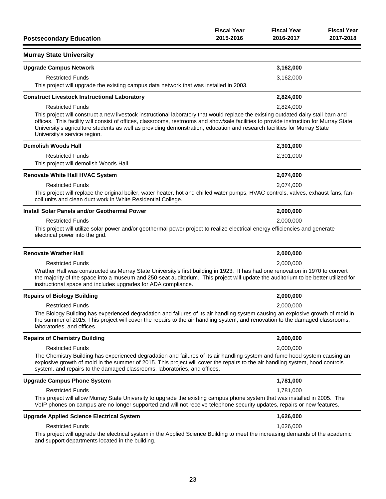| <b>Postsecondary Education</b>                                                                                                                                                                                                                                                                                                                                                                                                           | <b>Fiscal Year</b><br>2015-2016 | <b>Fiscal Year</b><br>2016-2017 | <b>Fiscal Year</b><br>2017-2018 |
|------------------------------------------------------------------------------------------------------------------------------------------------------------------------------------------------------------------------------------------------------------------------------------------------------------------------------------------------------------------------------------------------------------------------------------------|---------------------------------|---------------------------------|---------------------------------|
| <b>Murray State University</b>                                                                                                                                                                                                                                                                                                                                                                                                           |                                 |                                 |                                 |
| <b>Upgrade Campus Network</b>                                                                                                                                                                                                                                                                                                                                                                                                            |                                 | 3,162,000                       |                                 |
| <b>Restricted Funds</b>                                                                                                                                                                                                                                                                                                                                                                                                                  |                                 | 3,162,000                       |                                 |
| This project will upgrade the existing campus data network that was installed in 2003.                                                                                                                                                                                                                                                                                                                                                   |                                 |                                 |                                 |
| <b>Construct Livestock Instructional Laboratory</b>                                                                                                                                                                                                                                                                                                                                                                                      |                                 | 2,824,000                       |                                 |
| <b>Restricted Funds</b>                                                                                                                                                                                                                                                                                                                                                                                                                  |                                 | 2,824,000                       |                                 |
| This project will construct a new livestock instructional laboratory that would replace the existing outdated dairy stall barn and<br>offices. This facility will consist of offices, classrooms, restrooms and show/sale facilities to provide instruction for Murray State<br>University's agriculture students as well as providing demonstration, education and research facilities for Murray State<br>University's service region. |                                 |                                 |                                 |
| <b>Demolish Woods Hall</b>                                                                                                                                                                                                                                                                                                                                                                                                               |                                 | 2,301,000                       |                                 |
| <b>Restricted Funds</b>                                                                                                                                                                                                                                                                                                                                                                                                                  |                                 | 2,301,000                       |                                 |
| This project will demolish Woods Hall.                                                                                                                                                                                                                                                                                                                                                                                                   |                                 |                                 |                                 |
| <b>Renovate White Hall HVAC System</b>                                                                                                                                                                                                                                                                                                                                                                                                   |                                 | 2,074,000                       |                                 |
| <b>Restricted Funds</b>                                                                                                                                                                                                                                                                                                                                                                                                                  |                                 | 2,074,000                       |                                 |
| This project will replace the original boiler, water heater, hot and chilled water pumps, HVAC controls, valves, exhaust fans, fan-<br>coil units and clean duct work in White Residential College.                                                                                                                                                                                                                                      |                                 |                                 |                                 |
| Install Solar Panels and/or Geothermal Power                                                                                                                                                                                                                                                                                                                                                                                             |                                 | 2,000,000                       |                                 |
| <b>Restricted Funds</b>                                                                                                                                                                                                                                                                                                                                                                                                                  |                                 | 2,000,000                       |                                 |
| This project will utilize solar power and/or geothermal power project to realize electrical energy efficiencies and generate<br>electrical power into the grid.                                                                                                                                                                                                                                                                          |                                 |                                 |                                 |
| <b>Renovate Wrather Hall</b>                                                                                                                                                                                                                                                                                                                                                                                                             |                                 | 2,000,000                       |                                 |
| <b>Restricted Funds</b>                                                                                                                                                                                                                                                                                                                                                                                                                  |                                 | 2,000,000                       |                                 |
| Wrather Hall was constructed as Murray State University's first building in 1923. It has had one renovation in 1970 to convert<br>the majority of the space into a museum and 250-seat auditorium. This project will update the auditorium to be better utilized for<br>instructional space and includes upgrades for ADA compliance.                                                                                                    |                                 |                                 |                                 |
| <b>Repairs of Biology Building</b>                                                                                                                                                                                                                                                                                                                                                                                                       |                                 | 2,000,000                       |                                 |
| <b>Restricted Funds</b>                                                                                                                                                                                                                                                                                                                                                                                                                  |                                 | 2,000.000                       |                                 |
| The Biology Building has experienced degradation and failures of its air handling system causing an explosive growth of mold in<br>the summer of 2015. This project will cover the repairs to the air handling system, and renovation to the damaged classrooms,<br>laboratories, and offices.                                                                                                                                           |                                 |                                 |                                 |
| <b>Repairs of Chemistry Building</b>                                                                                                                                                                                                                                                                                                                                                                                                     |                                 | 2,000,000                       |                                 |
| <b>Restricted Funds</b>                                                                                                                                                                                                                                                                                                                                                                                                                  |                                 | 2,000,000                       |                                 |
| The Chemistry Building has experienced degradation and failures of its air handling system and fume hood system causing an<br>explosive growth of mold in the summer of 2015. This project will cover the repairs to the air handling system, hood controls<br>system, and repairs to the damaged classrooms, laboratories, and offices.                                                                                                 |                                 |                                 |                                 |
| <b>Upgrade Campus Phone System</b>                                                                                                                                                                                                                                                                                                                                                                                                       |                                 | 1,781,000                       |                                 |
| <b>Restricted Funds</b>                                                                                                                                                                                                                                                                                                                                                                                                                  |                                 | 1,781,000                       |                                 |
| This project will allow Murray State University to upgrade the existing campus phone system that was installed in 2005. The<br>VoIP phones on campus are no longer supported and will not receive telephone security updates, repairs or new features.                                                                                                                                                                                   |                                 |                                 |                                 |
| <b>Upgrade Applied Science Electrical System</b>                                                                                                                                                                                                                                                                                                                                                                                         |                                 | 1,626,000                       |                                 |
| <b>Restricted Funds</b>                                                                                                                                                                                                                                                                                                                                                                                                                  |                                 | 1,626,000                       |                                 |
| This project will upgrade the electrical system in the Applied Science Building to meet the increasing demands of the academic<br>and support departments located in the building.                                                                                                                                                                                                                                                       |                                 |                                 |                                 |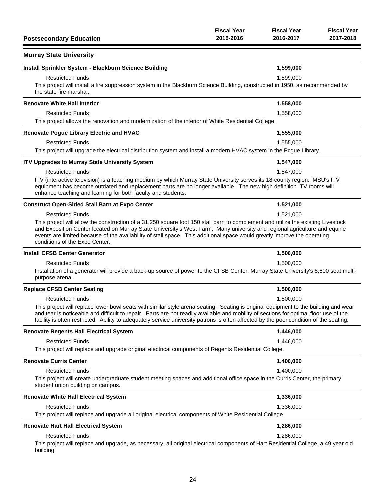| <b>Postsecondary Education</b>                                                                                                                                                                                                                                                                                                                                                                                              | <b>Fiscal Year</b><br>2015-2016 | <b>Fiscal Year</b><br>2016-2017 | <b>Fiscal Year</b><br>2017-2018 |
|-----------------------------------------------------------------------------------------------------------------------------------------------------------------------------------------------------------------------------------------------------------------------------------------------------------------------------------------------------------------------------------------------------------------------------|---------------------------------|---------------------------------|---------------------------------|
| <b>Murray State University</b>                                                                                                                                                                                                                                                                                                                                                                                              |                                 |                                 |                                 |
| Install Sprinkler System - Blackburn Science Building                                                                                                                                                                                                                                                                                                                                                                       |                                 | 1,599,000                       |                                 |
| <b>Restricted Funds</b>                                                                                                                                                                                                                                                                                                                                                                                                     |                                 | 1,599,000                       |                                 |
| This project will install a fire suppression system in the Blackburn Science Building, constructed in 1950, as recommended by<br>the state fire marshal.                                                                                                                                                                                                                                                                    |                                 |                                 |                                 |
| <b>Renovate White Hall Interior</b>                                                                                                                                                                                                                                                                                                                                                                                         |                                 | 1,558,000                       |                                 |
| <b>Restricted Funds</b><br>This project allows the renovation and modernization of the interior of White Residential College.                                                                                                                                                                                                                                                                                               |                                 | 1,558,000                       |                                 |
| <b>Renovate Pogue Library Electric and HVAC</b>                                                                                                                                                                                                                                                                                                                                                                             |                                 | 1,555,000                       |                                 |
| <b>Restricted Funds</b>                                                                                                                                                                                                                                                                                                                                                                                                     |                                 | 1,555,000                       |                                 |
| This project will upgrade the electrical distribution system and install a modern HVAC system in the Pogue Library.                                                                                                                                                                                                                                                                                                         |                                 |                                 |                                 |
| <b>ITV Upgrades to Murray State University System</b>                                                                                                                                                                                                                                                                                                                                                                       |                                 | 1,547,000                       |                                 |
| <b>Restricted Funds</b>                                                                                                                                                                                                                                                                                                                                                                                                     |                                 | 1,547,000                       |                                 |
| ITV (interactive television) is a teaching medium by which Murray State University serves its 18-county region. MSU's ITV<br>equipment has become outdated and replacement parts are no longer available. The new high definition ITV rooms will<br>enhance teaching and learning for both faculty and students.                                                                                                            |                                 |                                 |                                 |
| <b>Construct Open-Sided Stall Barn at Expo Center</b>                                                                                                                                                                                                                                                                                                                                                                       |                                 | 1,521,000                       |                                 |
| <b>Restricted Funds</b>                                                                                                                                                                                                                                                                                                                                                                                                     |                                 | 1,521,000                       |                                 |
| This project will allow the construction of a 31,250 square foot 150 stall barn to complement and utilize the existing Livestock<br>and Exposition Center located on Murray State University's West Farm. Many university and regional agriculture and equine<br>events are limited because of the availability of stall space. This additional space would greatly improve the operating<br>conditions of the Expo Center. |                                 |                                 |                                 |
| <b>Install CFSB Center Generator</b>                                                                                                                                                                                                                                                                                                                                                                                        |                                 | 1,500,000                       |                                 |
| <b>Restricted Funds</b>                                                                                                                                                                                                                                                                                                                                                                                                     |                                 | 1,500,000                       |                                 |
| Installation of a generator will provide a back-up source of power to the CFSB Center, Murray State University's 8,600 seat multi-<br>purpose arena.                                                                                                                                                                                                                                                                        |                                 |                                 |                                 |
| <b>Replace CFSB Center Seating</b>                                                                                                                                                                                                                                                                                                                                                                                          |                                 | 1,500,000                       |                                 |
| <b>Restricted Funds</b>                                                                                                                                                                                                                                                                                                                                                                                                     |                                 | 1,500,000                       |                                 |
| This project will replace lower bowl seats with similar style arena seating. Seating is original equipment to the building and wear<br>and tear is noticeable and difficult to repair. Parts are not readily available and mobility of sections for optimal floor use of the<br>facility is often restricted. Ability to adequately service university patrons is often affected by the poor condition of the seating.      |                                 |                                 |                                 |
| <b>Renovate Regents Hall Electrical System</b>                                                                                                                                                                                                                                                                                                                                                                              |                                 | 1,446,000                       |                                 |
| <b>Restricted Funds</b>                                                                                                                                                                                                                                                                                                                                                                                                     |                                 | 1,446,000                       |                                 |
| This project will replace and upgrade original electrical components of Regents Residential College.                                                                                                                                                                                                                                                                                                                        |                                 |                                 |                                 |
| <b>Renovate Curris Center</b>                                                                                                                                                                                                                                                                                                                                                                                               |                                 | 1,400,000                       |                                 |
| <b>Restricted Funds</b>                                                                                                                                                                                                                                                                                                                                                                                                     |                                 | 1,400,000                       |                                 |
| This project will create undergraduate student meeting spaces and additional office space in the Curris Center, the primary<br>student union building on campus.                                                                                                                                                                                                                                                            |                                 |                                 |                                 |
| <b>Renovate White Hall Electrical System</b>                                                                                                                                                                                                                                                                                                                                                                                |                                 | 1,336,000                       |                                 |
| <b>Restricted Funds</b>                                                                                                                                                                                                                                                                                                                                                                                                     |                                 | 1,336,000                       |                                 |
| This project will replace and upgrade all original electrical components of White Residential College.                                                                                                                                                                                                                                                                                                                      |                                 |                                 |                                 |
| <b>Renovate Hart Hall Electrical System</b>                                                                                                                                                                                                                                                                                                                                                                                 |                                 | 1,286,000                       |                                 |
| <b>Restricted Funds</b>                                                                                                                                                                                                                                                                                                                                                                                                     |                                 | 1,286,000                       |                                 |
| This project will replace and upgrade, as necessary, all original electrical components of Hart Residential College, a 49 year old<br>building.                                                                                                                                                                                                                                                                             |                                 |                                 |                                 |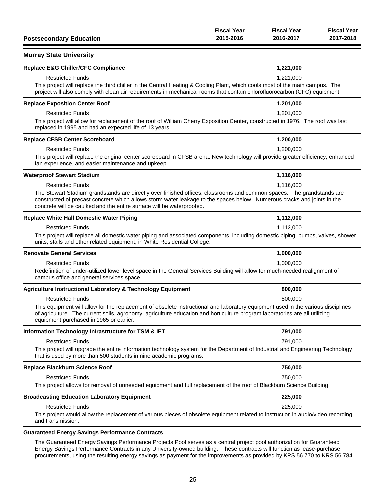| <b>Postsecondary Education</b>                                                                                                                                                                                                                                                                                            | <b>Fiscal Year</b><br>2015-2016 | <b>Fiscal Year</b><br>2016-2017 | <b>Fiscal Year</b><br>2017-2018 |
|---------------------------------------------------------------------------------------------------------------------------------------------------------------------------------------------------------------------------------------------------------------------------------------------------------------------------|---------------------------------|---------------------------------|---------------------------------|
| <b>Murray State University</b>                                                                                                                                                                                                                                                                                            |                                 |                                 |                                 |
| <b>Replace E&amp;G Chiller/CFC Compliance</b>                                                                                                                                                                                                                                                                             |                                 | 1,221,000                       |                                 |
| <b>Restricted Funds</b>                                                                                                                                                                                                                                                                                                   |                                 | 1,221,000                       |                                 |
| This project will replace the third chiller in the Central Heating & Cooling Plant, which cools most of the main campus. The<br>project will also comply with clean air requirements in mechanical rooms that contain chlorofluorocarbon (CFC) equipment.                                                                 |                                 |                                 |                                 |
| <b>Replace Exposition Center Roof</b>                                                                                                                                                                                                                                                                                     |                                 | 1,201,000                       |                                 |
| <b>Restricted Funds</b>                                                                                                                                                                                                                                                                                                   |                                 | 1,201,000                       |                                 |
| This project will allow for replacement of the roof of William Cherry Exposition Center, constructed in 1976. The roof was last<br>replaced in 1995 and had an expected life of 13 years.                                                                                                                                 |                                 |                                 |                                 |
| <b>Replace CFSB Center Scoreboard</b>                                                                                                                                                                                                                                                                                     |                                 | 1,200,000                       |                                 |
| <b>Restricted Funds</b>                                                                                                                                                                                                                                                                                                   |                                 | 1,200,000                       |                                 |
| This project will replace the original center scoreboard in CFSB arena. New technology will provide greater efficiency, enhanced<br>fan experience, and easier maintenance and upkeep.                                                                                                                                    |                                 |                                 |                                 |
| <b>Waterproof Stewart Stadium</b>                                                                                                                                                                                                                                                                                         |                                 | 1,116,000                       |                                 |
| <b>Restricted Funds</b>                                                                                                                                                                                                                                                                                                   |                                 | 1,116,000                       |                                 |
| The Stewart Stadium grandstands are directly over finished offices, classrooms and common spaces. The grandstands are<br>constructed of precast concrete which allows storm water leakage to the spaces below. Numerous cracks and joints in the<br>concrete will be caulked and the entire surface will be waterproofed. |                                 |                                 |                                 |
| <b>Replace White Hall Domestic Water Piping</b>                                                                                                                                                                                                                                                                           |                                 | 1,112,000                       |                                 |
| <b>Restricted Funds</b>                                                                                                                                                                                                                                                                                                   |                                 | 1,112,000                       |                                 |
| This project will replace all domestic water piping and associated components, including domestic piping, pumps, valves, shower<br>units, stalls and other related equipment, in White Residential College.                                                                                                               |                                 |                                 |                                 |
| <b>Renovate General Services</b>                                                                                                                                                                                                                                                                                          |                                 | 1,000,000                       |                                 |
| <b>Restricted Funds</b>                                                                                                                                                                                                                                                                                                   |                                 | 1,000,000                       |                                 |
| Redefinition of under-utilized lower level space in the General Services Building will allow for much-needed realignment of<br>campus office and general services space.                                                                                                                                                  |                                 |                                 |                                 |
| <b>Agriculture Instructional Laboratory &amp; Technology Equipment</b>                                                                                                                                                                                                                                                    |                                 | 800,000                         |                                 |
| <b>Restricted Funds</b>                                                                                                                                                                                                                                                                                                   |                                 | 800,000                         |                                 |
| This equipment will allow for the replacement of obsolete instructional and laboratory equipment used in the various disciplines<br>of agriculture. The current soils, agronomy, agriculture education and horticulture program laboratories are all utilizing<br>equipment purchased in 1965 or earlier.                 |                                 |                                 |                                 |
| Information Technology Infrastructure for TSM & IET                                                                                                                                                                                                                                                                       |                                 | 791,000                         |                                 |
| <b>Restricted Funds</b>                                                                                                                                                                                                                                                                                                   |                                 | 791,000                         |                                 |
| This project will upgrade the entire information technology system for the Department of Industrial and Engineering Technology<br>that is used by more than 500 students in nine academic programs.                                                                                                                       |                                 |                                 |                                 |
| Replace Blackburn Science Roof                                                                                                                                                                                                                                                                                            |                                 | 750,000                         |                                 |
| <b>Restricted Funds</b>                                                                                                                                                                                                                                                                                                   |                                 | 750,000                         |                                 |
| This project allows for removal of unneeded equipment and full replacement of the roof of Blackburn Science Building.                                                                                                                                                                                                     |                                 |                                 |                                 |
| <b>Broadcasting Education Laboratory Equipment</b>                                                                                                                                                                                                                                                                        |                                 | 225,000                         |                                 |
| <b>Restricted Funds</b>                                                                                                                                                                                                                                                                                                   |                                 | 225,000                         |                                 |
| This project would allow the replacement of various pieces of obsolete equipment related to instruction in audio/video recording<br>and transmission.                                                                                                                                                                     |                                 |                                 |                                 |
| <b>Guaranteed Energy Savings Performance Contracts</b>                                                                                                                                                                                                                                                                    |                                 |                                 |                                 |

The Guaranteed Energy Savings Performance Projects Pool serves as a central project pool authorization for Guaranteed Energy Savings Performance Contracts in any University-owned building. These contracts will function as lease-purchase procurements, using the resulting energy savings as payment for the improvements as provided by KRS 56.770 to KRS 56.784.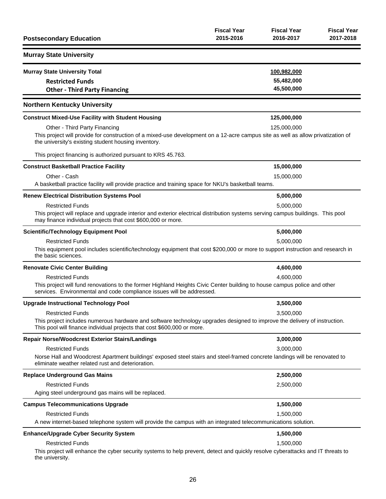| <b>Postsecondary Education</b>                                                                                                                                                                                                  | <b>Fiscal Year</b><br>2015-2016 | <b>Fiscal Year</b><br>2016-2017         | <b>Fiscal Year</b><br>2017-2018 |
|---------------------------------------------------------------------------------------------------------------------------------------------------------------------------------------------------------------------------------|---------------------------------|-----------------------------------------|---------------------------------|
| <b>Murray State University</b>                                                                                                                                                                                                  |                                 |                                         |                                 |
| <b>Murray State University Total</b><br><b>Restricted Funds</b><br><b>Other - Third Party Financing</b>                                                                                                                         |                                 | 100,982,000<br>55,482,000<br>45,500,000 |                                 |
| <b>Northern Kentucky University</b>                                                                                                                                                                                             |                                 |                                         |                                 |
| <b>Construct Mixed-Use Facility with Student Housing</b>                                                                                                                                                                        |                                 | 125,000,000                             |                                 |
| Other - Third Party Financing<br>This project will provide for construction of a mixed-use development on a 12-acre campus site as well as allow privatization of<br>the university's existing student housing inventory.       |                                 | 125,000,000                             |                                 |
| This project financing is authorized pursuant to KRS 45.763.                                                                                                                                                                    |                                 |                                         |                                 |
| <b>Construct Basketball Practice Facility</b>                                                                                                                                                                                   |                                 | 15,000,000                              |                                 |
| Other - Cash<br>A basketball practice facility will provide practice and training space for NKU's basketball teams.                                                                                                             |                                 | 15,000,000                              |                                 |
| <b>Renew Electrical Distribution Systems Pool</b>                                                                                                                                                                               |                                 | 5,000,000                               |                                 |
| <b>Restricted Funds</b><br>This project will replace and upgrade interior and exterior electrical distribution systems serving campus buildings. This pool<br>may finance individual projects that cost \$600,000 or more.      |                                 | 5,000,000                               |                                 |
| <b>Scientific/Technology Equipment Pool</b>                                                                                                                                                                                     |                                 | 5,000,000                               |                                 |
| <b>Restricted Funds</b><br>This equipment pool includes scientific/technology equipment that cost \$200,000 or more to support instruction and research in<br>the basic sciences.                                               |                                 | 5,000,000                               |                                 |
| <b>Renovate Civic Center Building</b>                                                                                                                                                                                           |                                 | 4,600,000                               |                                 |
| <b>Restricted Funds</b><br>This project will fund renovations to the former Highland Heights Civic Center building to house campus police and other<br>services. Environmental and code compliance issues will be addressed.    |                                 | 4,600,000                               |                                 |
| <b>Upgrade Instructional Technology Pool</b>                                                                                                                                                                                    |                                 | 3,500,000                               |                                 |
| <b>Restricted Funds</b><br>This project includes numerous hardware and software technology upgrades designed to improve the delivery of instruction.<br>This pool will finance individual projects that cost \$600,000 or more. |                                 | 3,500,000                               |                                 |
| <b>Repair Norse/Woodcrest Exterior Stairs/Landings</b>                                                                                                                                                                          |                                 | 3,000,000                               |                                 |
| <b>Restricted Funds</b><br>Norse Hall and Woodcrest Apartment buildings' exposed steel stairs and steel-framed concrete landings will be renovated to<br>eliminate weather related rust and deterioration.                      |                                 | 3,000,000                               |                                 |
| <b>Replace Underground Gas Mains</b>                                                                                                                                                                                            |                                 | 2,500,000                               |                                 |
| <b>Restricted Funds</b><br>Aging steel underground gas mains will be replaced.                                                                                                                                                  |                                 | 2,500,000                               |                                 |
| <b>Campus Telecommunications Upgrade</b>                                                                                                                                                                                        |                                 | 1,500,000                               |                                 |
| <b>Restricted Funds</b><br>A new internet-based telephone system will provide the campus with an integrated telecommunications solution.                                                                                        |                                 | 1,500,000                               |                                 |
| <b>Enhance/Upgrade Cyber Security System</b>                                                                                                                                                                                    |                                 | 1,500,000                               |                                 |
| <b>Restricted Funds</b><br>This project will enhance the cyber security systems to help prevent, detect and quickly resolve cyberattacks and IT threats to<br>the university.                                                   |                                 | 1,500,000                               |                                 |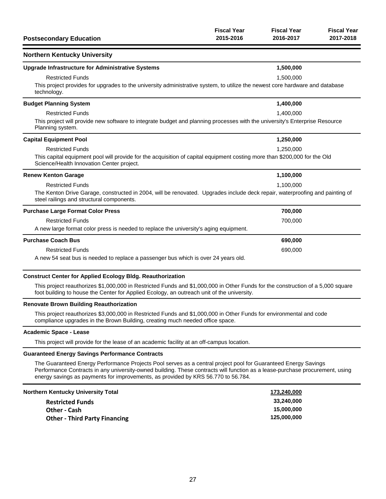| <b>Postsecondary Education</b>                                                                                                                                                                    | <b>Fiscal Year</b><br>2015-2016                                                                                                           | <b>Fiscal Year</b><br>2016-2017 | <b>Fiscal Year</b><br>2017-2018 |  |
|---------------------------------------------------------------------------------------------------------------------------------------------------------------------------------------------------|-------------------------------------------------------------------------------------------------------------------------------------------|---------------------------------|---------------------------------|--|
| <b>Northern Kentucky University</b>                                                                                                                                                               |                                                                                                                                           |                                 |                                 |  |
| <b>Upgrade Infrastructure for Administrative Systems</b>                                                                                                                                          |                                                                                                                                           | 1,500,000                       |                                 |  |
| <b>Restricted Funds</b><br>technology.                                                                                                                                                            | 1,500,000<br>This project provides for upgrades to the university administrative system, to utilize the newest core hardware and database |                                 |                                 |  |
| <b>Budget Planning System</b>                                                                                                                                                                     |                                                                                                                                           | 1,400,000                       |                                 |  |
| <b>Restricted Funds</b><br>This project will provide new software to integrate budget and planning processes with the university's Enterprise Resource<br>Planning system.                        |                                                                                                                                           | 1,400,000                       |                                 |  |
| <b>Capital Equipment Pool</b>                                                                                                                                                                     |                                                                                                                                           | 1,250,000                       |                                 |  |
| <b>Restricted Funds</b><br>This capital equipment pool will provide for the acquisition of capital equipment costing more than \$200,000 for the Old<br>Science/Health Innovation Center project. |                                                                                                                                           | 1,250,000                       |                                 |  |
| <b>Renew Kenton Garage</b>                                                                                                                                                                        |                                                                                                                                           | 1,100,000                       |                                 |  |
| <b>Restricted Funds</b><br>steel railings and structural components.                                                                                                                              | 1,100,000<br>The Kenton Drive Garage, constructed in 2004, will be renovated. Upgrades include deck repair, waterproofing and painting of |                                 |                                 |  |
| <b>Purchase Large Format Color Press</b>                                                                                                                                                          |                                                                                                                                           | 700,000                         |                                 |  |
| <b>Restricted Funds</b><br>A new large format color press is needed to replace the university's aging equipment.                                                                                  |                                                                                                                                           | 700,000                         |                                 |  |
| <b>Purchase Coach Bus</b>                                                                                                                                                                         |                                                                                                                                           | 690,000                         |                                 |  |
| <b>Restricted Funds</b><br>A new 54 seat bus is needed to replace a passenger bus which is over 24 years old.                                                                                     |                                                                                                                                           | 690,000                         |                                 |  |

### **Construct Center for Applied Ecology Bldg. Reauthorization**

This project reauthorizes \$1,000,000 in Restricted Funds and \$1,000,000 in Other Funds for the construction of a 5,000 square foot building to house the Center for Applied Ecology, an outreach unit of the university.

#### **Renovate Brown Building Reauthorization**

This project reauthorizes \$3,000,000 in Restricted Funds and \$1,000,000 in Other Funds for environmental and code compliance upgrades in the Brown Building, creating much needed office space.

#### **Academic Space - Lease**

This project will provide for the lease of an academic facility at an off-campus location.

#### **Guaranteed Energy Savings Performance Contracts**

The Guaranteed Energy Performance Projects Pool serves as a central project pool for Guaranteed Energy Savings Performance Contracts in any university-owned building. These contracts will function as a lease-purchase procurement, using energy savings as payments for improvements, as provided by KRS 56.770 to 56.784.

| Northern Kentucky University Total   | 173,240,000 |
|--------------------------------------|-------------|
| <b>Restricted Funds</b>              | 33.240.000  |
| Other - Cash                         | 15,000,000  |
| <b>Other - Third Party Financing</b> | 125.000.000 |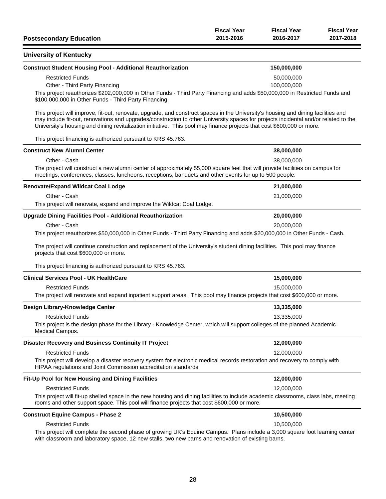| <b>Postsecondary Education</b>                                                                                                                                                                                                                                                                                                                                                                     | <b>Fiscal Year</b><br>2015-2016 | <b>Fiscal Year</b><br>2016-2017 | <b>Fiscal Year</b><br>2017-2018 |
|----------------------------------------------------------------------------------------------------------------------------------------------------------------------------------------------------------------------------------------------------------------------------------------------------------------------------------------------------------------------------------------------------|---------------------------------|---------------------------------|---------------------------------|
| <b>University of Kentucky</b>                                                                                                                                                                                                                                                                                                                                                                      |                                 |                                 |                                 |
| <b>Construct Student Housing Pool - Additional Reauthorization</b>                                                                                                                                                                                                                                                                                                                                 |                                 | 150,000,000                     |                                 |
| <b>Restricted Funds</b>                                                                                                                                                                                                                                                                                                                                                                            |                                 | 50,000,000                      |                                 |
| Other - Third Party Financing                                                                                                                                                                                                                                                                                                                                                                      |                                 | 100,000,000                     |                                 |
| This project reauthorizes \$202,000,000 in Other Funds - Third Party Financing and adds \$50,000,000 in Restricted Funds and<br>\$100,000,000 in Other Funds - Third Party Financing.                                                                                                                                                                                                              |                                 |                                 |                                 |
| This project will improve, fit-out, renovate, upgrade, and construct spaces in the University's housing and dining facilities and<br>may include fit-out, renovations and upgrades/construction to other University spaces for projects incidental and/or related to the<br>University's housing and dining revitalization initiative. This pool may finance projects that cost \$600,000 or more. |                                 |                                 |                                 |
| This project financing is authorized pursuant to KRS 45.763.                                                                                                                                                                                                                                                                                                                                       |                                 |                                 |                                 |
| <b>Construct New Alumni Center</b>                                                                                                                                                                                                                                                                                                                                                                 |                                 | 38,000,000                      |                                 |
| Other - Cash                                                                                                                                                                                                                                                                                                                                                                                       |                                 | 38,000,000                      |                                 |
| The project will construct a new alumni center of approximately 55,000 square feet that will provide facilities on campus for<br>meetings, conferences, classes, luncheons, receptions, banguets and other events for up to 500 people.                                                                                                                                                            |                                 |                                 |                                 |
| <b>Renovate/Expand Wildcat Coal Lodge</b>                                                                                                                                                                                                                                                                                                                                                          |                                 | 21,000,000                      |                                 |
| Other - Cash                                                                                                                                                                                                                                                                                                                                                                                       |                                 | 21,000,000                      |                                 |
| This project will renovate, expand and improve the Wildcat Coal Lodge.                                                                                                                                                                                                                                                                                                                             |                                 |                                 |                                 |
| <b>Upgrade Dining Facilities Pool - Additional Reauthorization</b>                                                                                                                                                                                                                                                                                                                                 |                                 | 20,000,000                      |                                 |
| Other - Cash                                                                                                                                                                                                                                                                                                                                                                                       |                                 | 20,000,000                      |                                 |
| The project will continue construction and replacement of the University's student dining facilities. This pool may finance<br>projects that cost \$600,000 or more.<br>This project financing is authorized pursuant to KRS 45.763.                                                                                                                                                               |                                 |                                 |                                 |
| <b>Clinical Services Pool - UK HealthCare</b>                                                                                                                                                                                                                                                                                                                                                      |                                 | 15,000,000                      |                                 |
| <b>Restricted Funds</b>                                                                                                                                                                                                                                                                                                                                                                            |                                 | 15,000,000                      |                                 |
| The project will renovate and expand inpatient support areas. This pool may finance projects that cost \$600,000 or more.                                                                                                                                                                                                                                                                          |                                 |                                 |                                 |
| Design Library-Knowledge Center                                                                                                                                                                                                                                                                                                                                                                    |                                 | 13,335,000                      |                                 |
| <b>Restricted Funds</b>                                                                                                                                                                                                                                                                                                                                                                            |                                 | 13,335,000                      |                                 |
| This project is the design phase for the Library - Knowledge Center, which will support colleges of the planned Academic<br>Medical Campus.                                                                                                                                                                                                                                                        |                                 |                                 |                                 |
| <b>Disaster Recovery and Business Continuity IT Project</b>                                                                                                                                                                                                                                                                                                                                        |                                 | 12,000,000                      |                                 |
| <b>Restricted Funds</b>                                                                                                                                                                                                                                                                                                                                                                            |                                 | 12,000,000                      |                                 |
| This project will develop a disaster recovery system for electronic medical records restoration and recovery to comply with<br>HIPAA regulations and Joint Commission accreditation standards.                                                                                                                                                                                                     |                                 |                                 |                                 |
| Fit-Up Pool for New Housing and Dining Facilities                                                                                                                                                                                                                                                                                                                                                  |                                 | 12,000,000                      |                                 |
| <b>Restricted Funds</b>                                                                                                                                                                                                                                                                                                                                                                            |                                 | 12,000,000                      |                                 |
| This project will fit-up shelled space in the new housing and dining facilities to include academic classrooms, class labs, meeting<br>rooms and other support space. This pool will finance projects that cost \$600,000 or more.                                                                                                                                                                 |                                 |                                 |                                 |
| <b>Construct Equine Campus - Phase 2</b>                                                                                                                                                                                                                                                                                                                                                           |                                 | 10,500,000                      |                                 |
| <b>Restricted Funds</b>                                                                                                                                                                                                                                                                                                                                                                            |                                 | 10,500,000                      |                                 |
| This project will complete the second phase of growing UK's Equine Campus. Plans include a 3,000 square foot learning center                                                                                                                                                                                                                                                                       |                                 |                                 |                                 |

This project will complete the second phase of growing UK's Equine Campus. Plans include a 3,000 square foot learning center with classroom and laboratory space, 12 new stalls, two new barns and renovation of existing barns.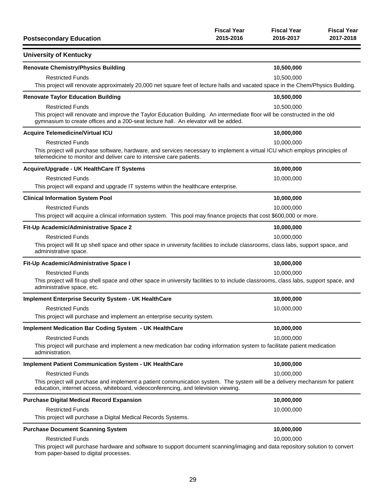| <b>Postsecondary Education</b>                                                                                                                                                                                     | <b>Fiscal Year</b><br>2015-2016 | <b>Fiscal Year</b><br>2016-2017 | <b>Fiscal Year</b><br>2017-2018 |
|--------------------------------------------------------------------------------------------------------------------------------------------------------------------------------------------------------------------|---------------------------------|---------------------------------|---------------------------------|
| <b>University of Kentucky</b>                                                                                                                                                                                      |                                 |                                 |                                 |
| <b>Renovate Chemistry/Physics Building</b>                                                                                                                                                                         |                                 | 10,500,000                      |                                 |
| <b>Restricted Funds</b>                                                                                                                                                                                            |                                 | 10,500,000                      |                                 |
| This project will renovate approximately 20,000 net square feet of lecture halls and vacated space in the Chem/Physics Building.                                                                                   |                                 |                                 |                                 |
| <b>Renovate Taylor Education Building</b>                                                                                                                                                                          |                                 | 10,500,000                      |                                 |
| <b>Restricted Funds</b>                                                                                                                                                                                            |                                 | 10,500,000                      |                                 |
| This project will renovate and improve the Taylor Education Building. An intermediate floor will be constructed in the old<br>gymnasium to create offices and a 200-seat lecture hall. An elevator will be added.  |                                 |                                 |                                 |
| <b>Acquire Telemedicine/Virtual ICU</b>                                                                                                                                                                            |                                 | 10,000,000                      |                                 |
| <b>Restricted Funds</b>                                                                                                                                                                                            |                                 | 10,000,000                      |                                 |
| This project will purchase software, hardware, and services necessary to implement a virtual ICU which employs principles of<br>telemedicine to monitor and deliver care to intensive care patients.               |                                 |                                 |                                 |
| Acquire/Upgrade - UK HealthCare IT Systems                                                                                                                                                                         |                                 | 10,000,000                      |                                 |
| <b>Restricted Funds</b>                                                                                                                                                                                            |                                 | 10,000,000                      |                                 |
| This project will expand and upgrade IT systems within the healthcare enterprise.                                                                                                                                  |                                 |                                 |                                 |
| <b>Clinical Information System Pool</b>                                                                                                                                                                            |                                 | 10,000,000                      |                                 |
| <b>Restricted Funds</b>                                                                                                                                                                                            |                                 | 10,000,000                      |                                 |
| This project will acquire a clinical information system. This pool may finance projects that cost \$600,000 or more.                                                                                               |                                 |                                 |                                 |
| Fit-Up Academic/Administrative Space 2                                                                                                                                                                             |                                 | 10,000,000                      |                                 |
| <b>Restricted Funds</b>                                                                                                                                                                                            |                                 | 10,000,000                      |                                 |
| This project will fit up shell space and other space in university facilities to include classrooms, class labs, support space, and<br>administrative space.                                                       |                                 |                                 |                                 |
| Fit-Up Academic/Administrative Space I                                                                                                                                                                             |                                 | 10,000,000                      |                                 |
| <b>Restricted Funds</b>                                                                                                                                                                                            |                                 | 10,000,000                      |                                 |
| This project will fit-up shell space and other space in university facilities to to include classrooms, class labs, support space, and<br>administrative space, etc.                                               |                                 |                                 |                                 |
| <b>Implement Enterprise Security System - UK HealthCare</b>                                                                                                                                                        |                                 | 10,000,000                      |                                 |
| <b>Restricted Funds</b>                                                                                                                                                                                            |                                 | 10,000,000                      |                                 |
| This project will purchase and implement an enterprise security system.                                                                                                                                            |                                 |                                 |                                 |
| <b>Implement Medication Bar Coding System - UK HealthCare</b>                                                                                                                                                      |                                 | 10,000,000                      |                                 |
| <b>Restricted Funds</b>                                                                                                                                                                                            |                                 | 10,000,000                      |                                 |
| This project will purchase and implement a new medication bar coding information system to facilitate patient medication<br>administration.                                                                        |                                 |                                 |                                 |
| <b>Implement Patient Communication System - UK HealthCare</b>                                                                                                                                                      |                                 | 10,000,000                      |                                 |
| <b>Restricted Funds</b>                                                                                                                                                                                            |                                 | 10,000,000                      |                                 |
| This project will purchase and implement a patient communication system. The system will be a delivery mechanism for patient<br>education, internet access, whiteboard, videoconferencing, and television viewing. |                                 |                                 |                                 |
| <b>Purchase Digital Medical Record Expansion</b>                                                                                                                                                                   |                                 | 10,000,000                      |                                 |
| <b>Restricted Funds</b>                                                                                                                                                                                            |                                 | 10,000,000                      |                                 |
| This project will purchase a Digital Medical Records Systems.                                                                                                                                                      |                                 |                                 |                                 |
| <b>Purchase Document Scanning System</b>                                                                                                                                                                           |                                 | 10,000,000                      |                                 |
| <b>Restricted Funds</b>                                                                                                                                                                                            |                                 | 10,000,000                      |                                 |
| This project will purchase hardware and software to support document scanning/imaging and data repository solution to convert<br>from paper-based to digital processes.                                            |                                 |                                 |                                 |

29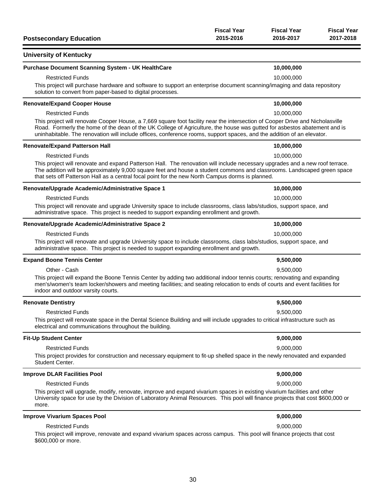| <b>Postsecondary Education</b>                                                                                                                                                                                                                                                                                                                                                      | <b>Fiscal Year</b><br>2015-2016 | <b>Fiscal Year</b><br>2016-2017 | <b>Fiscal Year</b><br>2017-2018 |
|-------------------------------------------------------------------------------------------------------------------------------------------------------------------------------------------------------------------------------------------------------------------------------------------------------------------------------------------------------------------------------------|---------------------------------|---------------------------------|---------------------------------|
| <b>University of Kentucky</b>                                                                                                                                                                                                                                                                                                                                                       |                                 |                                 |                                 |
| Purchase Document Scanning System - UK HealthCare                                                                                                                                                                                                                                                                                                                                   |                                 | 10,000,000                      |                                 |
| <b>Restricted Funds</b>                                                                                                                                                                                                                                                                                                                                                             |                                 | 10,000,000                      |                                 |
| This project will purchase hardware and software to support an enterprise document scanning/imaging and data repository<br>solution to convert from paper-based to digital processes.                                                                                                                                                                                               |                                 |                                 |                                 |
| <b>Renovate/Expand Cooper House</b>                                                                                                                                                                                                                                                                                                                                                 |                                 | 10,000,000                      |                                 |
| <b>Restricted Funds</b>                                                                                                                                                                                                                                                                                                                                                             |                                 | 10,000,000                      |                                 |
| This project will renovate Cooper House, a 7,669 square foot facility near the intersection of Cooper Drive and Nicholasville<br>Road. Formerly the home of the dean of the UK College of Agriculture, the house was gutted for asbestos abatement and is<br>uninhabitable. The renovation will include offices, conference rooms, support spaces, and the addition of an elevator. |                                 |                                 |                                 |
| <b>Renovate/Expand Patterson Hall</b>                                                                                                                                                                                                                                                                                                                                               |                                 | 10,000,000                      |                                 |
| <b>Restricted Funds</b>                                                                                                                                                                                                                                                                                                                                                             |                                 | 10,000,000                      |                                 |
| This project will renovate and expand Patterson Hall. The renovation will include necessary upgrades and a new roof terrace.<br>The addition will be approximately 9,000 square feet and house a student commons and classrooms. Landscaped green space<br>that sets off Patterson Hall as a central focal point for the new North Campus dorms is planned.                         |                                 |                                 |                                 |
| Renovate/Upgrade Academic/Administrative Space 1                                                                                                                                                                                                                                                                                                                                    |                                 | 10,000,000                      |                                 |
| <b>Restricted Funds</b>                                                                                                                                                                                                                                                                                                                                                             |                                 | 10,000,000                      |                                 |
| This project will renovate and upgrade University space to include classrooms, class labs/studios, support space, and<br>administrative space. This project is needed to support expanding enrollment and growth.                                                                                                                                                                   |                                 |                                 |                                 |
| Renovate/Upgrade Academic/Administrative Space 2                                                                                                                                                                                                                                                                                                                                    |                                 | 10,000,000                      |                                 |
| <b>Restricted Funds</b>                                                                                                                                                                                                                                                                                                                                                             |                                 | 10,000,000                      |                                 |
| This project will renovate and upgrade University space to include classrooms, class labs/studios, support space, and<br>administrative space. This project is needed to support expanding enrollment and growth.                                                                                                                                                                   |                                 |                                 |                                 |
| <b>Expand Boone Tennis Center</b>                                                                                                                                                                                                                                                                                                                                                   |                                 | 9,500,000                       |                                 |
| Other - Cash                                                                                                                                                                                                                                                                                                                                                                        |                                 | 9,500,000                       |                                 |
| This project will expand the Boone Tennis Center by adding two additional indoor tennis courts; renovating and expanding<br>men's/women's team locker/showers and meeting facilities; and seating relocation to ends of courts and event facilities for<br>indoor and outdoor varsity courts.                                                                                       |                                 |                                 |                                 |
| <b>Renovate Dentistry</b>                                                                                                                                                                                                                                                                                                                                                           |                                 | 9,500,000                       |                                 |
| <b>Restricted Funds</b>                                                                                                                                                                                                                                                                                                                                                             |                                 | 9,500,000                       |                                 |
| This project will renovate space in the Dental Science Building and will include upgrades to critical infrastructure such as<br>electrical and communications throughout the building.                                                                                                                                                                                              |                                 |                                 |                                 |
| <b>Fit-Up Student Center</b>                                                                                                                                                                                                                                                                                                                                                        |                                 | 9,000,000                       |                                 |
| <b>Restricted Funds</b>                                                                                                                                                                                                                                                                                                                                                             |                                 | 9,000,000                       |                                 |
| This project provides for construction and necessary equipment to fit-up shelled space in the newly renovated and expanded<br>Student Center.                                                                                                                                                                                                                                       |                                 |                                 |                                 |
| <b>Improve DLAR Facilities Pool</b>                                                                                                                                                                                                                                                                                                                                                 |                                 | 9,000,000                       |                                 |
| <b>Restricted Funds</b>                                                                                                                                                                                                                                                                                                                                                             |                                 | 9,000,000                       |                                 |
| This project will upgrade, modify, renovate, improve and expand vivarium spaces in existing vivarium facilities and other<br>University space for use by the Division of Laboratory Animal Resources. This pool will finance projects that cost \$600,000 or<br>more.                                                                                                               |                                 |                                 |                                 |
| <b>Improve Vivarium Spaces Pool</b>                                                                                                                                                                                                                                                                                                                                                 |                                 | 9,000,000                       |                                 |
| <b>Restricted Funds</b>                                                                                                                                                                                                                                                                                                                                                             |                                 | 9,000,000                       |                                 |
| This project will improve, renovate and expand vivarium spaces across campus. This pool will finance projects that cost<br>\$600,000 or more.                                                                                                                                                                                                                                       |                                 |                                 |                                 |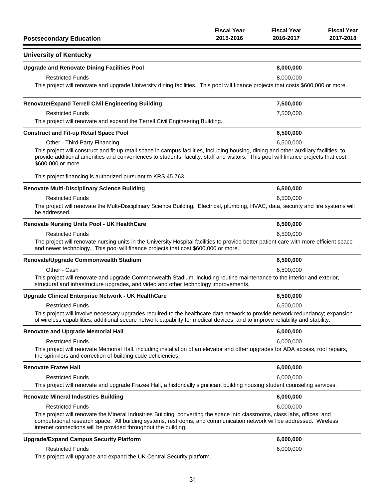| <b>Postsecondary Education</b>                                                                                                                                                                                                                                                                                       | <b>Fiscal Year</b><br>2015-2016 | <b>Fiscal Year</b><br>2016-2017 | <b>Fiscal Year</b><br>2017-2018 |
|----------------------------------------------------------------------------------------------------------------------------------------------------------------------------------------------------------------------------------------------------------------------------------------------------------------------|---------------------------------|---------------------------------|---------------------------------|
| <b>University of Kentucky</b>                                                                                                                                                                                                                                                                                        |                                 |                                 |                                 |
| <b>Upgrade and Renovate Dining Facilities Pool</b>                                                                                                                                                                                                                                                                   |                                 | 8,000,000                       |                                 |
| <b>Restricted Funds</b>                                                                                                                                                                                                                                                                                              |                                 | 8,000,000                       |                                 |
| This project will renovate and upgrade University dining facilities. This pool will finance projects that costs \$600,000 or more.                                                                                                                                                                                   |                                 |                                 |                                 |
| <b>Renovate/Expand Terrell Civil Engineering Building</b>                                                                                                                                                                                                                                                            |                                 | 7,500,000                       |                                 |
| <b>Restricted Funds</b>                                                                                                                                                                                                                                                                                              |                                 | 7,500,000                       |                                 |
| This project will renovate and expand the Terrell Civil Engineering Building.                                                                                                                                                                                                                                        |                                 |                                 |                                 |
| <b>Construct and Fit-up Retail Space Pool</b>                                                                                                                                                                                                                                                                        |                                 | 6,500,000                       |                                 |
| Other - Third Party Financing                                                                                                                                                                                                                                                                                        |                                 | 6,500,000                       |                                 |
| This project will construct and fit-up retail space in campus facilities, including housing, dining and other auxiliary facilities, to<br>provide additional amenities and conveniences to students, faculty, staff and visitors. This pool will finance projects that cost<br>\$600,000 or more.                    |                                 |                                 |                                 |
| This project financing is authorized pursuant to KRS 45.763.                                                                                                                                                                                                                                                         |                                 |                                 |                                 |
| <b>Renovate Multi-Disciplinary Science Building</b>                                                                                                                                                                                                                                                                  |                                 | 6,500,000                       |                                 |
| <b>Restricted Funds</b>                                                                                                                                                                                                                                                                                              |                                 | 6,500,000                       |                                 |
| The project will renovate the Multi-Disciplinary Science Building. Electrical, plumbing, HVAC, data, security and fire systems will<br>be addressed.                                                                                                                                                                 |                                 |                                 |                                 |
| <b>Renovate Nursing Units Pool - UK HealthCare</b>                                                                                                                                                                                                                                                                   |                                 | 6,500,000                       |                                 |
| <b>Restricted Funds</b>                                                                                                                                                                                                                                                                                              |                                 | 6,500,000                       |                                 |
| The project will renovate nursing units in the University Hospital facilities to provide better patient care with more efficient space<br>and newer technology. This pool will finance projects that cost \$600,000 or more.                                                                                         |                                 |                                 |                                 |
| Renovate/Upgrade Commonwealth Stadium                                                                                                                                                                                                                                                                                |                                 | 6,500,000                       |                                 |
| Other - Cash                                                                                                                                                                                                                                                                                                         |                                 | 6,500,000                       |                                 |
| This project will renovate and upgrade Commonwealth Stadium, including routine maintenance to the interior and exterior,<br>structural and infrastructure upgrades, and video and other technology improvements.                                                                                                     |                                 |                                 |                                 |
| Upgrade Clinical Enterprise Network - UK HealthCare                                                                                                                                                                                                                                                                  |                                 | 6,500,000                       |                                 |
| <b>Restricted Funds</b>                                                                                                                                                                                                                                                                                              |                                 | 6,500,000                       |                                 |
| This project will involve necessary upgrades required to the healthcare data network to provide network redundancy; expansion<br>of wireless capabilities; additional secure network capability for medical devices; and to improve reliability and stability.                                                       |                                 |                                 |                                 |
| <b>Renovate and Upgrade Memorial Hall</b>                                                                                                                                                                                                                                                                            |                                 | 6,000,000                       |                                 |
| <b>Restricted Funds</b>                                                                                                                                                                                                                                                                                              |                                 | 6,000,000                       |                                 |
| This project will renovate Memorial Hall, including installation of an elevator and other upgrades for ADA access, roof repairs,<br>fire sprinklers and correction of building code deficiencies.                                                                                                                    |                                 |                                 |                                 |
| <b>Renovate Frazee Hall</b>                                                                                                                                                                                                                                                                                          |                                 | 6,000,000                       |                                 |
| <b>Restricted Funds</b>                                                                                                                                                                                                                                                                                              |                                 | 6,000,000                       |                                 |
| This project will renovate and upgrade Frazee Hall, a historically significant building housing student counseling services.                                                                                                                                                                                         |                                 |                                 |                                 |
| <b>Renovate Mineral Industries Building</b>                                                                                                                                                                                                                                                                          |                                 | 6,000,000                       |                                 |
| <b>Restricted Funds</b>                                                                                                                                                                                                                                                                                              |                                 | 6,000,000                       |                                 |
| This project will renovate the Mineral Industries Building, converting the space into classrooms, class labs, offices, and<br>computational research space. All building systems, restrooms, and communication network will be addressed. Wireless<br>internet connections will be provided throughout the building. |                                 |                                 |                                 |
| <b>Upgrade/Expand Campus Security Platform</b>                                                                                                                                                                                                                                                                       |                                 | 6,000,000                       |                                 |
| <b>Restricted Funds</b>                                                                                                                                                                                                                                                                                              |                                 | 6,000,000                       |                                 |
| This project will upgrade and expand the UK Central Security platform.                                                                                                                                                                                                                                               |                                 |                                 |                                 |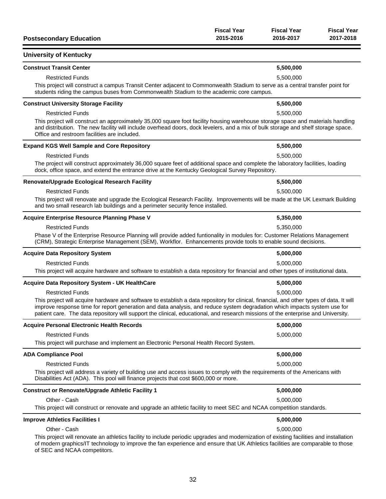| <b>Postsecondary Education</b>                                                                                                                                                                                                                                                                                                                                                                             | <b>Fiscal Year</b><br>2015-2016 | <b>Fiscal Year</b><br>2016-2017 | <b>Fiscal Year</b><br>2017-2018 |
|------------------------------------------------------------------------------------------------------------------------------------------------------------------------------------------------------------------------------------------------------------------------------------------------------------------------------------------------------------------------------------------------------------|---------------------------------|---------------------------------|---------------------------------|
| <b>University of Kentucky</b>                                                                                                                                                                                                                                                                                                                                                                              |                                 |                                 |                                 |
| <b>Construct Transit Center</b>                                                                                                                                                                                                                                                                                                                                                                            |                                 | 5,500,000                       |                                 |
| <b>Restricted Funds</b>                                                                                                                                                                                                                                                                                                                                                                                    |                                 | 5,500,000                       |                                 |
| This project will construct a campus Transit Center adjacent to Commonwealth Stadium to serve as a central transfer point for<br>students riding the campus buses from Commonwealth Stadium to the academic core campus.                                                                                                                                                                                   |                                 |                                 |                                 |
| <b>Construct University Storage Facility</b>                                                                                                                                                                                                                                                                                                                                                               |                                 | 5,500,000                       |                                 |
| <b>Restricted Funds</b>                                                                                                                                                                                                                                                                                                                                                                                    |                                 | 5,500,000                       |                                 |
| This project will construct an approximately 35,000 square foot facility housing warehouse storage space and materials handling<br>and distribution. The new facility will include overhead doors, dock levelers, and a mix of bulk storage and shelf storage space.<br>Office and restroom facilities are included.                                                                                       |                                 |                                 |                                 |
| <b>Expand KGS Well Sample and Core Repository</b>                                                                                                                                                                                                                                                                                                                                                          |                                 | 5,500,000                       |                                 |
| <b>Restricted Funds</b>                                                                                                                                                                                                                                                                                                                                                                                    |                                 | 5,500,000                       |                                 |
| The project will construct approximately 36,000 square feet of additional space and complete the laboratory facilities, loading<br>dock, office space, and extend the entrance drive at the Kentucky Geological Survey Repository.                                                                                                                                                                         |                                 |                                 |                                 |
| Renovate/Upgrade Ecological Research Facility                                                                                                                                                                                                                                                                                                                                                              |                                 | 5,500,000                       |                                 |
| <b>Restricted Funds</b>                                                                                                                                                                                                                                                                                                                                                                                    |                                 | 5,500,000                       |                                 |
| This project will renovate and upgrade the Ecological Research Facility. Improvements will be made at the UK Lexmark Building<br>and two small research lab buildings and a perimeter security fence installed.                                                                                                                                                                                            |                                 |                                 |                                 |
| <b>Acquire Enterprise Resource Planning Phase V</b>                                                                                                                                                                                                                                                                                                                                                        |                                 | 5,350,000                       |                                 |
| <b>Restricted Funds</b>                                                                                                                                                                                                                                                                                                                                                                                    |                                 | 5,350,000                       |                                 |
| Phase V of the Enterprise Resource Planning will provide added funtionality in modules for: Customer Relations Management<br>(CRM), Strategic Enterprise Management (SEM), Workflor. Enhancements provide tools to enable sound decisions.                                                                                                                                                                 |                                 |                                 |                                 |
| <b>Acquire Data Repository System</b>                                                                                                                                                                                                                                                                                                                                                                      |                                 | 5,000,000                       |                                 |
| <b>Restricted Funds</b>                                                                                                                                                                                                                                                                                                                                                                                    |                                 | 5,000,000                       |                                 |
| This project will acquire hardware and software to establish a data repository for financial and other types of institutional data.                                                                                                                                                                                                                                                                        |                                 |                                 |                                 |
| <b>Acquire Data Repository System - UK HealthCare</b>                                                                                                                                                                                                                                                                                                                                                      |                                 | 5,000,000                       |                                 |
| <b>Restricted Funds</b>                                                                                                                                                                                                                                                                                                                                                                                    |                                 | 5,000,000                       |                                 |
| This project will acquire hardware and software to establish a data repository for clinical, financial, and other types of data. It will<br>improve response time for report generation and data analysis, and reduce system degradation which impacts system use for<br>patient care. The data repository will support the clinical, educational, and research missions of the enterprise and University. |                                 |                                 |                                 |
| <b>Acquire Personal Electronic Health Records</b>                                                                                                                                                                                                                                                                                                                                                          |                                 | 5,000,000                       |                                 |
| <b>Restricted Funds</b>                                                                                                                                                                                                                                                                                                                                                                                    |                                 | 5,000,000                       |                                 |
| This project will purchase and implement an Electronic Personal Health Record System.                                                                                                                                                                                                                                                                                                                      |                                 |                                 |                                 |
| <b>ADA Compliance Pool</b>                                                                                                                                                                                                                                                                                                                                                                                 |                                 | 5,000,000                       |                                 |
| <b>Restricted Funds</b>                                                                                                                                                                                                                                                                                                                                                                                    |                                 | 5,000,000                       |                                 |
| This project will address a variety of building use and access issues to comply with the requirements of the Americans with<br>Disabilities Act (ADA). This pool will finance projects that cost \$600,000 or more.                                                                                                                                                                                        |                                 |                                 |                                 |
| <b>Construct or Renovate/Upgrade Athletic Facility 1</b>                                                                                                                                                                                                                                                                                                                                                   |                                 | 5,000,000                       |                                 |
| Other - Cash                                                                                                                                                                                                                                                                                                                                                                                               |                                 | 5,000,000                       |                                 |
| This project will construct or renovate and upgrade an athletic facility to meet SEC and NCAA competition standards.                                                                                                                                                                                                                                                                                       |                                 |                                 |                                 |
| <b>Improve Athletics Facilities I</b>                                                                                                                                                                                                                                                                                                                                                                      |                                 | 5,000,000                       |                                 |
| Other - Cash                                                                                                                                                                                                                                                                                                                                                                                               |                                 | 5,000,000                       |                                 |
| This project will renovate an athletics facility to include periodic upgrades and modernization of existing facilities and installation<br>of modern graphics/IT technology to improve the fan experience and ensure that UK Athletics facilities are comparable to those<br>of SEC and NCAA competitors.                                                                                                  |                                 |                                 |                                 |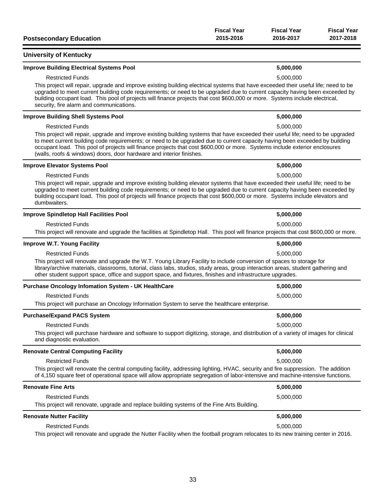| <b>Postsecondary Education</b>                                                                                                                                                                                                                                                                                                                                                                                                                                          | <b>Fiscal Year</b><br>2015-2016 | <b>Fiscal Year</b><br>2016-2017 | <b>Fiscal Year</b><br>2017-2018 |
|-------------------------------------------------------------------------------------------------------------------------------------------------------------------------------------------------------------------------------------------------------------------------------------------------------------------------------------------------------------------------------------------------------------------------------------------------------------------------|---------------------------------|---------------------------------|---------------------------------|
| <b>University of Kentucky</b>                                                                                                                                                                                                                                                                                                                                                                                                                                           |                                 |                                 |                                 |
| <b>Improve Building Electrical Systems Pool</b>                                                                                                                                                                                                                                                                                                                                                                                                                         |                                 | 5,000,000                       |                                 |
| <b>Restricted Funds</b>                                                                                                                                                                                                                                                                                                                                                                                                                                                 |                                 | 5,000,000                       |                                 |
| This project will repair, upgrade and improve existing building electrical systems that have exceeded their useful life; need to be<br>upgraded to meet current building code requirements; or need to be upgraded due to current capacity having been exceeded by<br>building occupant load. This pool of projects will finance projects that cost \$600,000 or more. Systems include electrical,<br>security, fire alarm and communications.                          |                                 |                                 |                                 |
| <b>Improve Building Shell Systems Pool</b>                                                                                                                                                                                                                                                                                                                                                                                                                              |                                 | 5,000,000                       |                                 |
| <b>Restricted Funds</b>                                                                                                                                                                                                                                                                                                                                                                                                                                                 |                                 | 5,000,000                       |                                 |
| This project will repair, upgrade and improve existing building systems that have exceeded their useful life; need to be upgraded<br>to meet current building code requirements; or need to be upgraded due to current capacity having been exceeded by building<br>occupant load. This pool of projects will finance projects that cost \$600,000 or more. Systems include exterior enclosures<br>(walls, roofs & windows) doors, door hardware and interior finishes. |                                 |                                 |                                 |
| <b>Improve Elevator Systems Pool</b>                                                                                                                                                                                                                                                                                                                                                                                                                                    |                                 | 5,000,000                       |                                 |
| <b>Restricted Funds</b>                                                                                                                                                                                                                                                                                                                                                                                                                                                 |                                 | 5,000,000                       |                                 |
| This project will repair, upgrade and improve existing building elevator systems that have exceeded their useful life; need to be<br>upgraded to meet current building code requirements; or need to be upgraded due to current capacity having been exceeded by<br>building occupant load. This pool of projects will finance projects that cost \$600,000 or more. Systems include elevators and<br>dumbwaiters.                                                      |                                 |                                 |                                 |
| <b>Improve Spindletop Hall Facilities Pool</b>                                                                                                                                                                                                                                                                                                                                                                                                                          |                                 | 5,000,000                       |                                 |
| <b>Restricted Funds</b>                                                                                                                                                                                                                                                                                                                                                                                                                                                 |                                 | 5,000,000                       |                                 |
| This project will renovate and upgrade the facilities at Spindletop Hall. This pool will finance projects that cost \$600,000 or more.                                                                                                                                                                                                                                                                                                                                  |                                 |                                 |                                 |
| <b>Improve W.T. Young Facility</b>                                                                                                                                                                                                                                                                                                                                                                                                                                      |                                 | 5,000,000                       |                                 |
| <b>Restricted Funds</b>                                                                                                                                                                                                                                                                                                                                                                                                                                                 |                                 | 5,000,000                       |                                 |
| This project will renovate and upgrade the W.T. Young Library Facility to include conversion of spaces to storage for<br>library/archive materials, classrooms, tutorial, class labs, studios, study areas, group interaction areas, student gathering and<br>other student support space, office and support space, and fixtures, finishes and infrastructure upgrades.                                                                                                |                                 |                                 |                                 |
| <b>Purchase Oncology Infomation System - UK HealthCare</b>                                                                                                                                                                                                                                                                                                                                                                                                              |                                 | 5,000,000                       |                                 |
| <b>Restricted Funds</b>                                                                                                                                                                                                                                                                                                                                                                                                                                                 |                                 | 5,000,000                       |                                 |
| This project will purchase an Oncology Information System to serve the healthcare enterprise.                                                                                                                                                                                                                                                                                                                                                                           |                                 |                                 |                                 |
| <b>Purchase/Expand PACS System</b>                                                                                                                                                                                                                                                                                                                                                                                                                                      |                                 | 5,000,000                       |                                 |
| <b>Restricted Funds</b>                                                                                                                                                                                                                                                                                                                                                                                                                                                 |                                 | 5,000,000                       |                                 |
| This project will purchase hardware and software to support digitizing, storage, and distribution of a variety of images for clinical<br>and diagnostic evaluation.                                                                                                                                                                                                                                                                                                     |                                 |                                 |                                 |
| <b>Renovate Central Computing Facility</b>                                                                                                                                                                                                                                                                                                                                                                                                                              |                                 | 5,000,000                       |                                 |
| <b>Restricted Funds</b>                                                                                                                                                                                                                                                                                                                                                                                                                                                 |                                 | 5,000,000                       |                                 |
| This project will renovate the central computing facility, addressing lighting, HVAC, security and fire suppression. The addition<br>of 4,150 square feet of operational space will allow appropriate segregation of labor-intensive and machine-intensive functions.                                                                                                                                                                                                   |                                 |                                 |                                 |
| <b>Renovate Fine Arts</b>                                                                                                                                                                                                                                                                                                                                                                                                                                               |                                 | 5,000,000                       |                                 |
| <b>Restricted Funds</b>                                                                                                                                                                                                                                                                                                                                                                                                                                                 |                                 | 5,000,000                       |                                 |
| This project will renovate, upgrade and replace building systems of the Fine Arts Building.                                                                                                                                                                                                                                                                                                                                                                             |                                 |                                 |                                 |
| <b>Renovate Nutter Facility</b>                                                                                                                                                                                                                                                                                                                                                                                                                                         |                                 | 5,000,000                       |                                 |
| <b>Restricted Funds</b>                                                                                                                                                                                                                                                                                                                                                                                                                                                 |                                 | 5,000,000                       |                                 |
| This project will renovate and upgrade the Nutter Facility when the football program relocates to its new training center in 2016.                                                                                                                                                                                                                                                                                                                                      |                                 |                                 |                                 |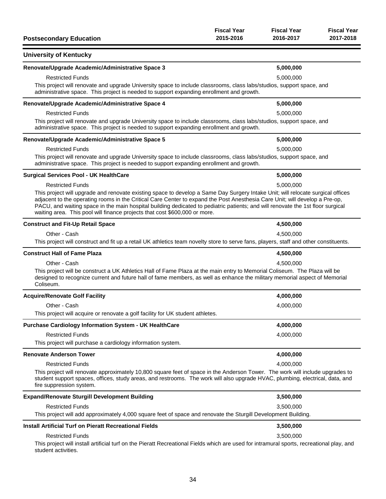| <b>Postsecondary Education</b>                                                                                                                                                                                                                                                                                                                                                                                                                                                  | <b>Fiscal Year</b><br>2015-2016 | <b>Fiscal Year</b><br>2016-2017 | <b>Fiscal Year</b><br>2017-2018 |
|---------------------------------------------------------------------------------------------------------------------------------------------------------------------------------------------------------------------------------------------------------------------------------------------------------------------------------------------------------------------------------------------------------------------------------------------------------------------------------|---------------------------------|---------------------------------|---------------------------------|
| <b>University of Kentucky</b>                                                                                                                                                                                                                                                                                                                                                                                                                                                   |                                 |                                 |                                 |
| Renovate/Upgrade Academic/Administrative Space 3                                                                                                                                                                                                                                                                                                                                                                                                                                |                                 | 5,000,000                       |                                 |
| <b>Restricted Funds</b>                                                                                                                                                                                                                                                                                                                                                                                                                                                         |                                 | 5,000,000                       |                                 |
| This project will renovate and upgrade University space to include classrooms, class labs/studios, support space, and<br>administrative space. This project is needed to support expanding enrollment and growth.                                                                                                                                                                                                                                                               |                                 |                                 |                                 |
| Renovate/Upgrade Academic/Administrative Space 4                                                                                                                                                                                                                                                                                                                                                                                                                                |                                 | 5,000,000                       |                                 |
| <b>Restricted Funds</b>                                                                                                                                                                                                                                                                                                                                                                                                                                                         |                                 | 5,000,000                       |                                 |
| This project will renovate and upgrade University space to include classrooms, class labs/studios, support space, and<br>administrative space. This project is needed to support expanding enrollment and growth.                                                                                                                                                                                                                                                               |                                 |                                 |                                 |
| Renovate/Upgrade Academic/Administrative Space 5                                                                                                                                                                                                                                                                                                                                                                                                                                |                                 | 5,000,000                       |                                 |
| <b>Restricted Funds</b>                                                                                                                                                                                                                                                                                                                                                                                                                                                         |                                 | 5,000,000                       |                                 |
| This project will renovate and upgrade University space to include classrooms, class labs/studios, support space, and<br>administrative space. This project is needed to support expanding enrollment and growth.                                                                                                                                                                                                                                                               |                                 |                                 |                                 |
| <b>Surgical Services Pool - UK HealthCare</b>                                                                                                                                                                                                                                                                                                                                                                                                                                   |                                 | 5,000,000                       |                                 |
| <b>Restricted Funds</b>                                                                                                                                                                                                                                                                                                                                                                                                                                                         |                                 | 5,000,000                       |                                 |
| This project will upgrade and renovate existing space to develop a Same Day Surgery Intake Unit; will relocate surgical offices<br>adjacent to the operating rooms in the Critical Care Center to expand the Post Anesthesia Care Unit; will develop a Pre-op,<br>PACU, and waiting space in the main hospital building dedicated to pediatric patients; and will renovate the 1st floor surgical<br>waiting area. This pool will finance projects that cost \$600,000 or more. |                                 |                                 |                                 |
| <b>Construct and Fit-Up Retail Space</b>                                                                                                                                                                                                                                                                                                                                                                                                                                        |                                 | 4,500,000                       |                                 |
| Other - Cash                                                                                                                                                                                                                                                                                                                                                                                                                                                                    |                                 | 4,500,000                       |                                 |
| This project will construct and fit up a retail UK athletics team novelty store to serve fans, players, staff and other constituents.                                                                                                                                                                                                                                                                                                                                           |                                 |                                 |                                 |
| <b>Construct Hall of Fame Plaza</b>                                                                                                                                                                                                                                                                                                                                                                                                                                             |                                 | 4,500,000                       |                                 |
| Other - Cash<br>This project will be construct a UK Athletics Hall of Fame Plaza at the main entry to Memorial Coliseum. The Plaza will be<br>designed to recognize current and future hall of fame members, as well as enhance the military memorial aspect of Memorial<br>Coliseum.                                                                                                                                                                                           |                                 | 4,500,000                       |                                 |
| <b>Acquire/Renovate Golf Facility</b>                                                                                                                                                                                                                                                                                                                                                                                                                                           |                                 | 4,000,000                       |                                 |
| Other - Cash                                                                                                                                                                                                                                                                                                                                                                                                                                                                    |                                 | 4,000,000                       |                                 |
| This project will acquire or renovate a golf facility for UK student athletes.                                                                                                                                                                                                                                                                                                                                                                                                  |                                 |                                 |                                 |
| Purchase Cardiology Information System - UK HealthCare                                                                                                                                                                                                                                                                                                                                                                                                                          |                                 | 4,000,000                       |                                 |
| <b>Restricted Funds</b>                                                                                                                                                                                                                                                                                                                                                                                                                                                         |                                 | 4,000,000                       |                                 |
| This project will purchase a cardiology information system.                                                                                                                                                                                                                                                                                                                                                                                                                     |                                 |                                 |                                 |
| <b>Renovate Anderson Tower</b>                                                                                                                                                                                                                                                                                                                                                                                                                                                  |                                 | 4,000,000                       |                                 |
| <b>Restricted Funds</b>                                                                                                                                                                                                                                                                                                                                                                                                                                                         |                                 | 4,000,000                       |                                 |
| This project will renovate approximately 10,800 square feet of space in the Anderson Tower. The work will include upgrades to<br>student support spaces, offices, study areas, and restrooms. The work will also upgrade HVAC, plumbing, electrical, data, and<br>fire suppression system.                                                                                                                                                                                      |                                 |                                 |                                 |
| <b>Expand/Renovate Sturgill Development Building</b>                                                                                                                                                                                                                                                                                                                                                                                                                            |                                 | 3,500,000                       |                                 |
| <b>Restricted Funds</b>                                                                                                                                                                                                                                                                                                                                                                                                                                                         |                                 | 3,500,000                       |                                 |
| This project will add approximately 4,000 square feet of space and renovate the Sturgill Development Building.                                                                                                                                                                                                                                                                                                                                                                  |                                 |                                 |                                 |
| <b>Install Artificial Turf on Pieratt Recreational Fields</b>                                                                                                                                                                                                                                                                                                                                                                                                                   |                                 | 3,500,000                       |                                 |
| <b>Restricted Funds</b>                                                                                                                                                                                                                                                                                                                                                                                                                                                         |                                 | 3,500,000                       |                                 |
| This project will install artificial turf on the Pieratt Recreational Fields which are used for intramural sports, recreational play, and<br>student activities.                                                                                                                                                                                                                                                                                                                |                                 |                                 |                                 |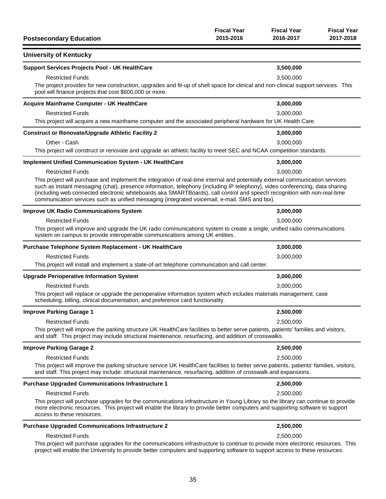| <b>Postsecondary Education</b>                                                                                                                                                                                                                                                                                                                                                                                                                                                              | <b>Fiscal Year</b><br>2015-2016 | <b>Fiscal Year</b><br>2016-2017 | <b>Fiscal Year</b><br>2017-2018 |
|---------------------------------------------------------------------------------------------------------------------------------------------------------------------------------------------------------------------------------------------------------------------------------------------------------------------------------------------------------------------------------------------------------------------------------------------------------------------------------------------|---------------------------------|---------------------------------|---------------------------------|
| <b>University of Kentucky</b>                                                                                                                                                                                                                                                                                                                                                                                                                                                               |                                 |                                 |                                 |
| <b>Support Services Projects Pool - UK HealthCare</b>                                                                                                                                                                                                                                                                                                                                                                                                                                       |                                 | 3,500,000                       |                                 |
| <b>Restricted Funds</b>                                                                                                                                                                                                                                                                                                                                                                                                                                                                     |                                 | 3,500,000                       |                                 |
| The project provides for new construction, upgrades and fit-up of shell space for clinical and non-clinical support services. This<br>pool will finance projects that cost \$600,000 or more.                                                                                                                                                                                                                                                                                               |                                 |                                 |                                 |
| Acquire Mainframe Computer - UK HealthCare                                                                                                                                                                                                                                                                                                                                                                                                                                                  |                                 | 3,000,000                       |                                 |
| <b>Restricted Funds</b><br>This project will acquire a new mainframe computer and the associated peripheral hardware for UK Health Care.                                                                                                                                                                                                                                                                                                                                                    |                                 | 3,000,000                       |                                 |
| <b>Construct or Renovate/Upgrade Athletic Facility 2</b>                                                                                                                                                                                                                                                                                                                                                                                                                                    |                                 | 3,000,000                       |                                 |
| Other - Cash                                                                                                                                                                                                                                                                                                                                                                                                                                                                                |                                 | 3,000,000                       |                                 |
| This project will construct or renovate and upgrade an athletic facility to meet SEC and NCAA competition standards.                                                                                                                                                                                                                                                                                                                                                                        |                                 |                                 |                                 |
| <b>Implement Unified Communication System - UK HealthCare</b>                                                                                                                                                                                                                                                                                                                                                                                                                               |                                 | 3,000,000                       |                                 |
| <b>Restricted Funds</b>                                                                                                                                                                                                                                                                                                                                                                                                                                                                     |                                 | 3,000,000                       |                                 |
| This project will purchase and implement the integration of real-time internal and potentially external communication services<br>such as instant messaging (chat), presence information, telephony (including IP telephony), video conferencing, data sharing<br>(including web connected electronic whiteboards aka SMARTBoards), call control and speech recognition with non-real-time<br>communication services such as unified messaging (integrated voicemail, e-mail, SMS and fax). |                                 |                                 |                                 |
| <b>Improve UK Radio Communications System</b>                                                                                                                                                                                                                                                                                                                                                                                                                                               |                                 | 3,000,000                       |                                 |
| <b>Restricted Funds</b>                                                                                                                                                                                                                                                                                                                                                                                                                                                                     |                                 | 3,000,000                       |                                 |
| This project will improve and upgrade the UK radio communications system to create a single, unified radio communications<br>system on campus to provide interoperable communications among UK entities.                                                                                                                                                                                                                                                                                    |                                 |                                 |                                 |
| Purchase Telephone System Replacement - UK HealthCare                                                                                                                                                                                                                                                                                                                                                                                                                                       |                                 | 3,000,000                       |                                 |
| <b>Restricted Funds</b>                                                                                                                                                                                                                                                                                                                                                                                                                                                                     |                                 | 3,000,000                       |                                 |
| This project will install and implement a state-of-art telephone communication and call center.                                                                                                                                                                                                                                                                                                                                                                                             |                                 |                                 |                                 |
| <b>Upgrade Perioperative Information System</b>                                                                                                                                                                                                                                                                                                                                                                                                                                             |                                 | 3,000,000                       |                                 |
| <b>Restricted Funds</b>                                                                                                                                                                                                                                                                                                                                                                                                                                                                     |                                 | 3,000,000                       |                                 |
| This project will replace or upgrade the perioperative information system which includes materials management, case<br>scheduling, billing, clinical documentation, and preference card functionality.                                                                                                                                                                                                                                                                                      |                                 |                                 |                                 |
| <b>Improve Parking Garage 1</b>                                                                                                                                                                                                                                                                                                                                                                                                                                                             |                                 | 2,500,000                       |                                 |
| <b>Restricted Funds</b>                                                                                                                                                                                                                                                                                                                                                                                                                                                                     |                                 | 2,500,000                       |                                 |
| This project will improve the parking structure UK HealthCare facilities to better serve patients, patients' families and visitors,<br>and staff. This project may include structural maintenance, resurfacing, and addition of crosswalks.                                                                                                                                                                                                                                                 |                                 |                                 |                                 |
| <b>Improve Parking Garage 2</b>                                                                                                                                                                                                                                                                                                                                                                                                                                                             |                                 | 2,500,000                       |                                 |
| <b>Restricted Funds</b>                                                                                                                                                                                                                                                                                                                                                                                                                                                                     |                                 | 2,500,000                       |                                 |
| This project will improve the parking structure service UK HealthCare facilities to better serve patients, patients' families, visitors,<br>and staff. This project may include: structural maintenance, resurfacing, addition of crosswalk and expansions.                                                                                                                                                                                                                                 |                                 |                                 |                                 |
| <b>Purchase Upgraded Communications Infrastructure 1</b>                                                                                                                                                                                                                                                                                                                                                                                                                                    |                                 | 2,500,000                       |                                 |
| <b>Restricted Funds</b>                                                                                                                                                                                                                                                                                                                                                                                                                                                                     |                                 | 2,500,000                       |                                 |
| This project will purchase upgrades for the communications infrastructure in Young Library so the library can continue to provide<br>more electronic resources. This project will enable the library to provide better computers and supporting software to support<br>access to these resources.                                                                                                                                                                                           |                                 |                                 |                                 |
| <b>Purchase Upgraded Communications Infrastructure 2</b>                                                                                                                                                                                                                                                                                                                                                                                                                                    |                                 | 2,500,000                       |                                 |
| <b>Restricted Funds</b>                                                                                                                                                                                                                                                                                                                                                                                                                                                                     |                                 | 2,500,000                       |                                 |
| This project will purchase upgrades for the communications infrastructure to continue to provide more electronic resources. This<br>project will enable the University to provide better computers and supporting software to support access to these resources.                                                                                                                                                                                                                            |                                 |                                 |                                 |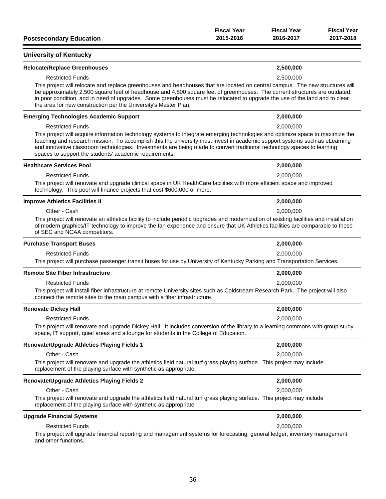| <b>Postsecondary Education</b>                                                                                                                                                                                                                                                                                                                                                                                                                               | <b>Fiscal Year</b><br>2015-2016 | <b>Fiscal Year</b><br>2016-2017 | <b>Fiscal Year</b><br>2017-2018 |
|--------------------------------------------------------------------------------------------------------------------------------------------------------------------------------------------------------------------------------------------------------------------------------------------------------------------------------------------------------------------------------------------------------------------------------------------------------------|---------------------------------|---------------------------------|---------------------------------|
| <b>University of Kentucky</b>                                                                                                                                                                                                                                                                                                                                                                                                                                |                                 |                                 |                                 |
| <b>Relocate/Replace Greenhouses</b>                                                                                                                                                                                                                                                                                                                                                                                                                          |                                 | 2,500,000                       |                                 |
| <b>Restricted Funds</b>                                                                                                                                                                                                                                                                                                                                                                                                                                      |                                 | 2,500,000                       |                                 |
| This project will relocate and replace greenhouses and headhouses that are located on central campus. The new structures will<br>be approximately 2,500 square feet of headhouse and 4,500 square feet of greenhouses. The current structures are outdated,<br>in poor condition, and in need of upgrades. Some greenhouses must be relocated to upgrade the use of the land and to clear<br>the area for new construction per the University's Master Plan. |                                 |                                 |                                 |
| <b>Emerging Technologies Academic Support</b>                                                                                                                                                                                                                                                                                                                                                                                                                |                                 | 2,000,000                       |                                 |
| <b>Restricted Funds</b>                                                                                                                                                                                                                                                                                                                                                                                                                                      |                                 | 2,000,000                       |                                 |
| This project will acquire information technology systems to integrate emerging technologies and optimize space to maximize the<br>teaching and research mission. To accomplish this the university must invest in academic support systems such as eLearning<br>and innovative classroom technologies. Investments are being made to convert traditional technology spaces to learning<br>spaces to support the students' academic requirements.             |                                 |                                 |                                 |
| <b>Healthcare Services Pool</b>                                                                                                                                                                                                                                                                                                                                                                                                                              |                                 | 2,000,000                       |                                 |
| <b>Restricted Funds</b>                                                                                                                                                                                                                                                                                                                                                                                                                                      |                                 | 2,000,000                       |                                 |
| This project will renovate and upgrade clinical space in UK HealthCare facilities with more efficient space and improved<br>technology. This pool will finance projects that cost \$600,000 or more.                                                                                                                                                                                                                                                         |                                 |                                 |                                 |
| <b>Improve Athletics Facilities II</b>                                                                                                                                                                                                                                                                                                                                                                                                                       |                                 | 2,000,000                       |                                 |
| Other - Cash                                                                                                                                                                                                                                                                                                                                                                                                                                                 |                                 | 2,000,000                       |                                 |
| This project will renovate an athletics facility to include periodic upgrades and modernization of existing facilities and installation<br>of modern graphics/IT technology to improve the fan experience and ensure that UK Athletics facilities are comparable to those<br>of SEC and NCAA competitors.                                                                                                                                                    |                                 |                                 |                                 |
| <b>Purchase Transport Buses</b>                                                                                                                                                                                                                                                                                                                                                                                                                              |                                 | 2,000,000                       |                                 |
| <b>Restricted Funds</b>                                                                                                                                                                                                                                                                                                                                                                                                                                      |                                 | 2,000,000                       |                                 |
| This project will purchase passenger transit buses for use by University of Kentucky Parking and Transportation Services.                                                                                                                                                                                                                                                                                                                                    |                                 |                                 |                                 |
| <b>Remote Site Fiber Infrastructure</b>                                                                                                                                                                                                                                                                                                                                                                                                                      |                                 | 2,000,000                       |                                 |
| <b>Restricted Funds</b>                                                                                                                                                                                                                                                                                                                                                                                                                                      |                                 | 2,000,000                       |                                 |
| This project will install fiber infrastructure at remote University sites such as Coldstream Research Park. The project will also<br>connect the remote sites to the main campus with a fiber infrastructure.                                                                                                                                                                                                                                                |                                 |                                 |                                 |
| <b>Renovate Dickey Hall</b>                                                                                                                                                                                                                                                                                                                                                                                                                                  |                                 | 2,000,000                       |                                 |
| <b>Restricted Funds</b>                                                                                                                                                                                                                                                                                                                                                                                                                                      |                                 | 2,000,000                       |                                 |
| This project will renovate and upgrade Dickey Hall. It includes conversion of the library to a learning commons with group study<br>space, IT support, quiet areas and a lounge for students in the College of Education.                                                                                                                                                                                                                                    |                                 |                                 |                                 |
| <b>Renovate/Upgrade Athletics Playing Fields 1</b>                                                                                                                                                                                                                                                                                                                                                                                                           |                                 | 2,000,000                       |                                 |
| Other - Cash                                                                                                                                                                                                                                                                                                                                                                                                                                                 |                                 | 2,000,000                       |                                 |
| This project will renovate and upgrade the athletics field natural turf grass playing surface. This project may include<br>replacement of the playing surface with synthetic as appropriate.                                                                                                                                                                                                                                                                 |                                 |                                 |                                 |
| <b>Renovate/Upgrade Athletics Playing Fields 2</b>                                                                                                                                                                                                                                                                                                                                                                                                           |                                 | 2,000,000                       |                                 |
| Other - Cash                                                                                                                                                                                                                                                                                                                                                                                                                                                 |                                 | 2,000,000                       |                                 |
| This project will renovate and upgrade the athletics field natural turf grass playing surface. This project may include<br>replacement of the playing surface with synthetic as appropriate.                                                                                                                                                                                                                                                                 |                                 |                                 |                                 |
| <b>Upgrade Financial Systems</b>                                                                                                                                                                                                                                                                                                                                                                                                                             |                                 | 2,000,000                       |                                 |
| <b>Restricted Funds</b>                                                                                                                                                                                                                                                                                                                                                                                                                                      |                                 | 2,000,000                       |                                 |
| This project will upgrade financial reporting and management systems for forecasting, general ledger, inventory management<br>and other functions.                                                                                                                                                                                                                                                                                                           |                                 |                                 |                                 |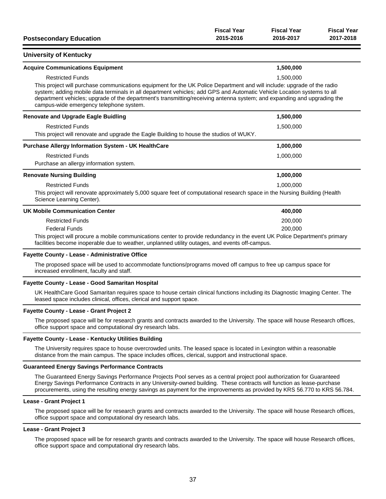| <b>Postsecondary Education</b>                                                                                                                                                                                                                                                                                                                                                                                          | <b>Fiscal Year</b><br>2015-2016 | <b>Fiscal Year</b><br>2016-2017 | <b>Fiscal Year</b><br>2017-2018 |
|-------------------------------------------------------------------------------------------------------------------------------------------------------------------------------------------------------------------------------------------------------------------------------------------------------------------------------------------------------------------------------------------------------------------------|---------------------------------|---------------------------------|---------------------------------|
| <b>University of Kentucky</b>                                                                                                                                                                                                                                                                                                                                                                                           |                                 |                                 |                                 |
| <b>Acquire Communications Equipment</b>                                                                                                                                                                                                                                                                                                                                                                                 |                                 | 1,500,000                       |                                 |
| <b>Restricted Funds</b>                                                                                                                                                                                                                                                                                                                                                                                                 |                                 | 1,500,000                       |                                 |
| This project will purchase communications equipment for the UK Police Department and will include: upgrade of the radio<br>system; adding mobile data terminals in all department vehicles; add GPS and Automatic Vehicle Location systems to all<br>department vehicles; upgrade of the department's transmitting/receiving antenna system; and expanding and upgrading the<br>campus-wide emergency telephone system. |                                 |                                 |                                 |
| <b>Renovate and Upgrade Eagle Buidling</b>                                                                                                                                                                                                                                                                                                                                                                              |                                 | 1,500,000                       |                                 |
| <b>Restricted Funds</b>                                                                                                                                                                                                                                                                                                                                                                                                 |                                 | 1,500,000                       |                                 |
| This project will renovate and upgrade the Eagle Building to house the studios of WUKY.                                                                                                                                                                                                                                                                                                                                 |                                 |                                 |                                 |
| <b>Purchase Allergy Information System - UK HealthCare</b>                                                                                                                                                                                                                                                                                                                                                              |                                 | 1,000,000                       |                                 |
| <b>Restricted Funds</b>                                                                                                                                                                                                                                                                                                                                                                                                 |                                 | 1,000,000                       |                                 |
| Purchase an allergy information system.                                                                                                                                                                                                                                                                                                                                                                                 |                                 |                                 |                                 |
| <b>Renovate Nursing Building</b>                                                                                                                                                                                                                                                                                                                                                                                        |                                 | 1,000,000                       |                                 |
| <b>Restricted Funds</b>                                                                                                                                                                                                                                                                                                                                                                                                 |                                 | 1.000.000                       |                                 |
| This project will renovate approximately 5,000 square feet of computational research space in the Nursing Building (Health<br>Science Learning Center).                                                                                                                                                                                                                                                                 |                                 |                                 |                                 |
| <b>UK Mobile Communication Center</b>                                                                                                                                                                                                                                                                                                                                                                                   |                                 | 400,000                         |                                 |
| <b>Restricted Funds</b>                                                                                                                                                                                                                                                                                                                                                                                                 |                                 | 200,000                         |                                 |
| <b>Federal Funds</b>                                                                                                                                                                                                                                                                                                                                                                                                    |                                 | 200,000                         |                                 |
| This project will procure a mobile communications center to provide redundancy in the event UK Police Department's primary<br>facilities become inoperable due to weather, unplanned utility outages, and events off-campus.                                                                                                                                                                                            |                                 |                                 |                                 |

#### **Fayette County - Lease - Administrative Office**

The proposed space will be used to accommodate functions/programs moved off campus to free up campus space for increased enrollment, faculty and staff.

#### **Fayette County - Lease - Good Samaritan Hospital**

UK HealthCare Good Samaritan requires space to house certain clinical functions including its Diagnostic Imaging Center. The leased space includes clinical, offices, clerical and support space.

#### **Fayette County - Lease - Grant Project 2**

The proposed space will be for research grants and contracts awarded to the University. The space will house Research offices, office support space and computational dry research labs.

#### **Fayette County - Lease - Kentucky Utilities Building**

The University requires space to house overcrowded units. The leased space is located in Lexington within a reasonable distance from the main campus. The space includes offices, clerical, support and instructional space.

#### **Guaranteed Energy Savings Performance Contracts**

The Guaranteed Energy Savings Performance Projects Pool serves as a central project pool authorization for Guaranteed Energy Savings Performance Contracts in any University-owned building. These contracts will function as lease-purchase procurements, using the resulting energy savings as payment for the improvements as provided by KRS 56.770 to KRS 56.784.

#### **Lease - Grant Project 1**

The proposed space will be for research grants and contracts awarded to the University. The space will house Research offices, office support space and computational dry research labs.

### **Lease - Grant Project 3**

The proposed space will be for research grants and contracts awarded to the University. The space will house Research offices, office support space and computational dry research labs.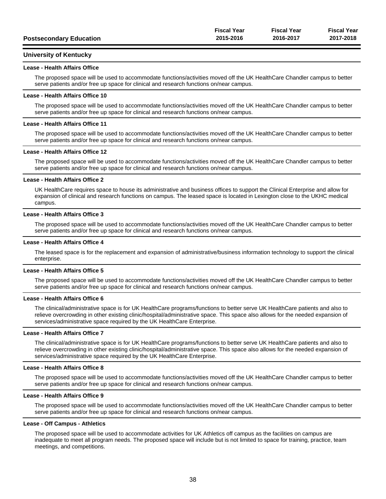|                                | <b>Fiscal Year</b> | <b>Fiscal Year</b> | <b>Fiscal Year</b> |
|--------------------------------|--------------------|--------------------|--------------------|
| <b>Postsecondary Education</b> | 2015-2016          | 2016-2017          | 2017-2018          |
|                                |                    |                    |                    |

### **University of Kentucky**

#### **Lease - Health Affairs Office**

The proposed space will be used to accommodate functions/activities moved off the UK HealthCare Chandler campus to better serve patients and/or free up space for clinical and research functions on/near campus.

#### **Lease - Health Affairs Office 10**

The proposed space will be used to accommodate functions/activities moved off the UK HealthCare Chandler campus to better serve patients and/or free up space for clinical and research functions on/near campus.

#### **Lease - Health Affairs Office 11**

The proposed space will be used to accommodate functions/activities moved off the UK HealthCare Chandler campus to better serve patients and/or free up space for clinical and research functions on/near campus.

#### **Lease - Health Affairs Office 12**

The proposed space will be used to accommodate functions/activities moved off the UK HealthCare Chandler campus to better serve patients and/or free up space for clinical and research functions on/near campus.

#### **Lease - Health Affairs Office 2**

UK HealthCare requires space to house its administrative and business offices to support the Clinical Enterprise and allow for expansion of clinical and research functions on campus. The leased space is located in Lexington close to the UKHC medical campus.

#### **Lease - Health Affairs Office 3**

The proposed space will be used to accommodate functions/activities moved off the UK HealthCare Chandler campus to better serve patients and/or free up space for clinical and research functions on/near campus.

#### **Lease - Health Affairs Office 4**

The leased space is for the replacement and expansion of administrative/business information technology to support the clinical enterprise.

#### **Lease - Health Affairs Office 5**

The proposed space will be used to accommodate functions/activities moved off the UK HealthCare Chandler campus to better serve patients and/or free up space for clinical and research functions on/near campus.

#### **Lease - Health Affairs Office 6**

The clinical/administrative space is for UK HealthCare programs/functions to better serve UK HealthCare patients and also to relieve overcrowding in other existing clinic/hospital/administrative space. This space also allows for the needed expansion of services/administrative space required by the UK HealthCare Enterprise.

#### **Lease - Health Affairs Office 7**

The clinical/administrative space is for UK HealthCare programs/functions to better serve UK HealthCare patients and also to relieve overcrowding in other existing clinic/hospital/administrative space. This space also allows for the needed expansion of services/administrative space required by the UK HealthCare Enterprise.

#### **Lease - Health Affairs Office 8**

The proposed space will be used to accommodate functions/activities moved off the UK HealthCare Chandler campus to better serve patients and/or free up space for clinical and research functions on/near campus.

#### **Lease - Health Affairs Office 9**

The proposed space will be used to accommodate functions/activities moved off the UK HealthCare Chandler campus to better serve patients and/or free up space for clinical and research functions on/near campus.

#### **Lease - Off Campus - Athletics**

The proposed space will be used to accommodate activities for UK Athletics off campus as the facilities on campus are inadequate to meet all program needs. The proposed space will include but is not limited to space for training, practice, team meetings, and competitions.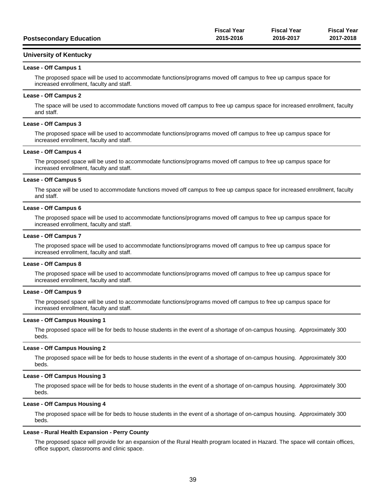|                                | <b>Fiscal Year</b> | <b>Fiscal Year</b> | <b>Fiscal Year</b> |
|--------------------------------|--------------------|--------------------|--------------------|
| <b>Postsecondary Education</b> | 2015-2016          | 2016-2017          | 2017-2018          |

#### **University of Kentucky**

#### **Lease - Off Campus 1**

The proposed space will be used to accommodate functions/programs moved off campus to free up campus space for increased enrollment, faculty and staff.

#### **Lease - Off Campus 2**

The space will be used to accommodate functions moved off campus to free up campus space for increased enrollment, faculty and staff.

#### **Lease - Off Campus 3**

The proposed space will be used to accommodate functions/programs moved off campus to free up campus space for increased enrollment, faculty and staff.

#### **Lease - Off Campus 4**

The proposed space will be used to accommodate functions/programs moved off campus to free up campus space for increased enrollment, faculty and staff.

#### **Lease - Off Campus 5**

The space will be used to accommodate functions moved off campus to free up campus space for increased enrollment, faculty and staff.

#### **Lease - Off Campus 6**

The proposed space will be used to accommodate functions/programs moved off campus to free up campus space for increased enrollment, faculty and staff.

#### **Lease - Off Campus 7**

The proposed space will be used to accommodate functions/programs moved off campus to free up campus space for increased enrollment, faculty and staff.

#### **Lease - Off Campus 8**

The proposed space will be used to accommodate functions/programs moved off campus to free up campus space for increased enrollment, faculty and staff.

#### **Lease - Off Campus 9**

The proposed space will be used to accommodate functions/programs moved off campus to free up campus space for increased enrollment, faculty and staff.

#### **Lease - Off Campus Housing 1**

The proposed space will be for beds to house students in the event of a shortage of on-campus housing. Approximately 300 beds.

#### **Lease - Off Campus Housing 2**

The proposed space will be for beds to house students in the event of a shortage of on-campus housing. Approximately 300 beds.

#### **Lease - Off Campus Housing 3**

The proposed space will be for beds to house students in the event of a shortage of on-campus housing. Approximately 300 beds.

#### **Lease - Off Campus Housing 4**

The proposed space will be for beds to house students in the event of a shortage of on-campus housing. Approximately 300 beds.

#### **Lease - Rural Health Expansion - Perry County**

The proposed space will provide for an expansion of the Rural Health program located in Hazard. The space will contain offices, office support, classrooms and clinic space.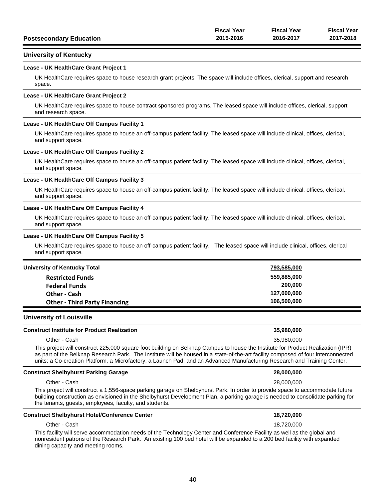|                                | <b>Fiscal Year</b> | Fiscal Year | <b>Fiscal Year</b> |
|--------------------------------|--------------------|-------------|--------------------|
| <b>Postsecondary Education</b> | 2015-2016          | 2016-2017   | 2017-2018          |

### **University of Kentucky**

#### **Lease - UK HealthCare Grant Project 1**

UK HealthCare requires space to house research grant projects. The space will include offices, clerical, support and research space.

#### **Lease - UK HealthCare Grant Project 2**

UK HealthCare requires space to house contract sponsored programs. The leased space will include offices, clerical, support and research space.

#### **Lease - UK HealthCare Off Campus Facility 1**

UK HealthCare requires space to house an off-campus patient facility. The leased space will include clinical, offices, clerical, and support space.

#### **Lease - UK HealthCare Off Campus Facility 2**

UK HealthCare requires space to house an off-campus patient facility. The leased space will include clinical, offices, clerical, and support space.

#### **Lease - UK HealthCare Off Campus Facility 3**

UK HealthCare requires space to house an off-campus patient facility. The leased space will include clinical, offices, clerical, and support space.

#### **Lease - UK HealthCare Off Campus Facility 4**

UK HealthCare requires space to house an off-campus patient facility. The leased space will include clinical, offices, clerical, and support space.

#### **Lease - UK HealthCare Off Campus Facility 5**

UK HealthCare requires space to house an off-campus patient facility. The leased space will include clinical, offices, clerical and support space.

| University of Kentucky Total         | 793,585,000 |
|--------------------------------------|-------------|
| <b>Restricted Funds</b>              | 559,885,000 |
| <b>Federal Funds</b>                 | 200.000     |
| Other - Cash                         | 127,000,000 |
| <b>Other - Third Party Financing</b> | 106,500,000 |

#### **University of Louisville**

| <b>Construct Institute for Product Realization</b>                                                                                                                                                                                                                   | 35.980.000 |
|----------------------------------------------------------------------------------------------------------------------------------------------------------------------------------------------------------------------------------------------------------------------|------------|
| Other - Cash                                                                                                                                                                                                                                                         | 35.980.000 |
| This project will construct 225,000 square foot building on Belknap Campus to house the Institute for Product Realization (IPR)<br>as part of the Belknap Research Park. The Institute will be housed in a state-of-the-art facility composed of four interconnected |            |
| units: a Co-creation Platform, a Microfactory, a Launch Pad, and an Advanced Manufacturing Research and Training Center.                                                                                                                                             |            |

#### **Construct Shelbyhurst Parking Garage 28,000,000**

Other - Cash 28,000,000

This project will construct a 1,556-space parking garage on Shelbyhurst Park. In order to provide space to accommodate future building construction as envisioned in the Shelbyhurst Development Plan, a parking garage is needed to consolidate parking for the tenants, guests, employees, faculty, and students.

#### **Construct Shelbyhurst Hotel/Conference Center 18,720,000**

#### Other - Cash 18,720,000 This facility will serve accommodation needs of the Technology Center and Conference Facility as well as the global and nonresident patrons of the Research Park. An existing 100 bed hotel will be expanded to a 200 bed facility with expanded dining capacity and meeting rooms.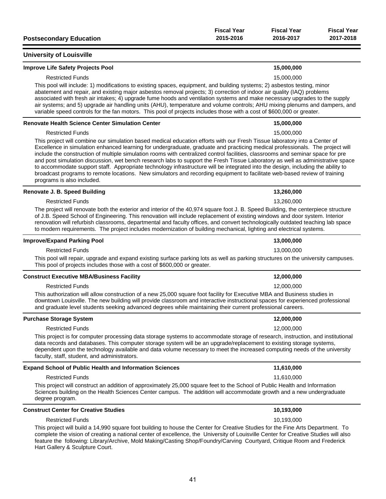|                                | <b>Fiscal Year</b> | <b>Fiscal Year</b> | <b>Fiscal Year</b> |
|--------------------------------|--------------------|--------------------|--------------------|
| <b>Postsecondary Education</b> | 2015-2016          | 2016-2017          | 2017-2018          |

### **University of Louisville**

#### **Improve Life Safety Projects Pool 15,000,000**

# Restricted Funds 15,000,000

This pool will include: 1) modifications to existing spaces, equipment, and building systems; 2) asbestos testing, minor abatement and repair, and existing major asbestos removal projects; 3) correction of indoor air quality (IAQ) problems associated with fresh air intakes; 4) upgrade fume hoods and ventilation systems and make necessary upgrades to the supply air systems; and 5) upgrade air handling units (AHU), temperature and volume controls; AHU mixing plenums and dampers, and variable speed controls for the fan motors. This pool of projects includes those with a cost of \$600,000 or greater.

#### **Renovate Health Science Center Simulation Center 15,000,000**

#### Restricted Funds 15,000,000

This project will combine our simulation based medical education efforts with our Fresh Tissue laboratory into a Center of Excellence in simulation enhanced learning for undergraduate, graduate and practicing medical professionals. The project will include the construction of multiple simulation rooms with centralized control facilities, classrooms and seminar space for pre and post simulation discussion, wet bench research labs to support the Fresh Tissue Laboratory as well as administrative space to accommodate support staff. Appropriate technology infrastructure will be integrated into the design, including the ability to broadcast programs to remote locations. New simulators and recording equipment to facilitate web-based review of training programs is also included.

#### **Renovate J. B. Speed Building 13,260,000**

#### Restricted Funds 13,260,000

The project will renovate both the exterior and interior of the 40,974 square foot J. B. Speed Building, the centerpiece structure of J.B. Speed School of Engineering. This renovation will include replacement of existing windows and door system. Interior renovation will refurbish classrooms, departmental and faculty offices, and convert technologically outdated teaching lab space to modern requirements. The project includes modernization of building mechanical, lighting and electrical systems.

#### **Improve/Expand Parking Pool 13,000,000**

Restricted Funds 13,000,000

This pool will repair, upgrade and expand existing surface parking lots as well as parking structures on the university campuses. This pool of projects includes those with a cost of \$600,000 or greater.

#### **Construct Executive MBA/Business Facility 12,000,000**

#### Restricted Funds 12,000,000

This authorization will allow construction of a new 25,000 square foot facility for Executive MBA and Business studies in downtown Louisville. The new building will provide classroom and interactive instructional spaces for experienced professional and graduate level students seeking advanced degrees while maintaining their current professional careers.

#### **Purchase Storage System 12,000,000**

Restricted Funds 12,000,000

This project is for computer processing data storage systems to accommodate storage of research, instruction, and institutional data records and databases. This computer storage system will be an upgrade/replacement to existing storage systems, dependent upon the technology available and data volume necessary to meet the increased computing needs of the university faculty, staff, student, and administrators.

#### **Expand School of Public Health and Information Sciences 11,610,000**

#### Restricted Funds 11,610,000

This project will construct an addition of approximately 25,000 square feet to the School of Public Health and Information Sciences building on the Health Sciences Center campus. The addition will accommodate growth and a new undergraduate degree program.

#### **Construct Center for Creative Studies 10,193,000**

#### Restricted Funds 10,193,000

This project will build a 14,990 square foot building to house the Center for Creative Studies for the Fine Arts Department. To complete the vision of creating a national center of excellence, the University of Louisville Center for Creative Studies will also feature the following: Library/Archive, Mold Making/Casting Shop/Foundry/Carving Courtyard, Critique Room and Frederick Hart Gallery & Sculpture Court.

| 15,000,000 |
|------------|
|            |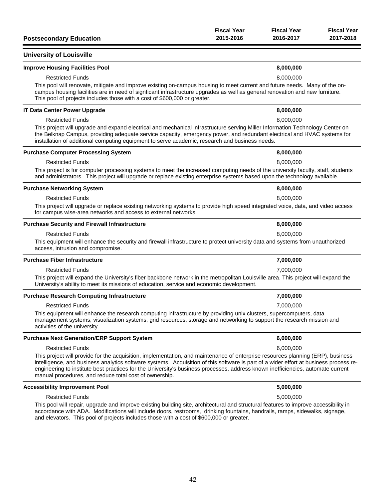| <b>Postsecondary Education</b>                                                                                                                                                                                                                                                                                                                                                                                                                                        | <b>Fiscal Year</b><br>2015-2016 | <b>Fiscal Year</b><br>2016-2017 | <b>Fiscal Year</b><br>2017-2018 |
|-----------------------------------------------------------------------------------------------------------------------------------------------------------------------------------------------------------------------------------------------------------------------------------------------------------------------------------------------------------------------------------------------------------------------------------------------------------------------|---------------------------------|---------------------------------|---------------------------------|
| <b>University of Louisville</b>                                                                                                                                                                                                                                                                                                                                                                                                                                       |                                 |                                 |                                 |
| <b>Improve Housing Facilities Pool</b>                                                                                                                                                                                                                                                                                                                                                                                                                                |                                 | 8,000,000                       |                                 |
| <b>Restricted Funds</b>                                                                                                                                                                                                                                                                                                                                                                                                                                               |                                 | 8,000,000                       |                                 |
| This pool will renovate, mitigate and improve existing on-campus housing to meet current and future needs. Many of the on-<br>campus housing facilities are in need of signficant infrastructure upgrades as well as general renovation and new furniture.<br>This pool of projects includes those with a cost of \$600,000 or greater.                                                                                                                               |                                 |                                 |                                 |
| <b>IT Data Center Power Upgrade</b>                                                                                                                                                                                                                                                                                                                                                                                                                                   |                                 | 8,000,000                       |                                 |
| <b>Restricted Funds</b>                                                                                                                                                                                                                                                                                                                                                                                                                                               |                                 | 8,000,000                       |                                 |
| This project will upgrade and expand electrical and mechanical infrastructure serving Miller Information Technology Center on<br>the Belknap Campus, providing adequate service capacity, emergency power, and redundant electrical and HVAC systems for<br>installation of additional computing equipment to serve academic, research and business needs.                                                                                                            |                                 |                                 |                                 |
| <b>Purchase Computer Processing System</b>                                                                                                                                                                                                                                                                                                                                                                                                                            |                                 | 8,000,000                       |                                 |
| <b>Restricted Funds</b>                                                                                                                                                                                                                                                                                                                                                                                                                                               |                                 | 8,000,000                       |                                 |
| This project is for computer processing systems to meet the increased computing needs of the university faculty, staff, students<br>and administrators. This project will upgrade or replace existing enterprise systems based upon the technology available.                                                                                                                                                                                                         |                                 |                                 |                                 |
| <b>Purchase Networking System</b>                                                                                                                                                                                                                                                                                                                                                                                                                                     |                                 | 8,000,000                       |                                 |
| <b>Restricted Funds</b>                                                                                                                                                                                                                                                                                                                                                                                                                                               |                                 | 8,000,000                       |                                 |
| This project will upgrade or replace existing networking systems to provide high speed integrated voice, data, and video access<br>for campus wise-area networks and access to external networks.                                                                                                                                                                                                                                                                     |                                 |                                 |                                 |
| <b>Purchase Security and Firewall Infrastructure</b>                                                                                                                                                                                                                                                                                                                                                                                                                  |                                 | 8,000,000                       |                                 |
| <b>Restricted Funds</b>                                                                                                                                                                                                                                                                                                                                                                                                                                               |                                 | 8,000,000                       |                                 |
| This equipment will enhance the security and firewall infrastructure to protect university data and systems from unauthorized<br>access, intrusion and compromise.                                                                                                                                                                                                                                                                                                    |                                 |                                 |                                 |
| <b>Purchase Fiber Infrastructure</b>                                                                                                                                                                                                                                                                                                                                                                                                                                  |                                 | 7,000,000                       |                                 |
| <b>Restricted Funds</b>                                                                                                                                                                                                                                                                                                                                                                                                                                               |                                 | 7,000,000                       |                                 |
| This project will expand the University's fiber backbone network in the metropolitan Louisville area. This project will expand the<br>University's ability to meet its missions of education, service and economic development.                                                                                                                                                                                                                                       |                                 |                                 |                                 |
| <b>Purchase Research Computing Infrastructure</b>                                                                                                                                                                                                                                                                                                                                                                                                                     |                                 | 7,000,000                       |                                 |
| <b>Restricted Funds</b>                                                                                                                                                                                                                                                                                                                                                                                                                                               |                                 | 7,000,000                       |                                 |
| This equipment will enhance the research computing infrastructure by providing unix clusters, supercomputers, data<br>management systems, visualization systems, grid resources, storage and networking to support the research mission and<br>activities of the university.                                                                                                                                                                                          |                                 |                                 |                                 |
| <b>Purchase Next Generation/ERP Support System</b>                                                                                                                                                                                                                                                                                                                                                                                                                    |                                 | 6,000,000                       |                                 |
| <b>Restricted Funds</b>                                                                                                                                                                                                                                                                                                                                                                                                                                               |                                 | 6,000,000                       |                                 |
| This project will provide for the acquisition, implementation, and maintenance of enterprise resources planning (ERP), business<br>intelligence, and business analytics software systems. Acquisition of this software is part of a wider effort at business process re-<br>engineering to institute best practices for the University's business processes, address known inefficiencies, automate current<br>manual procedures, and reduce total cost of ownership. |                                 |                                 |                                 |
| <b>Accessibility Improvement Pool</b>                                                                                                                                                                                                                                                                                                                                                                                                                                 |                                 | 5,000,000                       |                                 |
| <b>Restricted Funds</b>                                                                                                                                                                                                                                                                                                                                                                                                                                               |                                 | 5,000,000                       |                                 |
| This pool will repair, upgrade and improve existing building site, architectural and structural features to improve accessibility in<br>accordance with ADA. Modifications will include doors, restrooms, drinking fountains, handrails, ramps, sidewalks, signage,<br>and elevators. This pool of projects includes those with a cost of \$600,000 or greater.                                                                                                       |                                 |                                 |                                 |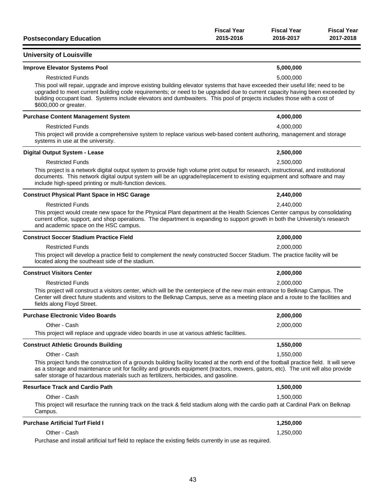| <b>Postsecondary Education</b>                                                                                                                                                                                                                                                                                                                                                                                   | <b>Fiscal Year</b><br>2015-2016 | <b>Fiscal Year</b><br>2016-2017 | <b>Fiscal Year</b><br>2017-2018 |
|------------------------------------------------------------------------------------------------------------------------------------------------------------------------------------------------------------------------------------------------------------------------------------------------------------------------------------------------------------------------------------------------------------------|---------------------------------|---------------------------------|---------------------------------|
| <b>University of Louisville</b>                                                                                                                                                                                                                                                                                                                                                                                  |                                 |                                 |                                 |
| <b>Improve Elevator Systems Pool</b>                                                                                                                                                                                                                                                                                                                                                                             |                                 | 5,000,000                       |                                 |
| <b>Restricted Funds</b>                                                                                                                                                                                                                                                                                                                                                                                          |                                 | 5,000,000                       |                                 |
| This pool will repair, upgrade and improve existing building elevator systems that have exceeded their useful life; need to be<br>upgraded to meet current building code requirements; or need to be upgraded due to current capacity having been exceeded by<br>building occupant load. Systems include elevators and dumbwaiters. This pool of projects includes those with a cost of<br>\$600,000 or greater. |                                 |                                 |                                 |
| <b>Purchase Content Management System</b>                                                                                                                                                                                                                                                                                                                                                                        |                                 | 4,000,000                       |                                 |
| <b>Restricted Funds</b>                                                                                                                                                                                                                                                                                                                                                                                          |                                 | 4,000,000                       |                                 |
| This project will provide a comprehensive system to replace various web-based content authoring, management and storage<br>systems in use at the university.                                                                                                                                                                                                                                                     |                                 |                                 |                                 |
| <b>Digital Output System - Lease</b>                                                                                                                                                                                                                                                                                                                                                                             |                                 | 2,500,000                       |                                 |
| <b>Restricted Funds</b>                                                                                                                                                                                                                                                                                                                                                                                          |                                 | 2,500,000                       |                                 |
| This project is a network digital output system to provide high volume print output for research, instructional, and institutional<br>documents. This network digital output system will be an upgrade/replacement to existing equipment and software and may<br>include high-speed printing or multi-function devices.                                                                                          |                                 |                                 |                                 |
| <b>Construct Physical Plant Space in HSC Garage</b>                                                                                                                                                                                                                                                                                                                                                              |                                 | 2,440,000                       |                                 |
| <b>Restricted Funds</b>                                                                                                                                                                                                                                                                                                                                                                                          |                                 | 2,440,000                       |                                 |
| This project would create new space for the Physical Plant department at the Health Sciences Center campus by consolidating<br>current office, support, and shop operations. The department is expanding to support growth in both the University's research<br>and academic space on the HSC campus.                                                                                                            |                                 |                                 |                                 |
| <b>Construct Soccer Stadium Practice Field</b>                                                                                                                                                                                                                                                                                                                                                                   |                                 | 2,000,000                       |                                 |
| <b>Restricted Funds</b>                                                                                                                                                                                                                                                                                                                                                                                          |                                 | 2,000,000                       |                                 |
| This project will develop a practice field to complement the newly constructed Soccer Stadium. The practice facility will be<br>located along the southeast side of the stadium.                                                                                                                                                                                                                                 |                                 |                                 |                                 |
| <b>Construct Visitors Center</b>                                                                                                                                                                                                                                                                                                                                                                                 |                                 | 2,000,000                       |                                 |
| <b>Restricted Funds</b>                                                                                                                                                                                                                                                                                                                                                                                          |                                 | 2,000,000                       |                                 |
| This project will construct a visitors center, which will be the centerpiece of the new main entrance to Belknap Campus. The<br>Center will direct future students and visitors to the Belknap Campus, serve as a meeting place and a route to the facilities and<br>fields along Floyd Street.                                                                                                                  |                                 |                                 |                                 |
| <b>Purchase Electronic Video Boards</b>                                                                                                                                                                                                                                                                                                                                                                          |                                 | 2,000,000                       |                                 |
| Other - Cash                                                                                                                                                                                                                                                                                                                                                                                                     |                                 | 2,000,000                       |                                 |
| This project will replace and upgrade video boards in use at various athletic facilities.                                                                                                                                                                                                                                                                                                                        |                                 |                                 |                                 |
| <b>Construct Athletic Grounds Building</b>                                                                                                                                                                                                                                                                                                                                                                       |                                 | 1,550,000                       |                                 |
| Other - Cash                                                                                                                                                                                                                                                                                                                                                                                                     |                                 | 1.550.000                       |                                 |
| This project funds the construction of a grounds building facility located at the north end of the football practice field. It will serve<br>as a storage and maintenance unit for facility and grounds equipment (tractors, mowers, gators, etc). The unit will also provide<br>safer storage of hazardous materials such as fertilizers, herbicides, and gasoline.                                             |                                 |                                 |                                 |
| <b>Resurface Track and Cardio Path</b>                                                                                                                                                                                                                                                                                                                                                                           |                                 | 1,500,000                       |                                 |
| Other - Cash                                                                                                                                                                                                                                                                                                                                                                                                     |                                 | 1,500,000                       |                                 |
| This project will resurface the running track on the track & field stadium along with the cardio path at Cardinal Park on Belknap<br>Campus.                                                                                                                                                                                                                                                                     |                                 |                                 |                                 |
| <b>Purchase Artificial Turf Field I</b>                                                                                                                                                                                                                                                                                                                                                                          |                                 | 1,250,000                       |                                 |
| Other - Cash                                                                                                                                                                                                                                                                                                                                                                                                     |                                 | 1,250,000                       |                                 |
|                                                                                                                                                                                                                                                                                                                                                                                                                  |                                 |                                 |                                 |

Purchase and install artificial turf field to replace the existing fields currently in use as required.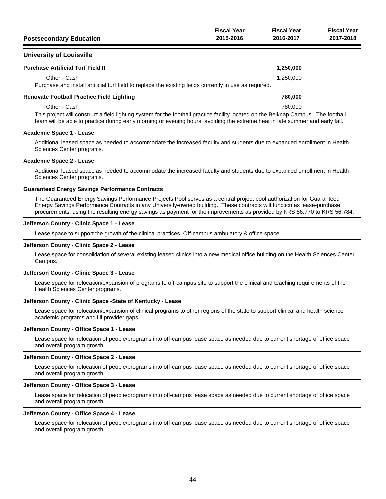| <b>Postsecondary Education</b> | <b>Fiscal Year</b> | <b>Fiscal Year</b> | <b>Fiscal Year</b> |
|--------------------------------|--------------------|--------------------|--------------------|
|                                | 2015-2016          | 2016-2017          | 2017-2018          |
|                                |                    |                    |                    |

### **University of Louisville**

| <b>Purchase Artificial Turf Field II</b>                                                                                                                                                                                                                            | 1,250,000 |  |
|---------------------------------------------------------------------------------------------------------------------------------------------------------------------------------------------------------------------------------------------------------------------|-----------|--|
| Other - Cash                                                                                                                                                                                                                                                        | 1.250.000 |  |
| Purchase and install artificial turf field to replace the existing fields currently in use as required.                                                                                                                                                             |           |  |
| <b>Renovate Football Practice Field Lighting</b>                                                                                                                                                                                                                    | 780,000   |  |
| Other - Cash                                                                                                                                                                                                                                                        | 780,000   |  |
| This project will construct a field lighting system for the football practice facility located on the Belknap Campus. The football<br>team will be able to practice during early morning or evening hours, avoiding the extreme heat in late summer and early fall. |           |  |

#### **Academic Space 1 - Lease**

Additional leased space as needed to accommodate the increased faculty and students due to expanded enrollment in Health Sciences Center programs.

#### **Academic Space 2 - Lease**

Additional leased space as needed to accommodate the increased faculty and students due to expanded enrollment in Health Sciences Center programs.

#### **Guaranteed Energy Savings Performance Contracts**

The Guaranteed Energy Savings Performance Projects Pool serves as a central project pool authorization for Guaranteed Energy Savings Performance Contracts in any University-owned building. These contracts will function as lease-purchase procurements, using the resulting energy savings as payment for the improvements as provided by KRS 56.770 to KRS 56.784.

#### **Jefferson County - Clinic Space 1 - Lease**

Lease space to support the growth of the clinical practices. Off-campus ambulatory & office space.

#### **Jefferson County - Clinic Space 2 - Lease**

Lease space for consolidation of several existing leased clinics into a new medical office building on the Health Sciences Center Campus.

#### **Jefferson County - Clinic Space 3 - Lease**

Lease space for relocation/expansion of programs to off-campus site to support the clinical and teaching requirements of the Health Sciences Center programs.

#### **Jefferson County - Clinic Space -State of Kentucky - Lease**

Lease space for relocation/expansion of clinical programs to other regions of the state to support clinical and health science academic programs and fill provider gaps.

#### **Jefferson County - Office Space 1 - Lease**

Lease space for relocation of people/programs into off-campus lease space as needed due to current shortage of office space and overall program growth.

#### **Jefferson County - Office Space 2 - Lease**

Lease space for relocation of people/programs into off-campus lease space as needed due to current shortage of office space and overall program growth.

#### **Jefferson County - Office Space 3 - Lease**

Lease space for relocation of people/programs into off-campus lease space as needed due to current shortage of office space and overall program growth.

#### **Jefferson County - Office Space 4 - Lease**

Lease space for relocation of people/programs into off-campus lease space as needed due to current shortage of office space and overall program growth.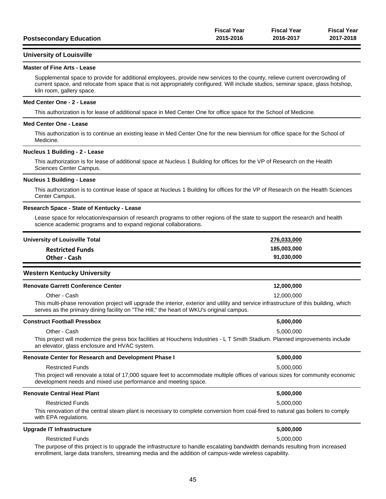|                                | <b>Fiscal Year</b> | <b>Fiscal Year</b> | <b>Fiscal Year</b> |
|--------------------------------|--------------------|--------------------|--------------------|
| <b>Postsecondary Education</b> | 2015-2016          | 2016-2017          | 2017-2018          |

### **University of Louisville**

#### **Master of Fine Arts - Lease**

Supplemental space to provide for additional employees, provide new services to the county, relieve current overcrowding of current space, and relocate from space that is not appropriately configured. Will include studios, seminar space, glass hotshop, kiln room, gallery space.

#### **Med Center One - 2 - Lease**

This authorization is for lease of additional space in Med Center One for office space for the School of Medicine.

#### **Med Center One - Lease**

This authorization is to continue an existing lease in Med Center One for the new biennium for office space for the School of Medicine.

#### **Nucleus 1 Building - 2 - Lease**

This authorization is for lease of additional space at Nucleus 1 Building for offices for the VP of Research on the Health Sciences Center Campus.

#### **Nucleus 1 Building - Lease**

This authorization is to continue lease of space at Nucleus 1 Building for offices for the VP of Research on the Health Sciences Center Campus.

#### **Research Space - State of Kentucky - Lease**

Lease space for relocation/expansion of research programs to other regions of the state to support the research and health science academic programs and to expand regional collaborations.

| University of Louisville Total | 276,033,000 |
|--------------------------------|-------------|
| <b>Restricted Funds</b>        | 185,003,000 |
| Other - Cash                   | 91,030,000  |
|                                |             |

### **Western Kentucky University**

| <b>Renovate Garrett Conference Center</b>                                                                                                                                                                                          | 12,000,000 |
|------------------------------------------------------------------------------------------------------------------------------------------------------------------------------------------------------------------------------------|------------|
| Other - Cash                                                                                                                                                                                                                       | 12,000,000 |
| This multi-phase renovation project will upgrade the interior, exterior and utility and service infrastructure of this building, which<br>serves as the primary dining facility on "The Hill," the heart of WKU's original campus. |            |
| <b>Construct Football Pressbox</b>                                                                                                                                                                                                 | 5,000,000  |

| Other - Cash<br>This project will modernize the press box facilities at Houchens Industries - L T Smith Stadium. Planned improvements include<br>an elevator, glass enclosure and HVAC system.     | 5.000.000 |
|----------------------------------------------------------------------------------------------------------------------------------------------------------------------------------------------------|-----------|
| Renovate Center for Research and Development Phase I                                                                                                                                               | 5,000,000 |
| <b>Restricted Funds</b>                                                                                                                                                                            | 5.000.000 |
| This project will renovate a total of 17,000 square feet to accommodate multiple offices of various sizes for community economic<br>development needs and mixed use performance and meeting space. |           |
| Renovate Central Heat Plant                                                                                                                                                                        | 5,000,000 |
| <b>Restricted Funds</b>                                                                                                                                                                            | 5.000.000 |

This renovation of the central steam plant is necessary to complete conversion from coal-fired to natural gas boilers to comply with EPA regulations.

# **Upgrade IT Infrastructure 5,000,000** Restricted Funds 5,000,000 The purpose of this project is to upgrade the infrastructure to handle escalating bandwidth demands resulting from increased enrollment, large data transfers, streaming media and the addition of campus-wide wireless capability.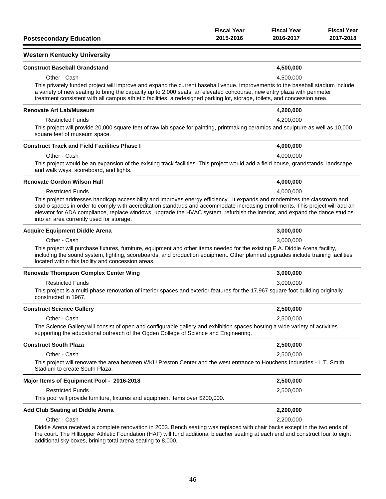| <b>Postsecondary Education</b>                                                                                                                                                                                                                                                                                                                                                                                                         | <b>Fiscal Year</b><br>2015-2016 | <b>Fiscal Year</b><br>2016-2017 | <b>Fiscal Year</b><br>2017-2018 |
|----------------------------------------------------------------------------------------------------------------------------------------------------------------------------------------------------------------------------------------------------------------------------------------------------------------------------------------------------------------------------------------------------------------------------------------|---------------------------------|---------------------------------|---------------------------------|
| <b>Western Kentucky University</b>                                                                                                                                                                                                                                                                                                                                                                                                     |                                 |                                 |                                 |
| <b>Construct Baseball Grandstand</b>                                                                                                                                                                                                                                                                                                                                                                                                   |                                 | 4,500,000                       |                                 |
| Other - Cash                                                                                                                                                                                                                                                                                                                                                                                                                           |                                 | 4,500,000                       |                                 |
| This privately funded project will improve and expand the current baseball venue. Improvements to the baseball stadium include<br>a variety of new seating to bring the capacity up to 2,000 seats, an elevated concourse, new entry plaza with perimeter<br>treatment consistent with all campus athletic facilities, a redesigned parking lot, storage, toilets, and concession area.                                                |                                 |                                 |                                 |
| <b>Renovate Art Lab/Museum</b>                                                                                                                                                                                                                                                                                                                                                                                                         |                                 | 4,200,000                       |                                 |
| <b>Restricted Funds</b>                                                                                                                                                                                                                                                                                                                                                                                                                |                                 | 4,200,000                       |                                 |
| This project will provide 20,000 square feet of raw lab space for painting, printmaking ceramics and sculpture as well as 10,000<br>square feet of museum space.                                                                                                                                                                                                                                                                       |                                 |                                 |                                 |
| <b>Construct Track and Field Facilities Phase I</b>                                                                                                                                                                                                                                                                                                                                                                                    |                                 | 4,000,000                       |                                 |
| Other - Cash                                                                                                                                                                                                                                                                                                                                                                                                                           |                                 | 4,000,000                       |                                 |
| This project would be an expansion of the existing track facilities. This project would add a field house, grandstands, landscape<br>and walk ways, scoreboard, and lights.                                                                                                                                                                                                                                                            |                                 |                                 |                                 |
| <b>Renovate Gordon Wilson Hall</b>                                                                                                                                                                                                                                                                                                                                                                                                     |                                 | 4,000,000                       |                                 |
| <b>Restricted Funds</b>                                                                                                                                                                                                                                                                                                                                                                                                                |                                 | 4,000,000                       |                                 |
| This project addresses handicap accessibility and improves energy efficiency. It expands and modernizes the classroom and<br>studio spaces in order to comply with accreditation standards and accommodate increasing enrollments. This project will add an<br>elevator for ADA compliance, replace windows, upgrade the HVAC system, refurbish the interior, and expand the dance studios<br>into an area currently used for storage. |                                 |                                 |                                 |
| <b>Acquire Equipment Diddle Arena</b>                                                                                                                                                                                                                                                                                                                                                                                                  |                                 | 3,000,000                       |                                 |
| Other - Cash                                                                                                                                                                                                                                                                                                                                                                                                                           |                                 | 3,000,000                       |                                 |
| This project will purchase fixtures, furniture, equipment and other items needed for the existing E.A. Diddle Arena facility,<br>including the sound system, lighting, scoreboards, and production equipment. Other planned upgrades include training facilities<br>located within this facility and concession areas.                                                                                                                 |                                 |                                 |                                 |
| <b>Renovate Thompson Complex Center Wing</b>                                                                                                                                                                                                                                                                                                                                                                                           |                                 | 3,000,000                       |                                 |
| <b>Restricted Funds</b>                                                                                                                                                                                                                                                                                                                                                                                                                |                                 | 3,000,000                       |                                 |
| This project is a multi-phase renovation of interior spaces and exterior features for the 17,967 square foot building originally<br>constructed in 1967.                                                                                                                                                                                                                                                                               |                                 |                                 |                                 |
| <b>Construct Science Gallery</b>                                                                                                                                                                                                                                                                                                                                                                                                       |                                 | 2,500,000                       |                                 |
| Other - Cash                                                                                                                                                                                                                                                                                                                                                                                                                           |                                 | 2,500,000                       |                                 |
| The Science Gallery will consist of open and configurable gallery and exhibition spaces hosting a wide variety of activities<br>supporting the educational outreach of the Ogden College of Science and Engineering.                                                                                                                                                                                                                   |                                 |                                 |                                 |
| <b>Construct South Plaza</b>                                                                                                                                                                                                                                                                                                                                                                                                           |                                 | 2,500,000                       |                                 |
| Other - Cash                                                                                                                                                                                                                                                                                                                                                                                                                           |                                 | 2,500,000                       |                                 |
| This project will renovate the area between WKU Preston Center and the west entrance to Houchens Industries - L.T. Smith<br>Stadium to create South Plaza.                                                                                                                                                                                                                                                                             |                                 |                                 |                                 |
| Major Items of Equipment Pool - 2016-2018                                                                                                                                                                                                                                                                                                                                                                                              |                                 | 2,500,000                       |                                 |
| <b>Restricted Funds</b>                                                                                                                                                                                                                                                                                                                                                                                                                |                                 | 2,500,000                       |                                 |
| This pool will provide furniture, fixtures and equipment items over \$200,000.                                                                                                                                                                                                                                                                                                                                                         |                                 |                                 |                                 |
| <b>Add Club Seating at Diddle Arena</b>                                                                                                                                                                                                                                                                                                                                                                                                |                                 | 2,200,000                       |                                 |
| Other - Cash                                                                                                                                                                                                                                                                                                                                                                                                                           |                                 | 2,200,000                       |                                 |
| Diddle Arena received a complete renovation in 2003. Bench seating was replaced with chair backs except in the two ends of<br>the court. The Hilltonner Athletic Foundation (HAF) will fund additional blocober section at each and and construct four to ojght                                                                                                                                                                        |                                 |                                 |                                 |

the court. The Hilltopper Athletic Foundation (HAF) will fund additional bleacher seating at each end and construct four to eight additional sky boxes, brining total arena seating to 8,000.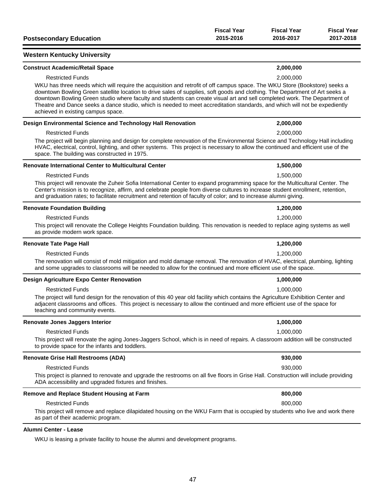| <b>Postsecondary Education</b>                                                                                                                                                                                                                                                                                                                                                                                                                                                                                                                              | <b>Fiscal Year</b><br>2015-2016 | <b>Fiscal Year</b><br>2016-2017 | <b>Fiscal Year</b><br>2017-2018 |
|-------------------------------------------------------------------------------------------------------------------------------------------------------------------------------------------------------------------------------------------------------------------------------------------------------------------------------------------------------------------------------------------------------------------------------------------------------------------------------------------------------------------------------------------------------------|---------------------------------|---------------------------------|---------------------------------|
| <b>Western Kentucky University</b>                                                                                                                                                                                                                                                                                                                                                                                                                                                                                                                          |                                 |                                 |                                 |
| <b>Construct Academic/Retail Space</b>                                                                                                                                                                                                                                                                                                                                                                                                                                                                                                                      |                                 | 2,000,000                       |                                 |
| <b>Restricted Funds</b>                                                                                                                                                                                                                                                                                                                                                                                                                                                                                                                                     |                                 | 2,000,000                       |                                 |
| WKU has three needs which will require the acquisition and retrofit of off campus space. The WKU Store (Bookstore) seeks a<br>downtown Bowling Green satellite location to drive sales of supplies, soft goods and clothing. The Department of Art seeks a<br>downtown Bowling Green studio where faculty and students can create visual art and sell completed work. The Department of<br>Theatre and Dance seeks a dance studio, which is needed to meet accreditation standards, and which will not be expediently<br>achieved in existing campus space. |                                 |                                 |                                 |
| Design Environmental Science and Technology Hall Renovation                                                                                                                                                                                                                                                                                                                                                                                                                                                                                                 |                                 | 2,000,000                       |                                 |
| <b>Restricted Funds</b>                                                                                                                                                                                                                                                                                                                                                                                                                                                                                                                                     |                                 | 2,000,000                       |                                 |
| The project will begin planning and design for complete renovation of the Environmental Science and Technology Hall including<br>HVAC, electrical, control, lighting, and other systems. This project is necessary to allow the continued and efficient use of the<br>space. The building was constructed in 1975.                                                                                                                                                                                                                                          |                                 |                                 |                                 |
| <b>Renovate International Center to Multicultural Center</b>                                                                                                                                                                                                                                                                                                                                                                                                                                                                                                |                                 | 1,500,000                       |                                 |
| <b>Restricted Funds</b>                                                                                                                                                                                                                                                                                                                                                                                                                                                                                                                                     |                                 | 1,500,000                       |                                 |
| This project will renovate the Zuheir Sofia International Center to expand programming space for the Multicultural Center. The<br>Center's mission is to recognize, affirm, and celebrate people from diverse cultures to increase student enrollment, retention,<br>and graduation rates; to facilitate recruitment and retention of faculty of color; and to increase alumni giving.                                                                                                                                                                      |                                 |                                 |                                 |
| <b>Renovate Foundation Building</b>                                                                                                                                                                                                                                                                                                                                                                                                                                                                                                                         |                                 | 1,200,000                       |                                 |
| <b>Restricted Funds</b>                                                                                                                                                                                                                                                                                                                                                                                                                                                                                                                                     |                                 | 1,200,000                       |                                 |
| This project will renovate the College Heights Foundation building. This renovation is needed to replace aging systems as well<br>as provide modern work space.                                                                                                                                                                                                                                                                                                                                                                                             |                                 |                                 |                                 |
| <b>Renovate Tate Page Hall</b>                                                                                                                                                                                                                                                                                                                                                                                                                                                                                                                              |                                 | 1,200,000                       |                                 |
| <b>Restricted Funds</b>                                                                                                                                                                                                                                                                                                                                                                                                                                                                                                                                     |                                 | 1,200,000                       |                                 |
| The renovation will consist of mold mitigation and mold damage removal. The renovation of HVAC, electrical, plumbing, lighting<br>and some upgrades to classrooms will be needed to allow for the continued and more efficient use of the space.                                                                                                                                                                                                                                                                                                            |                                 |                                 |                                 |
| Design Agriculture Expo Center Renovation                                                                                                                                                                                                                                                                                                                                                                                                                                                                                                                   |                                 | 1,000,000                       |                                 |
| <b>Restricted Funds</b>                                                                                                                                                                                                                                                                                                                                                                                                                                                                                                                                     |                                 | 1,000,000                       |                                 |
| The project will fund design for the renovation of this 40 year old facility which contains the Agriculture Exhibition Center and<br>adjacent classrooms and offices. This project is necessary to allow the continued and more efficient use of the space for<br>teaching and community events.                                                                                                                                                                                                                                                            |                                 |                                 |                                 |
| Renovate Jones Jaggers Interior                                                                                                                                                                                                                                                                                                                                                                                                                                                                                                                             |                                 | 1,000,000                       |                                 |
| <b>Restricted Funds</b>                                                                                                                                                                                                                                                                                                                                                                                                                                                                                                                                     |                                 | 1,000,000                       |                                 |
| This project will renovate the aging Jones-Jaggers School, which is in need of repairs. A classroom addition will be constructed<br>to provide space for the infants and toddlers.                                                                                                                                                                                                                                                                                                                                                                          |                                 |                                 |                                 |
| <b>Renovate Grise Hall Restrooms (ADA)</b>                                                                                                                                                                                                                                                                                                                                                                                                                                                                                                                  |                                 | 930,000                         |                                 |
| <b>Restricted Funds</b>                                                                                                                                                                                                                                                                                                                                                                                                                                                                                                                                     |                                 | 930,000                         |                                 |
| This project is planned to renovate and upgrade the restrooms on all five floors in Grise Hall. Construction will include providing<br>ADA accessibility and upgraded fixtures and finishes.                                                                                                                                                                                                                                                                                                                                                                |                                 |                                 |                                 |
| Remove and Replace Student Housing at Farm                                                                                                                                                                                                                                                                                                                                                                                                                                                                                                                  |                                 | 800,000                         |                                 |
| <b>Restricted Funds</b>                                                                                                                                                                                                                                                                                                                                                                                                                                                                                                                                     |                                 | 800,000                         |                                 |
| This project will remove and replace dilapidated housing on the WKU Farm that is occupied by students who live and work there<br>as part of their academic program.                                                                                                                                                                                                                                                                                                                                                                                         |                                 |                                 |                                 |
| Alumni Center - Lease                                                                                                                                                                                                                                                                                                                                                                                                                                                                                                                                       |                                 |                                 |                                 |

WKU is leasing a private facility to house the alumni and development programs.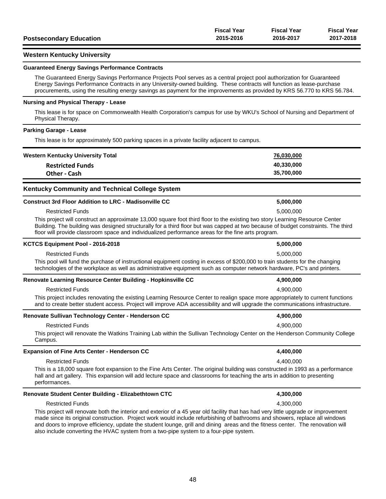|                                | <b>Fiscal Year</b> | <b>Fiscal Year</b> | <b>Fiscal Year</b> |
|--------------------------------|--------------------|--------------------|--------------------|
| <b>Postsecondary Education</b> | 2015-2016          | 2016-2017          | 2017-2018          |

### **Western Kentucky University**

#### **Guaranteed Energy Savings Performance Contracts**

The Guaranteed Energy Savings Performance Projects Pool serves as a central project pool authorization for Guaranteed Energy Savings Performance Contracts in any University-owned building. These contracts will function as lease-purchase procurements, using the resulting energy savings as payment for the improvements as provided by KRS 56.770 to KRS 56.784.

#### **Nursing and Physical Therapy - Lease**

This lease is for space on Commonwealth Health Corporation's campus for use by WKU's School of Nursing and Department of Physical Therapy.

#### **Parking Garage - Lease**

This lease is for approximately 500 parking spaces in a private facility adjacent to campus.

| <b>Western Kentucky University Total</b>                                                                                                                                                                                                                                                                                                                                | 76,030,000 |  |
|-------------------------------------------------------------------------------------------------------------------------------------------------------------------------------------------------------------------------------------------------------------------------------------------------------------------------------------------------------------------------|------------|--|
| <b>Restricted Funds</b>                                                                                                                                                                                                                                                                                                                                                 | 40,330,000 |  |
| <b>Other - Cash</b>                                                                                                                                                                                                                                                                                                                                                     | 35,700,000 |  |
| <b>Kentucky Community and Technical College System</b>                                                                                                                                                                                                                                                                                                                  |            |  |
| <b>Construct 3rd Floor Addition to LRC - Madisonville CC</b>                                                                                                                                                                                                                                                                                                            | 5,000,000  |  |
| <b>Restricted Funds</b>                                                                                                                                                                                                                                                                                                                                                 | 5,000,000  |  |
| This project will construct an approximate 13,000 square foot third floor to the existing two story Learning Resource Center<br>Building. The building was designed structurally for a third floor but was capped at two because of budget constraints. The third<br>floor will provide classroom space and individualized performance areas for the fine arts program. |            |  |
| KCTCS Equipment Pool - 2016-2018                                                                                                                                                                                                                                                                                                                                        | 5,000,000  |  |
| <b>Restricted Funds</b>                                                                                                                                                                                                                                                                                                                                                 | 5,000,000  |  |
| This pool will fund the purchase of instructional equipment costing in excess of \$200,000 to train students for the changing<br>technologies of the workplace as well as administrative equipment such as computer network hardware, PC's and printers.                                                                                                                |            |  |
| Renovate Learning Resource Center Building - Hopkinsville CC                                                                                                                                                                                                                                                                                                            | 4,900,000  |  |
| <b>Restricted Funds</b>                                                                                                                                                                                                                                                                                                                                                 | 4,900,000  |  |
| This project includes renovating the existing Learning Resource Center to realign space more appropriately to current functions<br>and to create better student access. Project will improve ADA accessibility and will upgrade the communications infrastructure.                                                                                                      |            |  |
| Renovate Sullivan Technology Center - Henderson CC                                                                                                                                                                                                                                                                                                                      | 4,900,000  |  |
| <b>Restricted Funds</b>                                                                                                                                                                                                                                                                                                                                                 | 4.900.000  |  |
| This project will renovate the Watkins Training Lab within the Sullivan Technology Center on the Henderson Community College<br>Campus.                                                                                                                                                                                                                                 |            |  |
| <b>Expansion of Fine Arts Center - Henderson CC</b>                                                                                                                                                                                                                                                                                                                     | 4,400,000  |  |
| <b>Restricted Funds</b>                                                                                                                                                                                                                                                                                                                                                 | 4,400,000  |  |
| This is a 18,000 square foot expansion to the Fine Arts Center. The original building was constructed in 1993 as a performance<br>hall and art gallery. This expansion will add lecture space and classrooms for teaching the arts in addition to presenting<br>performances.                                                                                           |            |  |
| Renovate Student Center Building - Elizabethtown CTC                                                                                                                                                                                                                                                                                                                    | 4,300,000  |  |
| <b>Restricted Funds</b>                                                                                                                                                                                                                                                                                                                                                 | 4,300,000  |  |

This project will renovate both the interior and exterior of a 45 year old facility that has had very little upgrade or improvement made since its original construction. Project work would include refurbishing of bathrooms and showers, replace all windows and doors to improve efficiency, update the student lounge, grill and dining areas and the fitness center. The renovation will also include converting the HVAC system from a two-pipe system to a four-pipe system.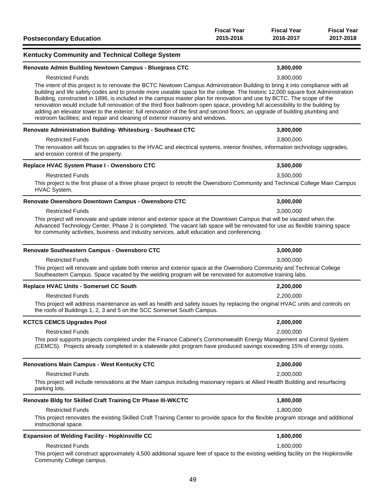| <b>Postsecondary Education</b>                                                                                                                                                                                                                                                                                                                                                                                                                                                                                                                                                                                                                                                                                                                                               | <b>Fiscal Year</b><br>2015-2016 | <b>Fiscal Year</b><br>2016-2017 | <b>Fiscal Year</b><br>2017-2018 |
|------------------------------------------------------------------------------------------------------------------------------------------------------------------------------------------------------------------------------------------------------------------------------------------------------------------------------------------------------------------------------------------------------------------------------------------------------------------------------------------------------------------------------------------------------------------------------------------------------------------------------------------------------------------------------------------------------------------------------------------------------------------------------|---------------------------------|---------------------------------|---------------------------------|
| Kentucky Community and Technical College System                                                                                                                                                                                                                                                                                                                                                                                                                                                                                                                                                                                                                                                                                                                              |                                 |                                 |                                 |
| Renovate Admin Building Newtown Campus - Bluegrass CTC                                                                                                                                                                                                                                                                                                                                                                                                                                                                                                                                                                                                                                                                                                                       |                                 | 3,800,000                       |                                 |
| <b>Restricted Funds</b><br>The intent of this project is to renovate the BCTC Newtown Campus Administration Building to bring it into compliance with all<br>building and life safety codes and to provide more useable space for the college. The historic 12,000 square foot Administration<br>Building, constructed in 1896, is included in the campus master plan for renovation and use by BCTC. The scope of the<br>renovation would include full renovation of the third floor ballroom open space, providing full accessibility to the building by<br>adding an elevator tower to the exterior; full renovation of the first and second floors; an upgrade of building plumbing and<br>restroom facilities; and repair and cleaning of exterior masonry and windows. |                                 | 3,800,000                       |                                 |
| Renovate Administration Building-Whitesburg - Southeast CTC                                                                                                                                                                                                                                                                                                                                                                                                                                                                                                                                                                                                                                                                                                                  |                                 | 3,800,000                       |                                 |
| <b>Restricted Funds</b><br>The renovation will focus on upgrades to the HVAC and electrical systems, interior finishes, information technology upgrades,<br>and erosion control of the property.                                                                                                                                                                                                                                                                                                                                                                                                                                                                                                                                                                             |                                 | 3,800,000                       |                                 |
| Replace HVAC System Phase I - Owensboro CTC                                                                                                                                                                                                                                                                                                                                                                                                                                                                                                                                                                                                                                                                                                                                  |                                 | 3,500,000                       |                                 |
| <b>Restricted Funds</b><br>This project is the first phase of a three phase project to retrofit the Owensboro Community and Technical College Main Campus<br>HVAC System.                                                                                                                                                                                                                                                                                                                                                                                                                                                                                                                                                                                                    |                                 | 3,500,000                       |                                 |
| Renovate Owensboro Downtown Campus - Owensboro CTC                                                                                                                                                                                                                                                                                                                                                                                                                                                                                                                                                                                                                                                                                                                           |                                 | 3,000,000                       |                                 |
| <b>Restricted Funds</b><br>This project will renovate and update interior and exterior space at the Downtown Campus that will be vacated when the<br>Advanced Technology Center, Phase 2 is completed. The vacant lab space will be renovated for use as flexible training space<br>for community activities, business and industry services, adult education and conferencing.                                                                                                                                                                                                                                                                                                                                                                                              |                                 | 3,000,000                       |                                 |
| Renovate Southeastern Campus - Owensboro CTC                                                                                                                                                                                                                                                                                                                                                                                                                                                                                                                                                                                                                                                                                                                                 |                                 | 3,000,000                       |                                 |
| <b>Restricted Funds</b><br>This project will renovate and update both interior and exterior space at the Owensboro Community and Technical College<br>Southeastern Campus. Space vacated by the welding program will be renovated for automotive training labs.                                                                                                                                                                                                                                                                                                                                                                                                                                                                                                              |                                 | 3,000,000                       |                                 |
| Replace HVAC Units - Somerset CC South                                                                                                                                                                                                                                                                                                                                                                                                                                                                                                                                                                                                                                                                                                                                       |                                 | 2,200,000                       |                                 |
| <b>Restricted Funds</b><br>This project will address maintenance as well as health and safety issues by replacing the original HVAC units and controls on<br>the roofs of Buildings 1, 2, 3 and 5 on the SCC Somerset South Campus.                                                                                                                                                                                                                                                                                                                                                                                                                                                                                                                                          |                                 | 2,200,000                       |                                 |
| <b>KCTCS CEMCS Upgrades Pool</b>                                                                                                                                                                                                                                                                                                                                                                                                                                                                                                                                                                                                                                                                                                                                             |                                 | 2,000,000                       |                                 |
| <b>Restricted Funds</b><br>This pool supports projects completed under the Finance Cabinet's Commonwealth Energy Management and Control System<br>(CEMCS). Projects already completed in a statewide pilot program have produced savings exceeding 15% of energy costs.                                                                                                                                                                                                                                                                                                                                                                                                                                                                                                      |                                 | 2,000,000                       |                                 |
| <b>Renovations Main Campus - West Kentucky CTC</b>                                                                                                                                                                                                                                                                                                                                                                                                                                                                                                                                                                                                                                                                                                                           |                                 | 2,000,000                       |                                 |
| <b>Restricted Funds</b><br>This project will include renovations at the Main campus including masonary repairs at Allied Health Building and resurfacing<br>parking lots.                                                                                                                                                                                                                                                                                                                                                                                                                                                                                                                                                                                                    |                                 | 2,000,000                       |                                 |
| Renovate Bldg for Skilled Craft Training Ctr Phase III-WKCTC                                                                                                                                                                                                                                                                                                                                                                                                                                                                                                                                                                                                                                                                                                                 |                                 | 1,800,000                       |                                 |
| <b>Restricted Funds</b><br>This project renovates the existing Skilled Craft Training Center to provide space for the flexible program storage and additional<br>instructional space.                                                                                                                                                                                                                                                                                                                                                                                                                                                                                                                                                                                        |                                 | 1,800,000                       |                                 |
| <b>Expansion of Welding Facility - Hopkinsville CC</b>                                                                                                                                                                                                                                                                                                                                                                                                                                                                                                                                                                                                                                                                                                                       |                                 | 1,600,000                       |                                 |
| <b>Restricted Funds</b><br>This project will construct approximately 4,500 additional square feet of space to the existing welding facility on the Hopkinsville<br>Community College campus.                                                                                                                                                                                                                                                                                                                                                                                                                                                                                                                                                                                 |                                 | 1,600,000                       |                                 |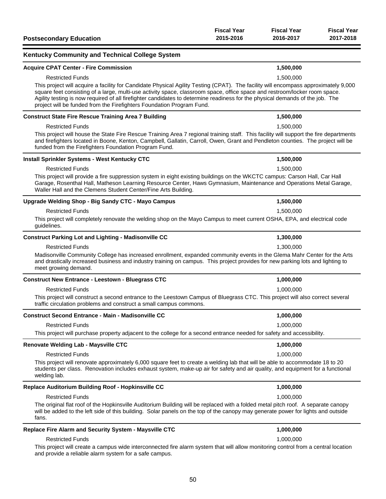| <b>Postsecondary Education</b>                                                                                                                                                                                                                                                                                                                                                                                                                                                                         | <b>Fiscal Year</b><br>2015-2016 | <b>Fiscal Year</b><br>2016-2017 | <b>Fiscal Year</b><br>2017-2018 |
|--------------------------------------------------------------------------------------------------------------------------------------------------------------------------------------------------------------------------------------------------------------------------------------------------------------------------------------------------------------------------------------------------------------------------------------------------------------------------------------------------------|---------------------------------|---------------------------------|---------------------------------|
| <b>Kentucky Community and Technical College System</b>                                                                                                                                                                                                                                                                                                                                                                                                                                                 |                                 |                                 |                                 |
| <b>Acquire CPAT Center - Fire Commission</b>                                                                                                                                                                                                                                                                                                                                                                                                                                                           |                                 | 1,500,000                       |                                 |
| <b>Restricted Funds</b><br>This project will acquire a facility for Candidate Physical Agility Testing (CPAT). The facility will encompass approximately 9,000<br>square feet consisting of a large, multi-use activity space, classroom space, office space and restroom/locker room space.<br>Agility testing is now required of all firefighter candidates to determine readiness for the physical demands of the job. The<br>project will be funded from the Firefighters Foundation Program Fund. |                                 | 1,500,000                       |                                 |
| <b>Construct State Fire Rescue Training Area 7 Building</b>                                                                                                                                                                                                                                                                                                                                                                                                                                            |                                 | 1,500,000                       |                                 |
| <b>Restricted Funds</b>                                                                                                                                                                                                                                                                                                                                                                                                                                                                                |                                 | 1,500,000                       |                                 |
| This project will house the State Fire Rescue Training Area 7 regional training staff. This facility will support the fire departments<br>and firefighters located in Boone, Kenton, Campbell, Gallatin, Carroll, Owen, Grant and Pendleton counties. The project will be<br>funded from the Firefighters Foundation Program Fund.                                                                                                                                                                     |                                 |                                 |                                 |
| <b>Install Sprinkler Systems - West Kentucky CTC</b>                                                                                                                                                                                                                                                                                                                                                                                                                                                   |                                 | 1,500,000                       |                                 |
| <b>Restricted Funds</b>                                                                                                                                                                                                                                                                                                                                                                                                                                                                                |                                 | 1,500,000                       |                                 |
| This project will provide a fire suppression system in eight existing buildings on the WKCTC campus: Carson Hall, Car Hall<br>Garage, Rosenthal Hall, Matheson Learning Resource Center, Haws Gymnasium, Maintenance and Operations Metal Garage,<br>Waller Hall and the Clemens Student Center/Fine Arts Building.                                                                                                                                                                                    |                                 |                                 |                                 |
| Upgrade Welding Shop - Big Sandy CTC - Mayo Campus                                                                                                                                                                                                                                                                                                                                                                                                                                                     |                                 | 1,500,000                       |                                 |
| <b>Restricted Funds</b>                                                                                                                                                                                                                                                                                                                                                                                                                                                                                |                                 | 1,500,000                       |                                 |
| This project will completely renovate the welding shop on the Mayo Campus to meet current OSHA, EPA, and electrical code<br>guidelines.                                                                                                                                                                                                                                                                                                                                                                |                                 |                                 |                                 |
| <b>Construct Parking Lot and Lighting - Madisonville CC</b>                                                                                                                                                                                                                                                                                                                                                                                                                                            |                                 | 1,300,000                       |                                 |
| <b>Restricted Funds</b>                                                                                                                                                                                                                                                                                                                                                                                                                                                                                |                                 | 1,300,000                       |                                 |
| Madisonville Community College has increased enrollment, expanded community events in the Glema Mahr Center for the Arts<br>and drastically increased business and industry training on campus. This project provides for new parking lots and lighting to<br>meet growing demand.                                                                                                                                                                                                                     |                                 |                                 |                                 |
| <b>Construct New Entrance - Leestown - Bluegrass CTC</b>                                                                                                                                                                                                                                                                                                                                                                                                                                               |                                 | 1,000,000                       |                                 |
| <b>Restricted Funds</b>                                                                                                                                                                                                                                                                                                                                                                                                                                                                                |                                 | 1,000,000                       |                                 |
| This project will construct a second entrance to the Leestown Campus of Bluegrass CTC. This project will also correct several<br>traffic circulation problems and construct a small campus commons.                                                                                                                                                                                                                                                                                                    |                                 |                                 |                                 |
| <b>Construct Second Entrance - Main - Madisonville CC</b>                                                                                                                                                                                                                                                                                                                                                                                                                                              |                                 | 1,000,000                       |                                 |
| <b>Restricted Funds</b>                                                                                                                                                                                                                                                                                                                                                                                                                                                                                |                                 | 1,000,000                       |                                 |
| This project will purchase property adjacent to the college for a second entrance needed for safety and accessibility.                                                                                                                                                                                                                                                                                                                                                                                 |                                 |                                 |                                 |
| Renovate Welding Lab - Maysville CTC                                                                                                                                                                                                                                                                                                                                                                                                                                                                   |                                 | 1,000,000                       |                                 |
| <b>Restricted Funds</b>                                                                                                                                                                                                                                                                                                                                                                                                                                                                                |                                 | 1,000,000                       |                                 |
| This project will renovate approximately 6,000 square feet to create a welding lab that will be able to accommodate 18 to 20<br>students per class. Renovation includes exhaust system, make-up air for safety and air quality, and equipment for a functional<br>welding lab.                                                                                                                                                                                                                         |                                 |                                 |                                 |
| Replace Auditorium Building Roof - Hopkinsville CC                                                                                                                                                                                                                                                                                                                                                                                                                                                     |                                 | 1,000,000                       |                                 |
| <b>Restricted Funds</b>                                                                                                                                                                                                                                                                                                                                                                                                                                                                                |                                 | 1,000,000                       |                                 |
| The original flat roof of the Hopkinsville Auditorium Building will be replaced with a folded metal pitch roof. A separate canopy<br>will be added to the left side of this building. Solar panels on the top of the canopy may generate power for lights and outside<br>fans.                                                                                                                                                                                                                         |                                 |                                 |                                 |
| Replace Fire Alarm and Security System - Maysville CTC                                                                                                                                                                                                                                                                                                                                                                                                                                                 |                                 | 1,000,000                       |                                 |
| <b>Restricted Funds</b><br>This project will create a campus wide interconnected fire alarm system that will allow monitoring control from a central location<br>and provide a reliable alarm system for a safe campus.                                                                                                                                                                                                                                                                                |                                 | 1,000,000                       |                                 |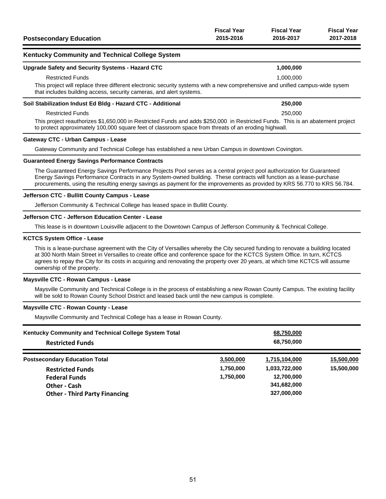|                                | <b>Fiscal Year</b> | <b>Fiscal Year</b> | <b>Fiscal Year</b> |
|--------------------------------|--------------------|--------------------|--------------------|
| <b>Postsecondary Education</b> | 2015-2016          | 2016-2017          | 2017-2018          |

### **Kentucky Community and Technical College System**

# **Upgrade Safety and Security Systems - Hazard CTC 1,000,000** Restricted Funds 1,000,000 This project will replace three different electronic security systems with a new comprehensive and unified campus-wide sysem

that includes building access, security cameras, and alert systems.

#### **Soil Stabilization Indust Ed Bldg - Hazard CTC - Additional 250,000**

#### Restricted Funds 250,000

This project reauthorizes \$1,650,000 in Restricted Funds and adds \$250,000 in Restricted Funds. This is an abatement project to protect approximately 100,000 square feet of classroom space from threats of an eroding highwall.

#### **Gateway CTC - Urban Campus - Lease**

Gateway Community and Technical College has established a new Urban Campus in downtown Covington.

#### **Guaranteed Energy Savings Performance Contracts**

The Guaranteed Energy Savings Performance Projects Pool serves as a central project pool authorization for Guaranteed Energy Savings Performance Contracts in any System-owned building. These contracts will function as a lease-purchase procurements, using the resulting energy savings as payment for the improvements as provided by KRS 56.770 to KRS 56.784.

#### **Jefferson CTC - Bullitt County Campus - Lease**

Jefferson Community & Technical College has leased space in Bullitt County.

#### **Jefferson CTC - Jefferson Education Center - Lease**

This lease is in downtown Louisville adjacent to the Downtown Campus of Jefferson Community & Technical College.

#### **KCTCS System Office - Lease**

This is a lease-purchase agreement with the City of Versailles whereby the City secured funding to renovate a building located at 300 North Main Street in Versailles to create office and conference space for the KCTCS System Office. In turn, KCTCS agrees to repay the City for its costs in acquiring and renovating the property over 20 years, at which time KCTCS will assume ownership of the property.

#### **Maysville CTC - Rowan Campus - Lease**

Maysville Community and Technical College is in the process of establishing a new Rowan County Campus. The existing facility will be sold to Rowan County School District and leased back until the new campus is complete.

#### **Maysville CTC - Rowan County - Lease**

Maysville Community and Technical College has a lease in Rowan County.

| Kentucky Community and Technical College System Total<br><b>Restricted Funds</b> |           | 68,750,000<br>68,750,000 |            |
|----------------------------------------------------------------------------------|-----------|--------------------------|------------|
| <b>Postsecondary Education Total</b>                                             | 3,500,000 | 1,715,104,000            | 15,500,000 |
| <b>Restricted Funds</b>                                                          | 1,750,000 | 1,033,722,000            | 15,500,000 |
| <b>Federal Funds</b>                                                             | 1,750,000 | 12,700,000               |            |
| Other - Cash                                                                     |           | 341,682,000              |            |
| <b>Other - Third Party Financing</b>                                             |           | 327,000,000              |            |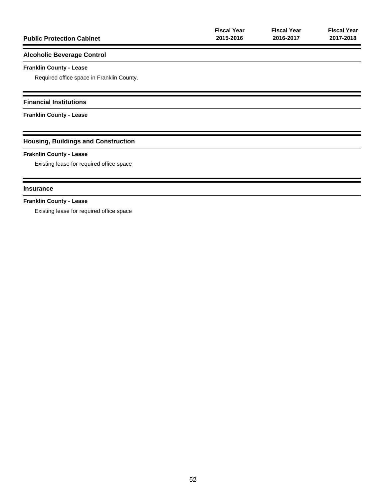| <b>Public Protection Cabinet</b>           | <b>Fiscal Year</b><br>2015-2016 | <b>Fiscal Year</b><br>2016-2017 | <b>Fiscal Year</b><br>2017-2018 |
|--------------------------------------------|---------------------------------|---------------------------------|---------------------------------|
| <b>Alcoholic Beverage Control</b>          |                                 |                                 |                                 |
| <b>Franklin County - Lease</b>             |                                 |                                 |                                 |
| Required office space in Franklin County.  |                                 |                                 |                                 |
| <b>Financial Institutions</b>              |                                 |                                 |                                 |
| <b>Franklin County - Lease</b>             |                                 |                                 |                                 |
| <b>Housing, Buildings and Construction</b> |                                 |                                 |                                 |
| <b>Fraknlin County - Lease</b>             |                                 |                                 |                                 |
| Existing lease for required office space   |                                 |                                 |                                 |
| <b>Insurance</b>                           |                                 |                                 |                                 |
| <b>Franklin County - Lease</b>             |                                 |                                 |                                 |
| Existing lease for required office space   |                                 |                                 |                                 |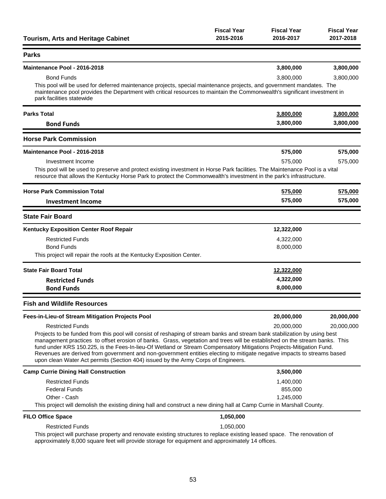| <b>Tourism, Arts and Heritage Cabinet</b>                                                                                                                                                                                                                                                                                                                                                                                                                                                                                                                                                       | <b>Fiscal Year</b><br>2015-2016 | <b>Fiscal Year</b><br>2016-2017 | <b>Fiscal Year</b><br>2017-2018 |
|-------------------------------------------------------------------------------------------------------------------------------------------------------------------------------------------------------------------------------------------------------------------------------------------------------------------------------------------------------------------------------------------------------------------------------------------------------------------------------------------------------------------------------------------------------------------------------------------------|---------------------------------|---------------------------------|---------------------------------|
| <b>Parks</b>                                                                                                                                                                                                                                                                                                                                                                                                                                                                                                                                                                                    |                                 |                                 |                                 |
| Maintenance Pool - 2016-2018                                                                                                                                                                                                                                                                                                                                                                                                                                                                                                                                                                    |                                 | 3,800,000                       | 3,800,000                       |
| <b>Bond Funds</b>                                                                                                                                                                                                                                                                                                                                                                                                                                                                                                                                                                               |                                 | 3,800,000                       | 3,800,000                       |
| This pool will be used for deferred maintenance projects, special maintenance projects, and government mandates. The<br>maintenance pool provides the Department with critical resources to maintain the Commonwealth's significant investment in<br>park facilities statewide                                                                                                                                                                                                                                                                                                                  |                                 |                                 |                                 |
| <b>Parks Total</b>                                                                                                                                                                                                                                                                                                                                                                                                                                                                                                                                                                              |                                 | 3,800,000                       | 3,800,000                       |
| <b>Bond Funds</b>                                                                                                                                                                                                                                                                                                                                                                                                                                                                                                                                                                               |                                 | 3,800,000                       | 3,800,000                       |
| <b>Horse Park Commission</b>                                                                                                                                                                                                                                                                                                                                                                                                                                                                                                                                                                    |                                 |                                 |                                 |
| Maintenance Pool - 2016-2018                                                                                                                                                                                                                                                                                                                                                                                                                                                                                                                                                                    |                                 | 575,000                         | 575,000                         |
| Investment Income                                                                                                                                                                                                                                                                                                                                                                                                                                                                                                                                                                               |                                 | 575,000                         | 575,000                         |
| This pool will be used to preserve and protect existing investment in Horse Park facilities. The Maintenance Pool is a vital<br>resource that allows the Kentucky Horse Park to protect the Commonwealth's investment in the park's infrastructure.                                                                                                                                                                                                                                                                                                                                             |                                 |                                 |                                 |
| <b>Horse Park Commission Total</b>                                                                                                                                                                                                                                                                                                                                                                                                                                                                                                                                                              |                                 | 575,000                         | 575,000                         |
| <b>Investment Income</b>                                                                                                                                                                                                                                                                                                                                                                                                                                                                                                                                                                        |                                 | 575,000                         | 575,000                         |
| <b>State Fair Board</b>                                                                                                                                                                                                                                                                                                                                                                                                                                                                                                                                                                         |                                 |                                 |                                 |
| <b>Kentucky Exposition Center Roof Repair</b>                                                                                                                                                                                                                                                                                                                                                                                                                                                                                                                                                   |                                 | 12,322,000                      |                                 |
| <b>Restricted Funds</b>                                                                                                                                                                                                                                                                                                                                                                                                                                                                                                                                                                         |                                 | 4,322,000                       |                                 |
| <b>Bond Funds</b>                                                                                                                                                                                                                                                                                                                                                                                                                                                                                                                                                                               |                                 | 8,000,000                       |                                 |
| This project will repair the roofs at the Kentucky Exposition Center.                                                                                                                                                                                                                                                                                                                                                                                                                                                                                                                           |                                 |                                 |                                 |
| <b>State Fair Board Total</b>                                                                                                                                                                                                                                                                                                                                                                                                                                                                                                                                                                   |                                 | 12,322,000                      |                                 |
| <b>Restricted Funds</b>                                                                                                                                                                                                                                                                                                                                                                                                                                                                                                                                                                         |                                 | 4,322,000                       |                                 |
| <b>Bond Funds</b>                                                                                                                                                                                                                                                                                                                                                                                                                                                                                                                                                                               |                                 | 8,000,000                       |                                 |
| <b>Fish and Wildlife Resources</b>                                                                                                                                                                                                                                                                                                                                                                                                                                                                                                                                                              |                                 |                                 |                                 |
| Fees-in-Lieu-of Stream Mitigation Projects Pool                                                                                                                                                                                                                                                                                                                                                                                                                                                                                                                                                 |                                 | 20,000,000                      | 20,000,000                      |
| <b>Restricted Funds</b>                                                                                                                                                                                                                                                                                                                                                                                                                                                                                                                                                                         |                                 | 20,000,000                      | 20,000,000                      |
| Projects to be funded from this pool will consist of reshaping of stream banks and stream bank stabilization by using best<br>management practices to offset erosion of banks. Grass, vegetation and trees will be established on the stream banks. This<br>fund under KRS 150.225, is the Fees-In-lieu-Of Wetland or Stream Compensatory Mitigations Projects-Mitigation Fund.<br>Revenues are derived from government and non-government entities electing to mitigate negative impacts to streams based<br>upon clean Water Act permits (Section 404) issued by the Army Corps of Engineers. |                                 |                                 |                                 |
| <b>Camp Currie Dining Hall Construction</b>                                                                                                                                                                                                                                                                                                                                                                                                                                                                                                                                                     |                                 | 3,500,000                       |                                 |
| <b>Restricted Funds</b>                                                                                                                                                                                                                                                                                                                                                                                                                                                                                                                                                                         |                                 | 1,400,000                       |                                 |
| <b>Federal Funds</b>                                                                                                                                                                                                                                                                                                                                                                                                                                                                                                                                                                            |                                 | 855,000                         |                                 |
| Other - Cash                                                                                                                                                                                                                                                                                                                                                                                                                                                                                                                                                                                    |                                 | 1,245,000                       |                                 |
| This project will demolish the existing dining hall and construct a new dining hall at Camp Currie in Marshall County.                                                                                                                                                                                                                                                                                                                                                                                                                                                                          |                                 |                                 |                                 |
| <b>FILO Office Space</b>                                                                                                                                                                                                                                                                                                                                                                                                                                                                                                                                                                        | 1,050,000                       |                                 |                                 |
| <b>Restricted Funds</b><br>This project will purchase property and renovate existing structures to replace existing leased space. The renovation of<br>approximately 8,000 square feet will provide storage for equipment and approximately 14 offices.                                                                                                                                                                                                                                                                                                                                         | 1,050,000                       |                                 |                                 |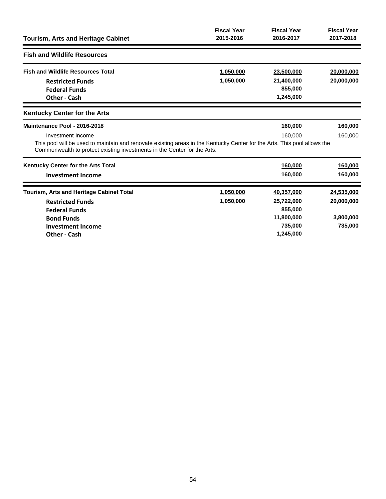| <b>Tourism, Arts and Heritage Cabinet</b>                                                                                                                                                                                                                 | <b>Fiscal Year</b><br>2015-2016 | <b>Fiscal Year</b><br>2016-2017                                           | <b>Fiscal Year</b><br>2017-2018                  |
|-----------------------------------------------------------------------------------------------------------------------------------------------------------------------------------------------------------------------------------------------------------|---------------------------------|---------------------------------------------------------------------------|--------------------------------------------------|
| <b>Fish and Wildlife Resources</b>                                                                                                                                                                                                                        |                                 |                                                                           |                                                  |
| <b>Fish and Wildlife Resources Total</b><br><b>Restricted Funds</b><br><b>Federal Funds</b><br><b>Other - Cash</b>                                                                                                                                        | 1,050,000<br>1,050,000          | 23,500,000<br>21,400,000<br>855,000<br>1,245,000                          | 20,000,000<br>20,000,000                         |
| <b>Kentucky Center for the Arts</b>                                                                                                                                                                                                                       |                                 |                                                                           |                                                  |
| Maintenance Pool - 2016-2018<br>Investment Income<br>This pool will be used to maintain and renovate existing areas in the Kentucky Center for the Arts. This pool allows the<br>Commonwealth to protect existing investments in the Center for the Arts. |                                 | 160,000<br>160,000                                                        | 160,000<br>160,000                               |
| Kentucky Center for the Arts Total<br><b>Investment Income</b>                                                                                                                                                                                            |                                 | 160,000<br>160,000                                                        | 160,000<br>160,000                               |
| <b>Tourism, Arts and Heritage Cabinet Total</b><br><b>Restricted Funds</b><br><b>Federal Funds</b><br><b>Bond Funds</b><br><b>Investment Income</b><br>Other - Cash                                                                                       | 1,050,000<br>1,050,000          | 40,357,000<br>25,722,000<br>855,000<br>11,800,000<br>735,000<br>1,245,000 | 24,535,000<br>20,000,000<br>3,800,000<br>735,000 |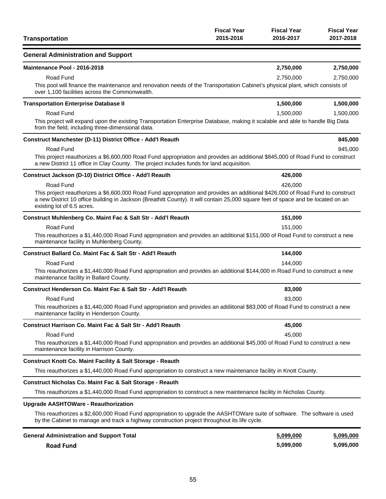| <b>Transportation</b>                                                                                                                                                                                                                                                                             | <b>Fiscal Year</b><br>2015-2016 | <b>Fiscal Year</b><br>2016-2017 | <b>Fiscal Year</b><br>2017-2018 |
|---------------------------------------------------------------------------------------------------------------------------------------------------------------------------------------------------------------------------------------------------------------------------------------------------|---------------------------------|---------------------------------|---------------------------------|
| <b>General Administration and Support</b>                                                                                                                                                                                                                                                         |                                 |                                 |                                 |
| Maintenance Pool - 2016-2018                                                                                                                                                                                                                                                                      |                                 | 2,750,000                       | 2,750,000                       |
| Road Fund                                                                                                                                                                                                                                                                                         |                                 | 2,750,000                       | 2,750,000                       |
| This pool will finance the maintenance and renovation needs of the Transportation Cabinet's physical plant, which consists of<br>over 1,100 facilities across the Commonwealth.                                                                                                                   |                                 |                                 |                                 |
| <b>Transportation Enterprise Database II</b>                                                                                                                                                                                                                                                      |                                 | 1,500,000                       | 1,500,000                       |
| Road Fund                                                                                                                                                                                                                                                                                         |                                 | 1,500,000                       | 1,500,000                       |
| This project will expand upon the existing Transportation Enterprise Database, making it scalable and able to handle Big Data<br>from the field, including three-dimensional data.                                                                                                                |                                 |                                 |                                 |
| Construct Manchester (D-11) District Office - Add'l Reauth                                                                                                                                                                                                                                        |                                 |                                 | 845,000                         |
| Road Fund                                                                                                                                                                                                                                                                                         |                                 |                                 | 845,000                         |
| This project reauthorizes a \$6,600,000 Road Fund appropriation and provides an additional \$845,000 of Road Fund to construct<br>a new District 11 office in Clay County. The project includes funds for land acquisition.                                                                       |                                 |                                 |                                 |
| Construct Jackson (D-10) District Office - Add'l Reauth                                                                                                                                                                                                                                           |                                 | 426,000                         |                                 |
| Road Fund                                                                                                                                                                                                                                                                                         |                                 | 426,000                         |                                 |
| This project reauthorizes a \$6,600,000 Road Fund appropriation and provides an additional \$426,000 of Road Fund to construct<br>a new District 10 office building in Jackson (Breathitt County). It will contain 25,000 square feet of space and be located on an<br>existing lot of 6.5 acres. |                                 |                                 |                                 |
| Construct Muhlenberg Co. Maint Fac & Salt Str - Add'l Reauth                                                                                                                                                                                                                                      |                                 | 151,000                         |                                 |
| Road Fund                                                                                                                                                                                                                                                                                         |                                 | 151,000                         |                                 |
| This reauthorizes a \$1,440,000 Road Fund appropriation and provides an additional \$151,000 of Road Fund to construct a new<br>maintenance facility in Muhlenberg County.                                                                                                                        |                                 |                                 |                                 |
| <b>Construct Ballard Co. Maint Fac &amp; Salt Str - Add'l Reauth</b>                                                                                                                                                                                                                              |                                 | 144,000                         |                                 |
| Road Fund                                                                                                                                                                                                                                                                                         |                                 | 144,000                         |                                 |
| This reauthorizes a \$1,440,000 Road Fund appropriation and provides an additional \$144,000 in Road Fund to construct a new<br>maintenance facility in Ballard County.                                                                                                                           |                                 |                                 |                                 |
| Construct Henderson Co. Maint Fac & Salt Str - Add'l Reauth                                                                                                                                                                                                                                       |                                 | 83,000                          |                                 |
| Road Fund                                                                                                                                                                                                                                                                                         |                                 | 83.000                          |                                 |
| This reauthorizes a \$1,440,000 Road Fund appropriation and provides an addiitonal \$83,000 of Road Fund to construct a new<br>maintenance facility in Henderson County.                                                                                                                          |                                 |                                 |                                 |
| Construct Harrison Co. Maint Fac & Salt Str - Add'l Reauth                                                                                                                                                                                                                                        |                                 | 45.000                          |                                 |
| Road Fund                                                                                                                                                                                                                                                                                         |                                 | 45,000                          |                                 |
| This reauthorizes a \$1,440,000 Road Fund appropriation and provides an additional \$45,000 of Road Fund to construct a new<br>maintenance facility in Harrison County.                                                                                                                           |                                 |                                 |                                 |
| <b>Construct Knott Co. Maint Facility &amp; Salt Storage - Reauth</b>                                                                                                                                                                                                                             |                                 |                                 |                                 |
| This reauthorizes a \$1,440,000 Road Fund appropriation to construct a new maintenance facility in Knott County.                                                                                                                                                                                  |                                 |                                 |                                 |
| Construct Nicholas Co. Maint Fac & Salt Storage - Reauth                                                                                                                                                                                                                                          |                                 |                                 |                                 |
| This reauthorizes a \$1,440,000 Road Fund appropriation to construct a new maintenance facility in Nicholas County.                                                                                                                                                                               |                                 |                                 |                                 |
| <b>Upgrade AASHTOWare - Reauthorization</b>                                                                                                                                                                                                                                                       |                                 |                                 |                                 |
| This reauthorizes a \$2,600,000 Road Fund appropriation to upgrade the AASHTOWare suite of software. The software is used<br>by the Cabinet to manage and track a highway construction project throughout its life cycle.                                                                         |                                 |                                 |                                 |
| <b>General Administration and Sunnort Total</b>                                                                                                                                                                                                                                                   |                                 | 5.099.000                       | 5 095 000                       |

| <b>General Administration and Support Total</b> | 5,099,000 | 5,095,000 |
|-------------------------------------------------|-----------|-----------|
| <b>Road Fund</b>                                | 5.099.000 | 5,095,000 |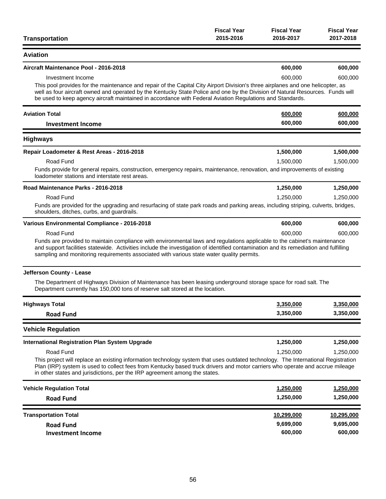| <b>Transportation</b>                                                                                                                                                                                                                                                                                                                                                                               | <b>Fiscal Year</b><br>2015-2016 | <b>Fiscal Year</b><br>2016-2017 | <b>Fiscal Year</b><br>2017-2018 |
|-----------------------------------------------------------------------------------------------------------------------------------------------------------------------------------------------------------------------------------------------------------------------------------------------------------------------------------------------------------------------------------------------------|---------------------------------|---------------------------------|---------------------------------|
| <b>Aviation</b>                                                                                                                                                                                                                                                                                                                                                                                     |                                 |                                 |                                 |
| Aircraft Maintenance Pool - 2016-2018                                                                                                                                                                                                                                                                                                                                                               |                                 | 600,000                         | 600,000                         |
| Investment Income<br>This pool provides for the maintenance and repair of the Capital City Airport Division's three airplanes and one helicopter, as<br>well as four aircraft owned and operated by the Kentucky State Police and one by the Division of Natural Resources. Funds will<br>be used to keep agency aircraft maintained in accordance with Federal Aviation Regulations and Standards. |                                 | 600,000                         | 600,000                         |
| <b>Aviation Total</b>                                                                                                                                                                                                                                                                                                                                                                               |                                 | 600,000                         | 600,000                         |
| <b>Investment Income</b>                                                                                                                                                                                                                                                                                                                                                                            |                                 | 600,000                         | 600,000                         |
| <b>Highways</b>                                                                                                                                                                                                                                                                                                                                                                                     |                                 |                                 |                                 |
| Repair Loadometer & Rest Areas - 2016-2018                                                                                                                                                                                                                                                                                                                                                          |                                 | 1,500,000                       | 1,500,000                       |
| Road Fund<br>Funds provide for general repairs, construction, emergency repairs, maintenance, renovation, and improvements of existing<br>loadometer stations and interstate rest areas.                                                                                                                                                                                                            |                                 | 1,500,000                       | 1,500,000                       |
| Road Maintenance Parks - 2016-2018                                                                                                                                                                                                                                                                                                                                                                  |                                 | 1,250,000                       | 1,250,000                       |
| Road Fund<br>Funds are provided for the upgrading and resurfacing of state park roads and parking areas, including striping, culverts, bridges,<br>shoulders, ditches, curbs, and guardrails.                                                                                                                                                                                                       |                                 | 1,250,000                       | 1,250,000                       |
| Various Environmental Compliance - 2016-2018                                                                                                                                                                                                                                                                                                                                                        |                                 | 600,000                         | 600,000                         |
| Road Fund<br>Funds are provided to maintain compliance with environmental laws and regulations applicable to the cabinet's maintenance<br>and support facilities statewide. Activities include the investigation of identified contamination and its remediation and fulfilling<br>sampling and monitoring requirements associated with various state water quality permits.                        |                                 | 600,000                         | 600,000                         |
| Jefferson County - Lease                                                                                                                                                                                                                                                                                                                                                                            |                                 |                                 |                                 |
| The Department of Highways Division of Maintenance has been leasing underground storage space for road salt. The<br>Department currently has 150,000 tons of reserve salt stored at the location.                                                                                                                                                                                                   |                                 |                                 |                                 |
| <b>Highways Total</b>                                                                                                                                                                                                                                                                                                                                                                               |                                 | 3,350,000                       | 3,350,000                       |
| <b>Road Fund</b>                                                                                                                                                                                                                                                                                                                                                                                    |                                 | 3,350,000                       | 3,350,000                       |
| <b>Vehicle Regulation</b>                                                                                                                                                                                                                                                                                                                                                                           |                                 |                                 |                                 |
| <b>International Registration Plan System Upgrade</b>                                                                                                                                                                                                                                                                                                                                               |                                 | 1,250,000                       | 1,250,000                       |
| Road Fund<br>This project will replace an existing information technology system that uses outdated technology. The International Registration<br>Plan (IRP) system is used to collect fees from Kentucky based truck drivers and motor carriers who operate and accrue mileage<br>in other states and jurisdictions, per the IRP agreement among the states.                                       |                                 | 1,250,000                       | 1,250,000                       |
| <b>Vehicle Regulation Total</b>                                                                                                                                                                                                                                                                                                                                                                     |                                 | 1,250,000                       | 1,250,000                       |
| <b>Road Fund</b>                                                                                                                                                                                                                                                                                                                                                                                    |                                 | 1,250,000                       | 1,250,000                       |
| <b>Transportation Total</b>                                                                                                                                                                                                                                                                                                                                                                         |                                 | 10,299,000                      | 10,295,000                      |
| <b>Road Fund</b>                                                                                                                                                                                                                                                                                                                                                                                    |                                 | 9,699,000                       | 9,695,000                       |
| <b>Investment Income</b>                                                                                                                                                                                                                                                                                                                                                                            |                                 | 600,000                         | 600,000                         |